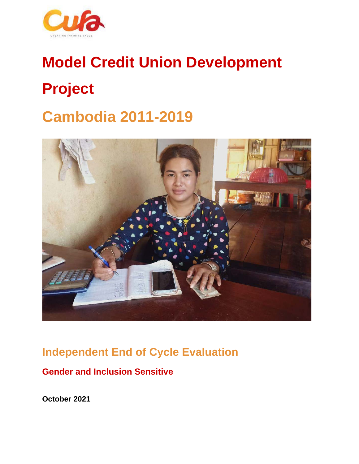

# **Model Credit Union Development Project**

# **Cambodia 2011-2019**



# **Independent End of Cycle Evaluation**

# **Gender and Inclusion Sensitive**

**October 2021**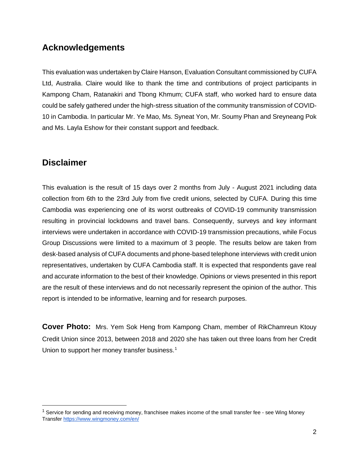# **Acknowledgements**

This evaluation was undertaken by Claire Hanson, Evaluation Consultant commissioned by CUFA Ltd, Australia. Claire would like to thank the time and contributions of project participants in Kampong Cham, Ratanakiri and Tbong Khmum; CUFA staff, who worked hard to ensure data could be safely gathered under the high-stress situation of the community transmission of COVID-10 in Cambodia. In particular Mr. Ye Mao, Ms. Syneat Yon, Mr. Soumy Phan and Sreyneang Pok and Ms. Layla Eshow for their constant support and feedback.

# **Disclaimer**

This evaluation is the result of 15 days over 2 months from July - August 2021 including data collection from 6th to the 23rd July from five credit unions, selected by CUFA. During this time Cambodia was experiencing one of its worst outbreaks of COVID-19 community transmission resulting in provincial lockdowns and travel bans. Consequently, surveys and key informant interviews were undertaken in accordance with COVID-19 transmission precautions, while Focus Group Discussions were limited to a maximum of 3 people. The results below are taken from desk-based analysis of CUFA documents and phone-based telephone interviews with credit union representatives, undertaken by CUFA Cambodia staff. It is expected that respondents gave real and accurate information to the best of their knowledge. Opinions or views presented in this report are the result of these interviews and do not necessarily represent the opinion of the author. This report is intended to be informative, learning and for research purposes.

**Cover Photo:** Mrs. Yem Sok Heng from Kampong Cham, member of RikChamreun Ktouy Credit Union since 2013, between 2018 and 2020 she has taken out three loans from her Credit Union to support her money transfer business.<sup>[1](#page-1-0)</sup>

<span id="page-1-0"></span> $1$  Service for sending and receiving money, franchisee makes income of the small transfer fee - see Wing Money Transfer<https://www.wingmoney.com/en/>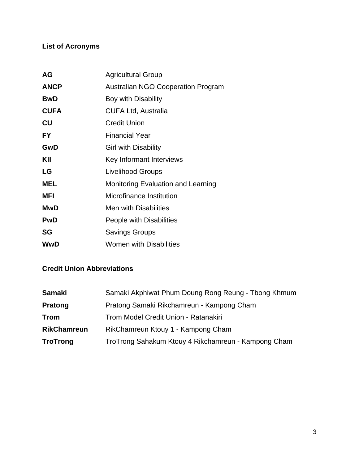# **List of Acronyms**

| <b>AG</b>   | <b>Agricultural Group</b>                 |  |
|-------------|-------------------------------------------|--|
| <b>ANCP</b> | <b>Australian NGO Cooperation Program</b> |  |
| <b>BwD</b>  | Boy with Disability                       |  |
| <b>CUFA</b> | <b>CUFA Ltd, Australia</b>                |  |
| CU          | <b>Credit Union</b>                       |  |
| <b>FY</b>   | <b>Financial Year</b>                     |  |
| GwD         | <b>Girl with Disability</b>               |  |
| KII         | Key Informant Interviews                  |  |
| LG          | <b>Livelihood Groups</b>                  |  |
| <b>MEL</b>  | <b>Monitoring Evaluation and Learning</b> |  |
| <b>MFI</b>  | Microfinance Institution                  |  |
| <b>MwD</b>  | <b>Men with Disabilities</b>              |  |
| <b>PwD</b>  | People with Disabilities                  |  |
| SG          | <b>Savings Groups</b>                     |  |
| <b>WwD</b>  | <b>Women with Disabilities</b>            |  |

# **Credit Union Abbreviations**

| <b>Samaki</b>      | Samaki Akphiwat Phum Doung Rong Reung - Tbong Khmum |  |
|--------------------|-----------------------------------------------------|--|
| <b>Pratong</b>     | Pratong Samaki Rikchamreun - Kampong Cham           |  |
| <b>Trom</b>        | Trom Model Credit Union - Ratanakiri                |  |
| <b>RikChamreun</b> | RikChamreun Ktouy 1 - Kampong Cham                  |  |
| <b>TroTrong</b>    | TroTrong Sahakum Ktouy 4 Rikchamreun - Kampong Cham |  |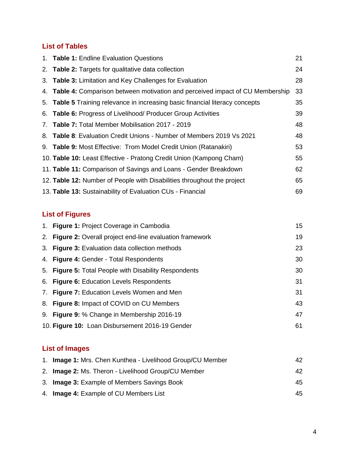# **List of Tables**

| 1. Table 1: Endline Evaluation Questions                                        | 21 |
|---------------------------------------------------------------------------------|----|
| 2. Table 2: Targets for qualitative data collection                             | 24 |
| 3. Table 3: Limitation and Key Challenges for Evaluation                        | 28 |
| 4. Table 4: Comparison between motivation and perceived impact of CU Membership | 33 |
| 5. Table 5 Training relevance in increasing basic financial literacy concepts   | 35 |
| 6. Table 6: Progress of Livelihood/ Producer Group Activities                   | 39 |
| 7. Table 7: Total Member Mobilisation 2017 - 2019                               | 48 |
| 8. Table 8: Evaluation Credit Unions - Number of Members 2019 Vs 2021           | 48 |
| 9. Table 9: Most Effective: Trom Model Credit Union (Ratanakiri)                | 53 |
| 10. Table 10: Least Effective - Pratong Credit Union (Kampong Cham)             | 55 |
| 11. Table 11: Comparison of Savings and Loans - Gender Breakdown                | 62 |
| 12. Table 12: Number of People with Disabilities throughout the project         | 65 |
| 13. Table 13: Sustainability of Evaluation CUs - Financial                      | 69 |

# **List of Figures**

| 1. Figure 1: Project Coverage in Cambodia                  | 15 |
|------------------------------------------------------------|----|
| 2. Figure 2: Overall project end-line evaluation framework | 19 |
| 3. Figure 3: Evaluation data collection methods            | 23 |
| 4. Figure 4: Gender - Total Respondents                    | 30 |
| 5. Figure 5: Total People with Disability Respondents      | 30 |
| 6. Figure 6: Education Levels Respondents                  | 31 |
| 7. Figure 7: Education Levels Women and Men                | 31 |
| 8. Figure 8: Impact of COVID on CU Members                 | 43 |
| 9. Figure 9: % Change in Membership 2016-19                | 47 |
| 10. Figure 10: Loan Disbursement 2016-19 Gender            | 61 |
|                                                            |    |

# **List of Images**

| 1. Image 1: Mrs. Chen Kunthea - Livelihood Group/CU Member | 42. |
|------------------------------------------------------------|-----|
| 2. Image 2: Ms. Theron - Livelihood Group/CU Member        | 42  |
| 3. <b>Image 3:</b> Example of Members Savings Book         | 45  |
| 4. <b>Image 4:</b> Example of CU Members List              | 45. |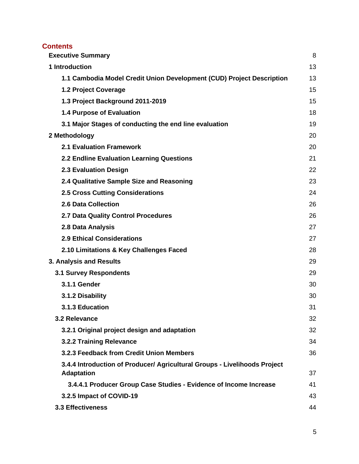# **Contents**

| <b>Executive Summary</b>                                                                       | 8  |
|------------------------------------------------------------------------------------------------|----|
| 1 Introduction                                                                                 | 13 |
| 1.1 Cambodia Model Credit Union Development (CUD) Project Description                          | 13 |
| 1.2 Project Coverage                                                                           | 15 |
| 1.3 Project Background 2011-2019                                                               | 15 |
| 1.4 Purpose of Evaluation                                                                      | 18 |
| 3.1 Major Stages of conducting the end line evaluation                                         | 19 |
| 2 Methodology                                                                                  | 20 |
| <b>2.1 Evaluation Framework</b>                                                                | 20 |
| 2.2 Endline Evaluation Learning Questions                                                      | 21 |
| 2.3 Evaluation Design                                                                          | 22 |
| 2.4 Qualitative Sample Size and Reasoning                                                      | 23 |
| <b>2.5 Cross Cutting Considerations</b>                                                        | 24 |
| 2.6 Data Collection                                                                            | 26 |
| 2.7 Data Quality Control Procedures                                                            | 26 |
| 2.8 Data Analysis                                                                              | 27 |
| <b>2.9 Ethical Considerations</b>                                                              | 27 |
| 2.10 Limitations & Key Challenges Faced                                                        | 28 |
| 3. Analysis and Results                                                                        | 29 |
| <b>3.1 Survey Respondents</b>                                                                  | 29 |
| 3.1.1 Gender                                                                                   | 30 |
| 3.1.2 Disability                                                                               | 30 |
| 3.1.3 Education                                                                                | 31 |
| 3.2 Relevance                                                                                  | 32 |
| 3.2.1 Original project design and adaptation                                                   | 32 |
| 3.2.2 Training Relevance                                                                       | 34 |
| 3.2.3 Feedback from Credit Union Members                                                       | 36 |
| 3.4.4 Introduction of Producer/ Agricultural Groups - Livelihoods Project<br><b>Adaptation</b> | 37 |
| 3.4.4.1 Producer Group Case Studies - Evidence of Income Increase                              | 41 |
| 3.2.5 Impact of COVID-19                                                                       | 43 |
| <b>3.3 Effectiveness</b>                                                                       | 44 |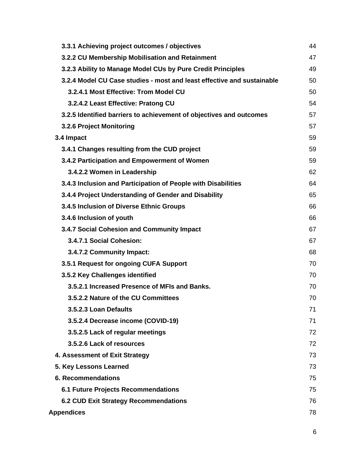| 3.3.1 Achieving project outcomes / objectives                          | 44 |
|------------------------------------------------------------------------|----|
| 3.2.2 CU Membership Mobilisation and Retainment                        | 47 |
| 3.2.3 Ability to Manage Model CUs by Pure Credit Principles            | 49 |
| 3.2.4 Model CU Case studies - most and least effective and sustainable | 50 |
| 3.2.4.1 Most Effective: Trom Model CU                                  | 50 |
| 3.2.4.2 Least Effective: Pratong CU                                    | 54 |
| 3.2.5 Identified barriers to achievement of objectives and outcomes    | 57 |
| 3.2.6 Project Monitoring                                               | 57 |
| 3.4 Impact                                                             | 59 |
| 3.4.1 Changes resulting from the CUD project                           | 59 |
| 3.4.2 Participation and Empowerment of Women                           | 59 |
| 3.4.2.2 Women in Leadership                                            | 62 |
| 3.4.3 Inclusion and Participation of People with Disabilities          | 64 |
| 3.4.4 Project Understanding of Gender and Disability                   | 65 |
| 3.4.5 Inclusion of Diverse Ethnic Groups                               | 66 |
| 3.4.6 Inclusion of youth                                               | 66 |
| 3.4.7 Social Cohesion and Community Impact                             | 67 |
| 3.4.7.1 Social Cohesion:                                               | 67 |
| 3.4.7.2 Community Impact:                                              | 68 |
| 3.5.1 Request for ongoing CUFA Support                                 | 70 |
| 3.5.2 Key Challenges identified                                        | 70 |
| 3.5.2.1 Increased Presence of MFIs and Banks.                          | 70 |
| 3.5.2.2 Nature of the CU Committees                                    | 70 |
| 3.5.2.3 Loan Defaults                                                  | 71 |
| 3.5.2.4 Decrease income (COVID-19)                                     | 71 |
| 3.5.2.5 Lack of regular meetings                                       | 72 |
| 3.5.2.6 Lack of resources                                              | 72 |
| 4. Assessment of Exit Strategy                                         | 73 |
| 5. Key Lessons Learned                                                 | 73 |
| <b>6. Recommendations</b>                                              | 75 |
| <b>6.1 Future Projects Recommendations</b>                             | 75 |
| <b>6.2 CUD Exit Strategy Recommendations</b>                           | 76 |
| <b>Appendices</b>                                                      | 78 |
|                                                                        |    |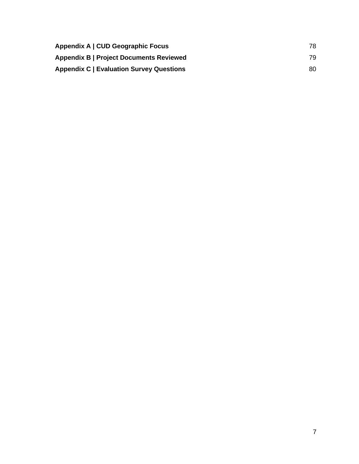| Appendix A   CUD Geographic Focus               | 78. |
|-------------------------------------------------|-----|
| <b>Appendix B   Project Documents Reviewed</b>  | 79. |
| <b>Appendix C   Evaluation Survey Questions</b> | 80. |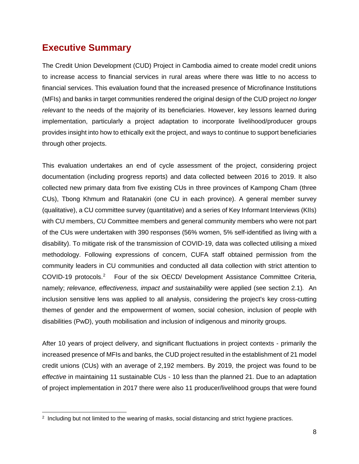# <span id="page-7-0"></span>**Executive Summary**

The Credit Union Development (CUD) Project in Cambodia aimed to create model credit unions to increase access to financial services in rural areas where there was little to no access to financial services. This evaluation found that the increased presence of Microfinance Institutions (MFIs) and banks in target communities rendered the original design of the CUD project *no longer relevant* to the needs of the majority of its beneficiaries. However, key lessons learned during implementation, particularly a project adaptation to incorporate livelihood/producer groups provides insight into how to ethically exit the project, and ways to continue to support beneficiaries through other projects.

This evaluation undertakes an end of cycle assessment of the project, considering project documentation (including progress reports) and data collected between 2016 to 2019. It also collected new primary data from five existing CUs in three provinces of Kampong Cham (three CUs), Tbong Khmum and Ratanakiri (one CU in each province). A general member survey (qualitative), a CU committee survey (quantitative) and a series of Key Informant Interviews (KIIs) with CU members, CU Committee members and general community members who were not part of the CUs were undertaken with 390 responses (56% women, 5% self-identified as living with a disability). To mitigate risk of the transmission of COVID-19, data was collected utilising a mixed methodology. Following expressions of concern, CUFA staff obtained permission from the community leaders in CU communities and conducted all data collection with strict attention to COVID-19 protocols.<sup>[2](#page-7-1)</sup> Four of the six OECD/ Development Assistance Committee Criteria, namely; *relevance, effectiveness, impact and sustainability* were applied (see section 2.1)*.* An inclusion sensitive lens was applied to all analysis, considering the project's key cross-cutting themes of gender and the empowerment of women, social cohesion, inclusion of people with disabilities (PwD), youth mobilisation and inclusion of indigenous and minority groups.

After 10 years of project delivery, and significant fluctuations in project contexts - primarily the increased presence of MFIs and banks, the CUD project resulted in the establishment of 21 model credit unions (CUs) with an average of 2,192 members. By 2019, the project was found to be *effective* in maintaining 11 sustainable CUs - 10 less than the planned 21. Due to an adaptation of project implementation in 2017 there were also 11 producer/livelihood groups that were found

<span id="page-7-1"></span><sup>&</sup>lt;sup>2</sup> Including but not limited to the wearing of masks, social distancing and strict hygiene practices.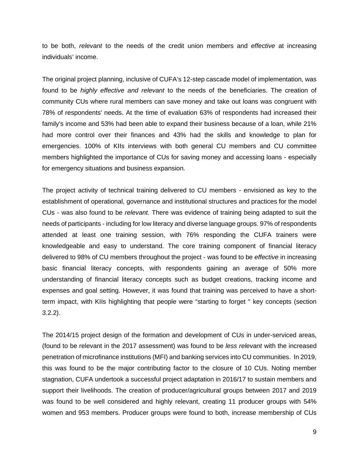to be both, *relevant* to the needs of the credit union members and *effective* at increasing individuals' income.

The original project planning, inclusive of CUFA's 12-step cascade model of implementation, was found to be *highly effective and relevant* to the needs of the beneficiaries. The creation of community CUs where rural members can save money and take out loans was congruent with 78% of respondents' needs. At the time of evaluation 63% of respondents had increased their family's income and 53% had been able to expand their business because of a loan, while 21% had more control over their finances and 43% had the skills and knowledge to plan for emergencies. 100% of KIIs interviews with both general CU members and CU committee members highlighted the importance of CUs for saving money and accessing loans - especially for emergency situations and business expansion.

The project activity of technical training delivered to CU members - envisioned as key to the establishment of operational, governance and institutional structures and practices for the model CUs - was also found to be *relevant.* There was evidence of training being adapted to suit the needs of participants - including for low literacy and diverse language groups. 97% of respondents attended at least one training session, with 76% responding the CUFA trainers were knowledgeable and easy to understand. The core training component of financial literacy delivered to 98% of CU members throughout the project - was found to be *effective* in increasing basic financial literacy concepts, with respondents gaining an average of 50% more understanding of financial literacy concepts such as budget creations, tracking income and expenses and goal setting. However, it was found that training was perceived to have a shortterm impact, with KIIs highlighting that people were "starting to forget '' key concepts (section 3.2.2).

The 2014/15 project design of the formation and development of CUs in under-serviced areas, (found to be relevant in the 2017 assessment) was found to be *less relevant* with the increased penetration of microfinance institutions (MFI) and banking services into CU communities. In 2019, this was found to be the major contributing factor to the closure of 10 CUs. Noting member stagnation, CUFA undertook a successful project adaptation in 2016/17 to sustain members and support their livelihoods. The creation of producer/agricultural groups between 2017 and 2019 was found to be well considered and highly relevant, creating 11 producer groups with 54% women and 953 members. Producer groups were found to both, increase membership of CUs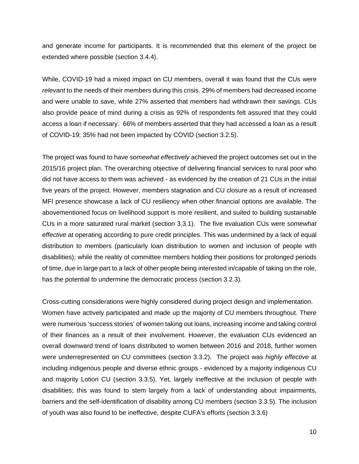and generate income for participants. It is recommended that this element of the project be extended where possible (section 3.4.4).

While, COVID-19 had a mixed impact on CU members, overall it was found that the CUs were *relevant* to the needs of their members during this crisis. 29% of members had decreased income and were unable to save, while 27% asserted that members had withdrawn their savings. CUs also provide peace of mind during a crisis as 92% of respondents felt assured that they could access a loan if necessary. 66% of members asserted that they had accessed a loan as a result of COVID-19; 35% had not been impacted by COVID (section 3.2.5).

The project was found to have *somewhat effectively* achieved the project outcomes set out in the 2015/16 project plan. The overarching objective of delivering financial services to rural poor who did not have access to them was achieved - as evidenced by the creation of 21 CUs in the initial five years of the project. However, members stagnation and CU closure as a result of increased MFI presence showcase a lack of CU resiliency when other financial options are available. The abovementioned focus on livelihood support is more resilient, and suited to building sustainable CUs in a more saturated rural market (section 3.3.1). The five evaluation CUs were *somewhat effective* at operating according to pure credit principles. This was undermined by a lack of equal distribution to members (particularly loan distribution to women and inclusion of people with disabilities); while the reality of committee members holding their positions for prolonged periods of time, due in large part to a lack of other people being interested in/capable of taking on the role, has the potential to undermine the democratic process (section 3.2.3).

Cross-cutting considerations were highly considered during project design and implementation. Women have actively participated and made up the majority of CU members throughout. There were numerous 'success stories' of women taking out loans, increasing income and taking control of their finances as a result of their involvement. However, the evaluation CUs evidenced an overall downward trend of loans distributed to women between 2016 and 2018, further women were underrepresented on CU committees (section 3.3.2). The project was *highly effective* at including indigenous people and diverse ethnic groups - evidenced by a majority indigenous CU and majority Lotion CU (section 3.3.5). Yet, largely ineffective at the inclusion of people with disabilities; this was found to stem largely from a lack of understanding about impairments, barriers and the self-identification of disability among CU members (section 3.3.5). The inclusion of youth was also found to be ineffective, despite CUFA's efforts (section 3.3.6)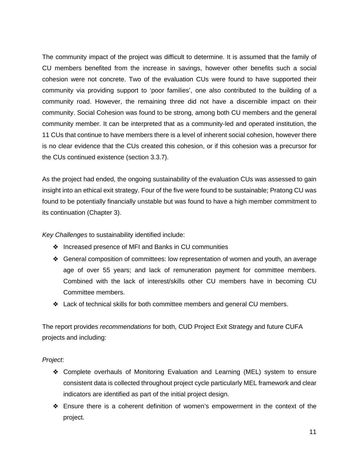The community impact of the project was difficult to determine. It is assumed that the family of CU members benefited from the increase in savings, however other benefits such a social cohesion were not concrete. Two of the evaluation CUs were found to have supported their community via providing support to 'poor families', one also contributed to the building of a community road. However, the remaining three did not have a discernible impact on their community. Social Cohesion was found to be strong, among both CU members and the general community member. It can be interpreted that as a community-led and operated institution, the 11 CUs that continue to have members there is a level of inherent social cohesion, however there is no clear evidence that the CUs created this cohesion, or if this cohesion was a precursor for the CUs continued existence (section 3.3.7).

As the project had ended, the ongoing sustainability of the evaluation CUs was assessed to gain insight into an ethical exit strategy. Four of the five were found to be sustainable; Pratong CU was found to be potentially financially unstable but was found to have a high member commitment to its continuation (Chapter 3).

*Key Challenges* to sustainability identified include:

- ❖ Increased presence of MFI and Banks in CU communities
- ❖ General composition of committees: low representation of women and youth, an average age of over 55 years; and lack of remuneration payment for committee members. Combined with the lack of interest/skills other CU members have in becoming CU Committee members.
- ❖ Lack of technical skills for both committee members and general CU members.

The report provides *recommendations* for both, CUD Project Exit Strategy and future CUFA projects and including:

### *Project*:

- ❖ Complete overhauls of Monitoring Evaluation and Learning (MEL) system to ensure consistent data is collected throughout project cycle particularly MEL framework and clear indicators are identified as part of the initial project design.
- ❖ Ensure there is a coherent definition of women's empowerment in the context of the project.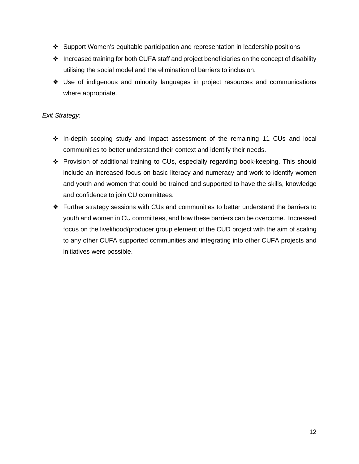- ❖ Support Women's equitable participation and representation in leadership positions
- ❖ Increased training for both CUFA staff and project beneficiaries on the concept of disability utilising the social model and the elimination of barriers to inclusion.
- ❖ Use of indigenous and minority languages in project resources and communications where appropriate.

### *Exit Strategy:*

- ❖ In-depth scoping study and impact assessment of the remaining 11 CUs and local communities to better understand their context and identify their needs.
- ❖ Provision of additional training to CUs, especially regarding book-keeping. This should include an increased focus on basic literacy and numeracy and work to identify women and youth and women that could be trained and supported to have the skills, knowledge and confidence to join CU committees.
- ❖ Further strategy sessions with CUs and communities to better understand the barriers to youth and women in CU committees, and how these barriers can be overcome. Increased focus on the livelihood/producer group element of the CUD project with the aim of scaling to any other CUFA supported communities and integrating into other CUFA projects and initiatives were possible.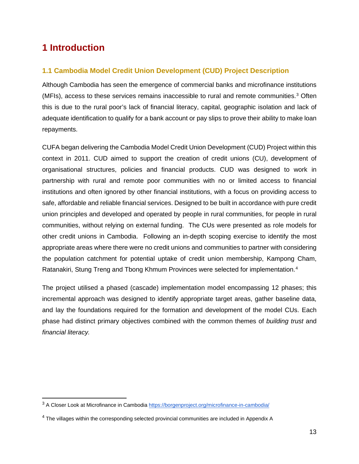# <span id="page-12-0"></span>**1 Introduction**

# <span id="page-12-1"></span>**1.1 Cambodia Model Credit Union Development (CUD) Project Description**

Although Cambodia has seen the emergence of commercial banks and microfinance institutions (MFIs), access to these services remains inaccessible to rural and remote communities.<sup>[3](#page-12-2)</sup> Often this is due to the rural poor's lack of financial literacy, capital, geographic isolation and lack of adequate identification to qualify for a bank account or pay slips to prove their ability to make loan repayments.

CUFA began delivering the Cambodia Model Credit Union Development (CUD) Project within this context in 2011. CUD aimed to support the creation of credit unions (CU), development of organisational structures, policies and financial products. CUD was designed to work in partnership with rural and remote poor communities with no or limited access to financial institutions and often ignored by other financial institutions, with a focus on providing access to safe, affordable and reliable financial services. Designed to be built in accordance with pure credit union principles and developed and operated by people in rural communities, for people in rural communities, without relying on external funding. The CUs were presented as role models for other credit unions in Cambodia. Following an in-depth scoping exercise to identify the most appropriate areas where there were no credit unions and communities to partner with considering the population catchment for potential uptake of credit union membership, Kampong Cham, Ratanakiri, Stung Treng and Tbong Khmum Provinces were selected for implementation.[4](#page-12-3)

The project utilised a phased (cascade) implementation model encompassing 12 phases; this incremental approach was designed to identify appropriate target areas, gather baseline data, and lay the foundations required for the formation and development of the model CUs. Each phase had distinct primary objectives combined with the common themes of *building trust* and *financial literacy.* 

<span id="page-12-2"></span><sup>3</sup> A Closer Look at Microfinance in Cambodia<https://borgenproject.org/microfinance-in-cambodia/>

<span id="page-12-3"></span><sup>4</sup> The villages within the corresponding selected provincial communities are included in Appendix A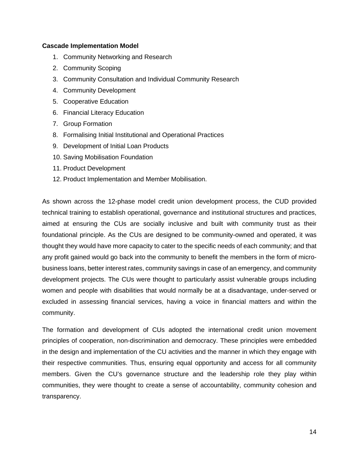#### **Cascade Implementation Model**

- 1. Community Networking and Research
- 2. Community Scoping
- 3. Community Consultation and Individual Community Research
- 4. Community Development
- 5. Cooperative Education
- 6. Financial Literacy Education
- 7. Group Formation
- 8. Formalising Initial Institutional and Operational Practices
- 9. Development of Initial Loan Products
- 10. Saving Mobilisation Foundation
- 11. Product Development
- 12. Product Implementation and Member Mobilisation.

As shown across the 12-phase model credit union development process, the CUD provided technical training to establish operational, governance and institutional structures and practices, aimed at ensuring the CUs are socially inclusive and built with community trust as their foundational principle. As the CUs are designed to be community-owned and operated, it was thought they would have more capacity to cater to the specific needs of each community; and that any profit gained would go back into the community to benefit the members in the form of microbusiness loans, better interest rates, community savings in case of an emergency, and community development projects. The CUs were thought to particularly assist vulnerable groups including women and people with disabilities that would normally be at a disadvantage, under-served or excluded in assessing financial services, having a voice in financial matters and within the community.

The formation and development of CUs adopted the international credit union movement principles of cooperation, non-discrimination and democracy. These principles were embedded in the design and implementation of the CU activities and the manner in which they engage with their respective communities. Thus, ensuring equal opportunity and access for all community members. Given the CU's governance structure and the leadership role they play within communities, they were thought to create a sense of accountability, community cohesion and transparency.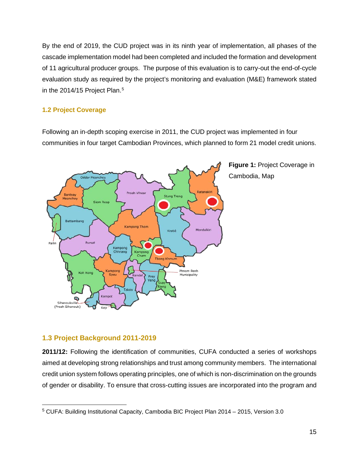By the end of 2019, the CUD project was in its ninth year of implementation, all phases of the cascade implementation model had been completed and included the formation and development of 11 agricultural producer groups. The purpose of this evaluation is to carry-out the end-of-cycle evaluation study as required by the project's monitoring and evaluation (M&E) framework stated in the 2014/1[5](#page-14-2) Project Plan.<sup>5</sup>

### <span id="page-14-0"></span>**1.2 Project Coverage**

Following an in-depth scoping exercise in 2011, the CUD project was implemented in four communities in four target Cambodian Provinces, which planned to form 21 model credit unions.



**Figure 1:** Project Coverage in Cambodia, Map

# <span id="page-14-1"></span>**1.3 Project Background 2011-2019**

**2011/12:** Following the identification of communities, CUFA conducted a series of workshops aimed at developing strong relationships and trust among community members. The international credit union system follows operating principles, one of which is non-discrimination on the grounds of gender or disability. To ensure that cross-cutting issues are incorporated into the program and

<span id="page-14-2"></span><sup>5</sup> CUFA: Building Institutional Capacity, Cambodia BIC Project Plan 2014 – 2015, Version 3.0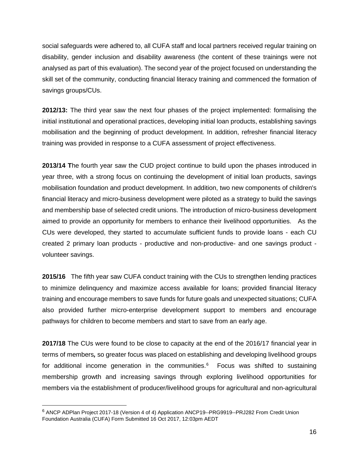social safeguards were adhered to, all CUFA staff and local partners received regular training on disability, gender inclusion and disability awareness (the content of these trainings were not analysed as part of this evaluation). The second year of the project focused on understanding the skill set of the community, conducting financial literacy training and commenced the formation of savings groups/CUs.

**2012/13:** The third year saw the next four phases of the project implemented: formalising the initial institutional and operational practices, developing initial loan products, establishing savings mobilisation and the beginning of product development. In addition, refresher financial literacy training was provided in response to a CUFA assessment of project effectiveness.

**2013/14 T**he fourth year saw the CUD project continue to build upon the phases introduced in year three, with a strong focus on continuing the development of initial loan products, savings mobilisation foundation and product development. In addition, two new components of children's financial literacy and micro-business development were piloted as a strategy to build the savings and membership base of selected credit unions. The introduction of micro-business development aimed to provide an opportunity for members to enhance their livelihood opportunities. As the CUs were developed, they started to accumulate sufficient funds to provide loans - each CU created 2 primary loan products - productive and non-productive- and one savings product volunteer savings.

**2015/16** The fifth year saw CUFA conduct training with the CUs to strengthen lending practices to minimize delinquency and maximize access available for loans; provided financial literacy training and encourage members to save funds for future goals and unexpected situations; CUFA also provided further micro-enterprise development support to members and encourage pathways for children to become members and start to save from an early age.

**2017/18** The CUs were found to be close to capacity at the end of the 2016/17 financial year in terms of members*,* so greater focus was placed on establishing and developing livelihood groups for additional income generation in the communities. $6$  Focus was shifted to sustaining membership growth and increasing savings through exploring livelihood opportunities for members via the establishment of producer/livelihood groups for agricultural and non-agricultural

<span id="page-15-0"></span><sup>&</sup>lt;sup>6</sup> ANCP ADPlan Project 2017-18 (Version 4 of 4) Application ANCP19--PRG9919--PRJ282 From Credit Union Foundation Australia (CUFA) Form Submitted 16 Oct 2017, 12:03pm AEDT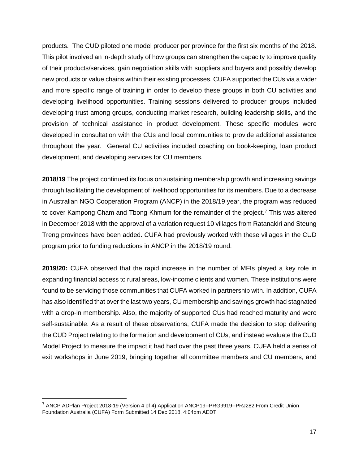products. The CUD piloted one model producer per province for the first six months of the 2018. This pilot involved an in-depth study of how groups can strengthen the capacity to improve quality of their products/services, gain negotiation skills with suppliers and buyers and possibly develop new products or value chains within their existing processes. CUFA supported the CUs via a wider and more specific range of training in order to develop these groups in both CU activities and developing livelihood opportunities. Training sessions delivered to producer groups included developing trust among groups, conducting market research, building leadership skills, and the provision of technical assistance in product development. These specific modules were developed in consultation with the CUs and local communities to provide additional assistance throughout the year. General CU activities included coaching on book-keeping, loan product development, and developing services for CU members.

**2018/19** The project continued its focus on sustaining membership growth and increasing savings through facilitating the development of livelihood opportunities for its members. Due to a decrease in Australian NGO Cooperation Program (ANCP) in the 2018/19 year, the program was reduced to cover Kampong Cham and Tbong Khmum for the remainder of the project.<sup>[7](#page-16-0)</sup> This was altered in December 2018 with the approval of a variation request 10 villages from Ratanakiri and Steung Treng provinces have been added. CUFA had previously worked with these villages in the CUD program prior to funding reductions in ANCP in the 2018/19 round.

**2019/20:** CUFA observed that the rapid increase in the number of MFIs played a key role in expanding financial access to rural areas, low-income clients and women. These institutions were found to be servicing those communities that CUFA worked in partnership with. In addition, CUFA has also identified that over the last two years, CU membership and savings growth had stagnated with a drop-in membership. Also, the majority of supported CUs had reached maturity and were self-sustainable. As a result of these observations, CUFA made the decision to stop delivering the CUD Project relating to the formation and development of CUs, and instead evaluate the CUD Model Project to measure the impact it had had over the past three years. CUFA held a series of exit workshops in June 2019, bringing together all committee members and CU members, and

<span id="page-16-0"></span><sup>&</sup>lt;sup>7</sup> ANCP ADPlan Project 2018-19 (Version 4 of 4) Application ANCP19--PRG9919--PRJ282 From Credit Union Foundation Australia (CUFA) Form Submitted 14 Dec 2018, 4:04pm AEDT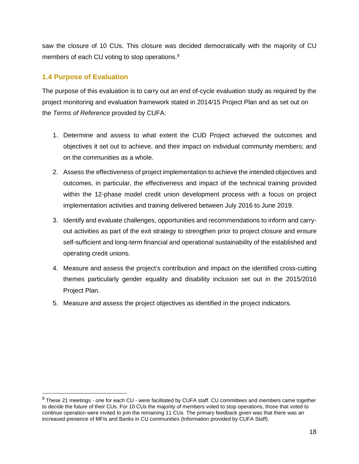saw the closure of 10 CUs. This closure was decided democratically with the majority of CU members of each CU voting to stop operations.<sup>[8](#page-17-1)</sup>

# <span id="page-17-0"></span>**1.4 Purpose of Evaluation**

The purpose of this evaluation is to carry out an end of-cycle evaluation study as required by the project monitoring and evaluation framework stated in 2014/15 Project Plan and as set out on the *Terms of Reference* provided by CUFA:

- 1. Determine and assess to what extent the CUD Project achieved the outcomes and objectives it set out to achieve, and their impact on individual community members; and on the communities as a whole.
- 2. Assess the effectiveness of project implementation to achieve the intended objectives and outcomes, in particular, the effectiveness and impact of the technical training provided within the 12-phase model credit union development process with a focus on project implementation activities and training delivered between July 2016 to June 2019.
- 3. Identify and evaluate challenges, opportunities and recommendations to inform and carryout activities as part of the exit strategy to strengthen prior to project closure and ensure self-sufficient and long-term financial and operational sustainability of the established and operating credit unions.
- 4. Measure and assess the project's contribution and impact on the identified cross-cutting themes particularly gender equality and disability inclusion set out in the 2015/2016 Project Plan.
- 5. Measure and assess the project objectives as identified in the project indicators.

<span id="page-17-1"></span><sup>8</sup> These 21 meetings - one for each CU - were facilitated by CUFA staff. CU committees and members came together to decide the future of their CUs. For 10 CUs the majority of members voted to stop operations, those that voted to continue operation were invited to join the remaining 11 CUs. The primary feedback given was that there was an increased presence of MFIs and Banks in CU communities (Information provided by CUFA Staff).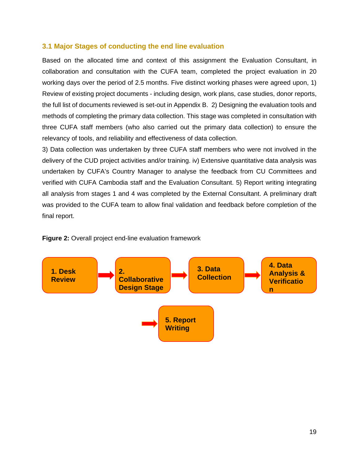### <span id="page-18-0"></span>**3.1 Major Stages of conducting the end line evaluation**

Based on the allocated time and context of this assignment the Evaluation Consultant, in collaboration and consultation with the CUFA team, completed the project evaluation in 20 working days over the period of 2.5 months. Five distinct working phases were agreed upon, 1) Review of existing project documents - including design, work plans, case studies, donor reports, the full list of documents reviewed is set-out in Appendix B. 2) Designing the evaluation tools and methods of completing the primary data collection. This stage was completed in consultation with three CUFA staff members (who also carried out the primary data collection) to ensure the relevancy of tools, and reliability and effectiveness of data collection.

3) Data collection was undertaken by three CUFA staff members who were not involved in the delivery of the CUD project activities and/or training. iv) Extensive quantitative data analysis was undertaken by CUFA's Country Manager to analyse the feedback from CU Committees and verified with CUFA Cambodia staff and the Evaluation Consultant. 5) Report writing integrating all analysis from stages 1 and 4 was completed by the External Consultant. A preliminary draft was provided to the CUFA team to allow final validation and feedback before completion of the final report.



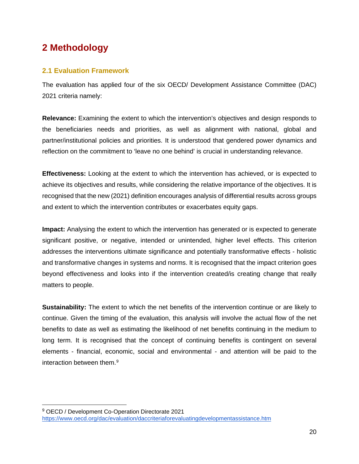# <span id="page-19-0"></span>**2 Methodology**

# <span id="page-19-1"></span>**2.1 Evaluation Framework**

The evaluation has applied four of the six OECD/ Development Assistance Committee (DAC) 2021 criteria namely:

**Relevance:** Examining the extent to which the intervention's objectives and design responds to the beneficiaries needs and priorities, as well as alignment with national, global and partner/institutional policies and priorities. It is understood that gendered power dynamics and reflection on the commitment to 'leave no one behind' is crucial in understanding relevance.

**Effectiveness:** Looking at the extent to which the intervention has achieved, or is expected to achieve its objectives and results, while considering the relative importance of the objectives. It is recognised that the new (2021) definition encourages analysis of differential results across groups and extent to which the intervention contributes or exacerbates equity gaps.

**Impact:** Analysing the extent to which the intervention has generated or is expected to generate significant positive, or negative, intended or unintended, higher level effects. This criterion addresses the interventions ultimate significance and potentially transformative effects - holistic and transformative changes in systems and norms. It is recognised that the impact criterion goes beyond effectiveness and looks into if the intervention created/is creating change that really matters to people.

**Sustainability:** The extent to which the net benefits of the intervention continue or are likely to continue. Given the timing of the evaluation, this analysis will involve the actual flow of the net benefits to date as well as estimating the likelihood of net benefits continuing in the medium to long term. It is recognised that the concept of continuing benefits is contingent on several elements - financial, economic, social and environmental - and attention will be paid to the interaction between them[.9](#page-19-2)

<span id="page-19-2"></span><sup>9</sup> OECD / Development Co-Operation Directorate 2021 <https://www.oecd.org/dac/evaluation/daccriteriaforevaluatingdevelopmentassistance.htm>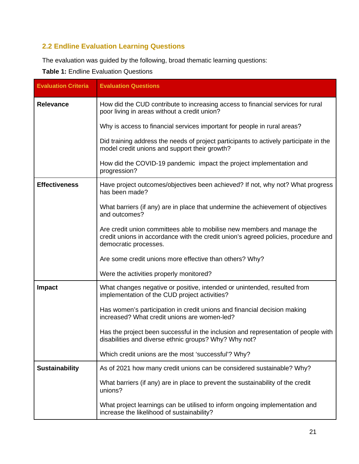# <span id="page-20-0"></span>**2.2 Endline Evaluation Learning Questions**

The evaluation was guided by the following, broad thematic learning questions:

**Table 1:** Endline Evaluation Questions

| <b>Evaluation Criteria</b> | <b>Evaluation Questions</b>                                                                                                                                                            |  |  |  |
|----------------------------|----------------------------------------------------------------------------------------------------------------------------------------------------------------------------------------|--|--|--|
| <b>Relevance</b>           | How did the CUD contribute to increasing access to financial services for rural<br>poor living in areas without a credit union?                                                        |  |  |  |
|                            | Why is access to financial services important for people in rural areas?                                                                                                               |  |  |  |
|                            | Did training address the needs of project participants to actively participate in the<br>model credit unions and support their growth?                                                 |  |  |  |
|                            | How did the COVID-19 pandemic impact the project implementation and<br>progression?                                                                                                    |  |  |  |
| <b>Effectiveness</b>       | Have project outcomes/objectives been achieved? If not, why not? What progress<br>has been made?                                                                                       |  |  |  |
|                            | What barriers (if any) are in place that undermine the achievement of objectives<br>and outcomes?                                                                                      |  |  |  |
|                            | Are credit union committees able to mobilise new members and manage the<br>credit unions in accordance with the credit union's agreed policies, procedure and<br>democratic processes. |  |  |  |
|                            | Are some credit unions more effective than others? Why?                                                                                                                                |  |  |  |
|                            | Were the activities properly monitored?                                                                                                                                                |  |  |  |
| <b>Impact</b>              | What changes negative or positive, intended or unintended, resulted from<br>implementation of the CUD project activities?                                                              |  |  |  |
|                            | Has women's participation in credit unions and financial decision making<br>increased? What credit unions are women-led?                                                               |  |  |  |
|                            | Has the project been successful in the inclusion and representation of people with<br>disabilities and diverse ethnic groups? Why? Why not?                                            |  |  |  |
|                            | Which credit unions are the most 'successful'? Why?                                                                                                                                    |  |  |  |
| <b>Sustainability</b>      | As of 2021 how many credit unions can be considered sustainable? Why?                                                                                                                  |  |  |  |
|                            | What barriers (if any) are in place to prevent the sustainability of the credit<br>unions?                                                                                             |  |  |  |
|                            | What project learnings can be utilised to inform ongoing implementation and<br>increase the likelihood of sustainability?                                                              |  |  |  |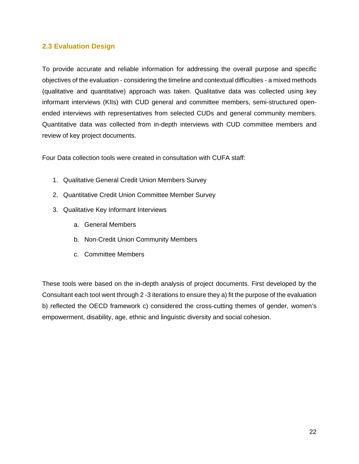### <span id="page-21-0"></span>**2.3 Evaluation Design**

To provide accurate and reliable information for addressing the overall purpose and specific objectives of the evaluation - considering the timeline and contextual difficulties - a mixed methods (qualitative and quantitative) approach was taken. Qualitative data was collected using key informant interviews (KIIs) with CUD general and committee members, semi-structured openended interviews with representatives from selected CUDs and general community members. Quantitative data was collected from in-depth interviews with CUD committee members and review of key project documents.

Four Data collection tools were created in consultation with CUFA staff:

- 1. Qualitative General Credit Union Members Survey
- 2. Quantitative Credit Union Committee Member Survey
- 3. Qualitative Key Informant Interviews
	- a. General Members
	- b. Non-Credit Union Community Members
	- c. Committee Members

These tools were based on the in-depth analysis of project documents. First developed by the Consultant each tool went through 2 -3 iterations to ensure they a) fit the purpose of the evaluation b) reflected the OECD framework c) considered the cross-cutting themes of gender, women's empowerment, disability, age, ethnic and linguistic diversity and social cohesion.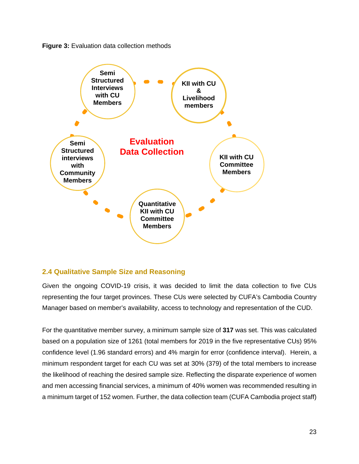



# <span id="page-22-0"></span>**2.4 Qualitative Sample Size and Reasoning**

Given the ongoing COVID-19 crisis, it was decided to limit the data collection to five CUs representing the four target provinces. These CUs were selected by CUFA's Cambodia Country Manager based on member's availability, access to technology and representation of the CUD.

For the quantitative member survey, a minimum sample size of **317** was set. This was calculated based on a population size of 1261 (total members for 2019 in the five representative CUs) 95% confidence level (1.96 standard errors) and 4% margin for error (confidence interval). Herein, a minimum respondent target for each CU was set at 30% (379) of the total members to increase the likelihood of reaching the desired sample size. Reflecting the disparate experience of women and men accessing financial services, a minimum of 40% women was recommended resulting in a minimum target of 152 women. Further, the data collection team (CUFA Cambodia project staff)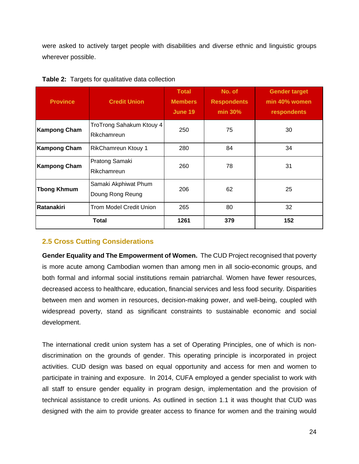were asked to actively target people with disabilities and diverse ethnic and linguistic groups wherever possible.

| <b>Province</b>     | <b>Credit Union</b>                      | <b>Total</b><br><b>Members</b><br>June 19 | No. of<br><b>Respondents</b><br>min 30% | <b>Gender target</b><br>min 40% women<br>respondents |
|---------------------|------------------------------------------|-------------------------------------------|-----------------------------------------|------------------------------------------------------|
| <b>Kampong Cham</b> | TroTrong Sahakum Ktouy 4<br>Rikchamreun  | 250                                       | 75                                      | 30                                                   |
| <b>Kampong Cham</b> | <b>RikChamreun Ktouy 1</b>               | 280                                       | 84                                      | 34                                                   |
| <b>Kampong Cham</b> | Pratong Samaki<br>Rikchamreun            | 260                                       | 78                                      | 31                                                   |
| <b>Thong Khmum</b>  | Samaki Akphiwat Phum<br>Doung Rong Reung | 206                                       | 62                                      | 25                                                   |
| Ratanakiri          | <b>Trom Model Credit Union</b>           | 265                                       | 80                                      | 32                                                   |
|                     | <b>Total</b>                             | 1261                                      | 379                                     | 152                                                  |

**Table 2:** Targets for qualitative data collection

# <span id="page-23-0"></span>**2.5 Cross Cutting Considerations**

**Gender Equality and The Empowerment of Women.** The CUD Project recognised that poverty is more acute among Cambodian women than among men in all socio-economic groups, and both formal and informal social institutions remain patriarchal. Women have fewer resources, decreased access to healthcare, education, financial services and less food security. Disparities between men and women in resources, decision-making power, and well-being, coupled with widespread poverty, stand as significant constraints to sustainable economic and social development.

The international credit union system has a set of Operating Principles, one of which is nondiscrimination on the grounds of gender. This operating principle is incorporated in project activities. CUD design was based on equal opportunity and access for men and women to participate in training and exposure. In 2014, CUFA employed a gender specialist to work with all staff to ensure gender equality in program design, implementation and the provision of technical assistance to credit unions. As outlined in section 1.1 it was thought that CUD was designed with the aim to provide greater access to finance for women and the training would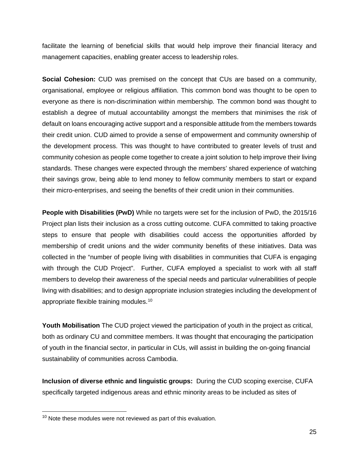facilitate the learning of beneficial skills that would help improve their financial literacy and management capacities, enabling greater access to leadership roles.

**Social Cohesion:** CUD was premised on the concept that CUs are based on a community, organisational, employee or religious affiliation. This common bond was thought to be open to everyone as there is non-discrimination within membership. The common bond was thought to establish a degree of mutual accountability amongst the members that minimises the risk of default on loans encouraging active support and a responsible attitude from the members towards their credit union. CUD aimed to provide a sense of empowerment and community ownership of the development process. This was thought to have contributed to greater levels of trust and community cohesion as people come together to create a joint solution to help improve their living standards. These changes were expected through the members' shared experience of watching their savings grow, being able to lend money to fellow community members to start or expand their micro-enterprises, and seeing the benefits of their credit union in their communities.

**People with Disabilities (PwD)** While no targets were set for the inclusion of PwD, the 2015/16 Project plan lists their inclusion as a cross cutting outcome. CUFA committed to taking proactive steps to ensure that people with disabilities could access the opportunities afforded by membership of credit unions and the wider community benefits of these initiatives. Data was collected in the "number of people living with disabilities in communities that CUFA is engaging with through the CUD Project". Further, CUFA employed a specialist to work with all staff members to develop their awareness of the special needs and particular vulnerabilities of people living with disabilities; and to design appropriate inclusion strategies including the development of appropriate flexible training modules.[10](#page-24-0)

**Youth Mobilisation** The CUD project viewed the participation of youth in the project as critical, both as ordinary CU and committee members. It was thought that encouraging the participation of youth in the financial sector, in particular in CUs, will assist in building the on-going financial sustainability of communities across Cambodia.

**Inclusion of diverse ethnic and linguistic groups:** During the CUD scoping exercise, CUFA specifically targeted indigenous areas and ethnic minority areas to be included as sites of

<span id="page-24-0"></span> $10$  Note these modules were not reviewed as part of this evaluation.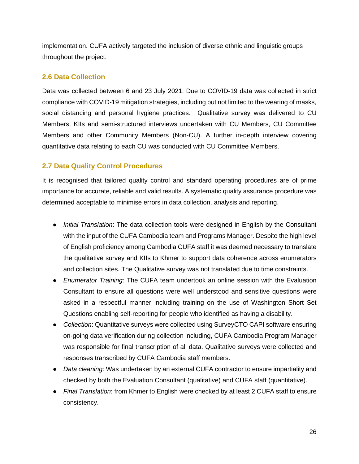implementation. CUFA actively targeted the inclusion of diverse ethnic and linguistic groups throughout the project.

## <span id="page-25-0"></span>**2.6 Data Collection**

Data was collected between 6 and 23 July 2021. Due to COVID-19 data was collected in strict compliance with COVID-19 mitigation strategies, including but not limited to the wearing of masks, social distancing and personal hygiene practices. Qualitative survey was delivered to CU Members, KIIs and semi-structured interviews undertaken with CU Members, CU Committee Members and other Community Members (Non-CU). A further in-depth interview covering quantitative data relating to each CU was conducted with CU Committee Members.

## <span id="page-25-1"></span>**2.7 Data Quality Control Procedures**

It is recognised that tailored quality control and standard operating procedures are of prime importance for accurate, reliable and valid results. A systematic quality assurance procedure was determined acceptable to minimise errors in data collection, analysis and reporting.

- *Initial Translation*: The data collection tools were designed in English by the Consultant with the input of the CUFA Cambodia team and Programs Manager. Despite the high level of English proficiency among Cambodia CUFA staff it was deemed necessary to translate the qualitative survey and KIIs to Khmer to support data coherence across enumerators and collection sites. The Qualitative survey was not translated due to time constraints.
- *Enumerator Training:* The CUFA team undertook an online session with the Evaluation Consultant to ensure all questions were well understood and sensitive questions were asked in a respectful manner including training on the use of Washington Short Set Questions enabling self-reporting for people who identified as having a disability.
- *Collection*: Quantitative surveys were collected using SurveyCTO CAPI software ensuring on-going data verification during collection including, CUFA Cambodia Program Manager was responsible for final transcription of all data. Qualitative surveys were collected and responses transcribed by CUFA Cambodia staff members.
- *Data cleaning*: Was undertaken by an external CUFA contractor to ensure impartiality and checked by both the Evaluation Consultant (qualitative) and CUFA staff (quantitative).
- *Final Translation*: from Khmer to English were checked by at least 2 CUFA staff to ensure consistency.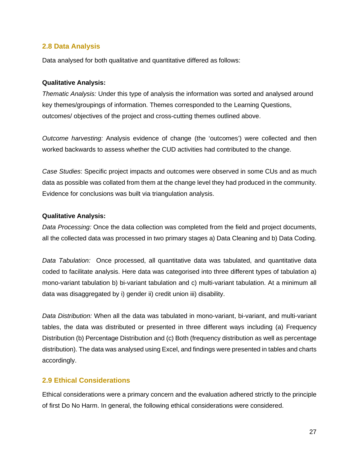#### <span id="page-26-0"></span>**2.8 Data Analysis**

Data analysed for both qualitative and quantitative differed as follows:

#### **Qualitative Analysis:**

*Thematic Analysis:* Under this type of analysis the information was sorted and analysed around key themes/groupings of information. Themes corresponded to the Learning Questions, outcomes/ objectives of the project and cross-cutting themes outlined above.

*Outcome harvesting:* Analysis evidence of change (the 'outcomes') were collected and then worked backwards to assess whether the CUD activities had contributed to the change.

*Case Studies*: Specific project impacts and outcomes were observed in some CUs and as much data as possible was collated from them at the change level they had produced in the community. Evidence for conclusions was built via triangulation analysis.

#### **Qualitative Analysis:**

*Data Processing:* Once the data collection was completed from the field and project documents, all the collected data was processed in two primary stages a) Data Cleaning and b) Data Coding.

*Data Tabulation:* Once processed, all quantitative data was tabulated, and quantitative data coded to facilitate analysis. Here data was categorised into three different types of tabulation a) mono-variant tabulation b) bi-variant tabulation and c) multi-variant tabulation. At a minimum all data was disaggregated by i) gender ii) credit union iii) disability.

*Data Distribution:* When all the data was tabulated in mono-variant, bi-variant, and multi-variant tables, the data was distributed or presented in three different ways including (a) Frequency Distribution (b) Percentage Distribution and (c) Both (frequency distribution as well as percentage distribution). The data was analysed using Excel, and findings were presented in tables and charts accordingly.

#### <span id="page-26-1"></span>**2.9 Ethical Considerations**

Ethical considerations were a primary concern and the evaluation adhered strictly to the principle of first Do No Harm. In general, the following ethical considerations were considered.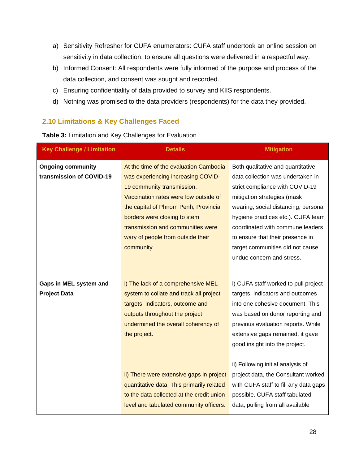- a) Sensitivity Refresher for CUFA enumerators: CUFA staff undertook an online session on sensitivity in data collection, to ensure all questions were delivered in a respectful way.
- b) Informed Consent: All respondents were fully informed of the purpose and process of the data collection, and consent was sought and recorded.
- c) Ensuring confidentiality of data provided to survey and KIIS respondents.
- d) Nothing was promised to the data providers (respondents) for the data they provided.

### <span id="page-27-0"></span>**2.10 Limitations & Key Challenges Faced**

**Table 3:** Limitation and Key Challenges for Evaluation

| <b>Key Challenge / Limitation</b> | <b>Details</b>                            | <b>Mitigation</b>                     |
|-----------------------------------|-------------------------------------------|---------------------------------------|
| <b>Ongoing community</b>          | At the time of the evaluation Cambodia    | Both qualitative and quantitative     |
| transmission of COVID-19          | was experiencing increasing COVID-        | data collection was undertaken in     |
|                                   | 19 community transmission.                | strict compliance with COVID-19       |
|                                   | Vaccination rates were low outside of     | mitigation strategies (mask           |
|                                   | the capital of Phnom Penh, Provincial     | wearing, social distancing, personal  |
|                                   | borders were closing to stem              | hygiene practices etc.). CUFA team    |
|                                   | transmission and communities were         | coordinated with commune leaders      |
|                                   | wary of people from outside their         | to ensure that their presence in      |
|                                   | community.                                | target communities did not cause      |
|                                   |                                           | undue concern and stress.             |
|                                   |                                           |                                       |
| Gaps in MEL system and            | i) The lack of a comprehensive MEL        | i) CUFA staff worked to pull project  |
| <b>Project Data</b>               | system to collate and track all project   | targets, indicators and outcomes      |
|                                   | targets, indicators, outcome and          | into one cohesive document. This      |
|                                   | outputs throughout the project            | was based on donor reporting and      |
|                                   | undermined the overall coherency of       | previous evaluation reports. While    |
|                                   | the project.                              | extensive gaps remained, it gave      |
|                                   |                                           | good insight into the project.        |
|                                   |                                           |                                       |
|                                   |                                           | ii) Following initial analysis of     |
|                                   | ii) There were extensive gaps in project  | project data, the Consultant worked   |
|                                   | quantitative data. This primarily related | with CUFA staff to fill any data gaps |
|                                   | to the data collected at the credit union | possible. CUFA staff tabulated        |
|                                   | level and tabulated community officers.   | data, pulling from all available      |
|                                   |                                           |                                       |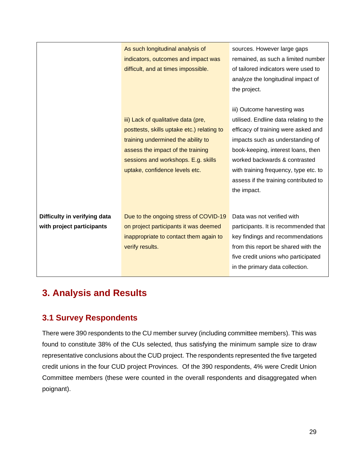|                              | As such longitudinal analysis of           | sources. However large gaps            |
|------------------------------|--------------------------------------------|----------------------------------------|
|                              | indicators, outcomes and impact was        | remained, as such a limited number     |
|                              | difficult, and at times impossible.        | of tailored indicators were used to    |
|                              |                                            | analyze the longitudinal impact of     |
|                              |                                            | the project.                           |
|                              |                                            |                                        |
|                              |                                            | iii) Outcome harvesting was            |
|                              | iii) Lack of qualitative data (pre,        | utilised. Endline data relating to the |
|                              | posttests, skills uptake etc.) relating to | efficacy of training were asked and    |
|                              | training undermined the ability to         | impacts such as understanding of       |
|                              | assess the impact of the training          | book-keeping, interest loans, then     |
|                              | sessions and workshops. E.g. skills        | worked backwards & contrasted          |
|                              | uptake, confidence levels etc.             | with training frequency, type etc. to  |
|                              |                                            | assess if the training contributed to  |
|                              |                                            | the impact.                            |
|                              |                                            |                                        |
|                              |                                            |                                        |
| Difficulty in verifying data | Due to the ongoing stress of COVID-19      | Data was not verified with             |
| with project participants    | on project participants it was deemed      | participants. It is recommended that   |
|                              | inappropriate to contact them again to     | key findings and recommendations       |
|                              | verify results.                            | from this report be shared with the    |
|                              |                                            | five credit unions who participated    |
|                              |                                            | in the primary data collection.        |

# <span id="page-28-0"></span>**3. Analysis and Results**

# <span id="page-28-1"></span>**3.1 Survey Respondents**

There were 390 respondents to the CU member survey (including committee members). This was found to constitute 38% of the CUs selected, thus satisfying the minimum sample size to draw representative conclusions about the CUD project. The respondents represented the five targeted credit unions in the four CUD project Provinces. Of the 390 respondents, 4% were Credit Union Committee members (these were counted in the overall respondents and disaggregated when poignant).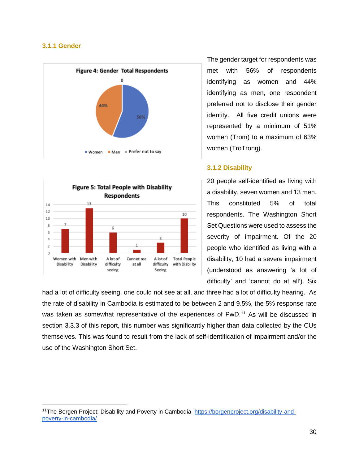#### <span id="page-29-0"></span>**3.1.1 Gender**





The gender target for respondents was met with 56% of respondents identifying as women and 44% identifying as men, one respondent preferred not to disclose their gender identity. All five credit unions were represented by a minimum of 51% women (Trom) to a maximum of 63% women (TroTrong).

#### <span id="page-29-1"></span>**3.1.2 Disability**

20 people self-identified as living with a disability, seven women and 13 men. This constituted 5% of total respondents. The Washington Short Set Questions were used to assess the severity of impairment. Of the 20 people who identified as living with a disability, 10 had a severe impairment (understood as answering 'a lot of difficulty' and 'cannot do at all'). Six

had a lot of difficulty seeing, one could not see at all, and three had a lot of difficulty hearing. As the rate of disability in Cambodia is estimated to be between 2 and 9.5%, the 5% response rate was taken as somewhat representative of the experiences of PwD.<sup>[11](#page-29-2)</sup> As will be discussed in section 3.3.3 of this report, this number was significantly higher than data collected by the CUs themselves. This was found to result from the lack of self-identification of impairment and/or the use of the Washington Short Set.

<span id="page-29-2"></span><sup>&</sup>lt;sup>11</sup>The Borgen Project: Disability and Poverty in Cambodia [https://borgenproject.org/disability-and](https://borgenproject.org/disability-and-poverty-in-cambodia/)[poverty-in-cambodia/](https://borgenproject.org/disability-and-poverty-in-cambodia/)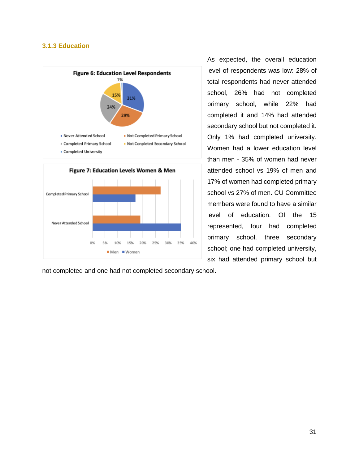#### <span id="page-30-0"></span>**3.1.3 Education**





not completed and one had not completed secondary school.

As expected, the overall education level of respondents was low: 28% of total respondents had never attended school, 26% had not completed primary school, while 22% had completed it and 14% had attended secondary school but not completed it. Only 1% had completed university. Women had a lower education level than men - 35% of women had never attended school vs 19% of men and 17% of women had completed primary school vs 27% of men. CU Committee members were found to have a similar level of education. Of the 15 represented, four had completed primary school, three secondary school; one had completed university, six had attended primary school but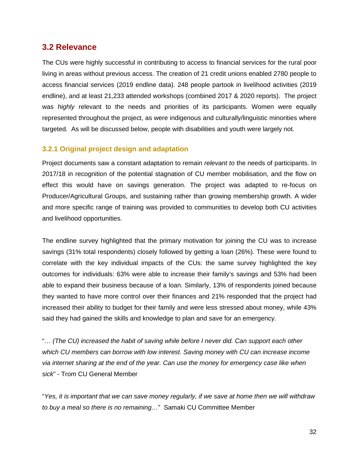# <span id="page-31-0"></span>**3.2 Relevance**

The CUs were highly successful in contributing to access to financial services for the rural poor living in areas without previous access. The creation of 21 credit unions enabled 2780 people to access financial services (2019 endline data). 248 people partook in livelihood activities (2019 endline), and at least 21,233 attended workshops (combined 2017 & 2020 reports). The project was *highly* relevant to the needs and priorities of its participants. Women were equally represented throughout the project, as were indigenous and culturally/linguistic minorities where targeted. As will be discussed below, people with disabilities and youth were largely not.

#### <span id="page-31-1"></span>**3.2.1 Original project design and adaptation**

Project documents saw a constant adaptation to remain *relevant to* the needs of participants. In 2017/18 in recognition of the potential stagnation of CU member mobilisation, and the flow on effect this would have on savings generation. The project was adapted to re-focus on Producer/Agricultural Groups, and sustaining rather than growing membership growth. A wider and more specific range of training was provided to communities to develop both CU activities and livelihood opportunities.

The endline survey highlighted that the primary motivation for joining the CU was to increase savings (31% total respondents) closely followed by getting a loan (26%). These were found to correlate with the key individual impacts of the CUs: the same survey highlighted the key outcomes for individuals: 63% were able to increase their family's savings and 53% had been able to expand their business because of a loan. Similarly, 13% of respondents joined because they wanted to have more control over their finances and 21% responded that the project had increased their ability to budget for their family and were less stressed about money, while 43% said they had gained the skills and knowledge to plan and save for an emergency.

"… *(The CU) increased the habit of saving while before I never did. Can support each other which CU members can borrow with low interest. Saving money with CU can increase income via internet sharing at the end of the year. Can use the money for emergency case like when sick*" - Trom CU General Member

"*Yes, it is important that we can save money regularly, if we save at home then we will withdraw to buy a meal so there is no remaining*…" Samaki CU Committee Member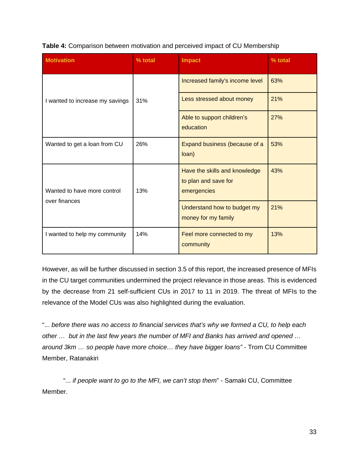| <b>Motivation</b>               | % total | <b>Impact</b>                                                        | % total |
|---------------------------------|---------|----------------------------------------------------------------------|---------|
| I wanted to increase my savings | 31%     | Increased family's income level                                      | 63%     |
|                                 |         | Less stressed about money                                            | 21%     |
|                                 |         | Able to support children's<br>education                              | 27%     |
| Wanted to get a loan from CU    | 26%     | Expand business (because of a<br>loan)                               | 53%     |
| Wanted to have more control     | 13%     | Have the skills and knowledge<br>to plan and save for<br>emergencies | 43%     |
| over finances                   |         | Understand how to budget my<br>money for my family                   | 21%     |
| I wanted to help my community   | 14%     | Feel more connected to my<br>community                               | 13%     |

However, as will be further discussed in section 3.5 of this report, the increased presence of MFIs in the CU target communities undermined the project relevance in those areas. This is evidenced by the decrease from 21 self-sufficient CUs in 2017 to 11 in 2019. The threat of MFIs to the relevance of the Model CUs was also highlighted during the evaluation.

"... *before there was no access to financial services that's why we formed a CU, to help each other … but in the last few years the number of MFI and Banks has arrived and opened … around 3km … so people have more choice… they have bigger loans"* - Trom CU Committee Member, Ratanakiri

"... *if people want to go to the MFI, we can't stop them*" - Samaki CU, Committee Member.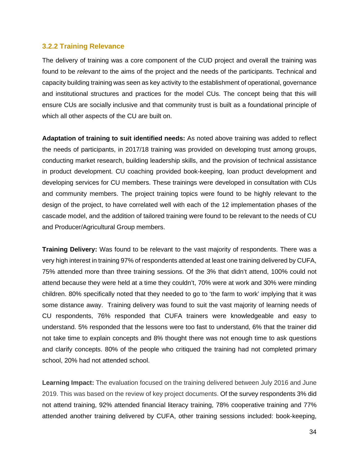#### <span id="page-33-0"></span>**3.2.2 Training Relevance**

The delivery of training was a core component of the CUD project and overall the training was found to be *relevant* to the aims of the project and the needs of the participants. Technical and capacity building training was seen as key activity to the establishment of operational, governance and institutional structures and practices for the model CUs. The concept being that this will ensure CUs are socially inclusive and that community trust is built as a foundational principle of which all other aspects of the CU are built on.

**Adaptation of training to suit identified needs:** As noted above training was added to reflect the needs of participants, in 2017/18 training was provided on developing trust among groups, conducting market research, building leadership skills, and the provision of technical assistance in product development. CU coaching provided book-keeping, loan product development and developing services for CU members. These trainings were developed in consultation with CUs and community members. The project training topics were found to be highly relevant to the design of the project, to have correlated well with each of the 12 implementation phases of the cascade model, and the addition of tailored training were found to be relevant to the needs of CU and Producer/Agricultural Group members.

**Training Delivery:** Was found to be relevant to the vast majority of respondents. There was a very high interest in training 97% of respondents attended at least one training delivered by CUFA, 75% attended more than three training sessions. Of the 3% that didn't attend, 100% could not attend because they were held at a time they couldn't, 70% were at work and 30% were minding children. 80% specifically noted that they needed to go to 'the farm to work' implying that it was some distance away. Training delivery was found to suit the vast majority of learning needs of CU respondents, 76% responded that CUFA trainers were knowledgeable and easy to understand. 5% responded that the lessons were too fast to understand, 6% that the trainer did not take time to explain concepts and 8% thought there was not enough time to ask questions and clarify concepts. 80% of the people who critiqued the training had not completed primary school, 20% had not attended school.

**Learning Impact:** The evaluation focused on the training delivered between July 2016 and June 2019. This was based on the review of key project documents. Of the survey respondents 3% did not attend training, 92% attended financial literacy training, 78% cooperative training and 77% attended another training delivered by CUFA, other training sessions included: book-keeping,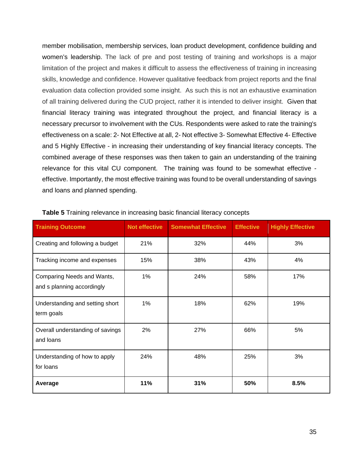member mobilisation, membership services, loan product development, confidence building and women's leadership. The lack of pre and post testing of training and workshops is a major limitation of the project and makes it difficult to assess the effectiveness of training in increasing skills, knowledge and confidence. However qualitative feedback from project reports and the final evaluation data collection provided some insight. As such this is not an exhaustive examination of all training delivered during the CUD project, rather it is intended to deliver insight. Given that financial literacy training was integrated throughout the project, and financial literacy is a necessary precursor to involvement with the CUs. Respondents were asked to rate the training's effectiveness on a scale: 2- Not Effective at all, 2- Not effective 3- Somewhat Effective 4- Effective and 5 Highly Effective - in increasing their understanding of key financial literacy concepts. The combined average of these responses was then taken to gain an understanding of the training relevance for this vital CU component. The training was found to be somewhat effective effective. Importantly, the most effective training was found to be overall understanding of savings and loans and planned spending.

| <b>Training Outcome</b>                                  | <b>Not effective</b> | <b>Somewhat Effective</b> | <b>Effective</b> | <b>Highly Effective</b> |
|----------------------------------------------------------|----------------------|---------------------------|------------------|-------------------------|
| Creating and following a budget                          | 21%                  | 32%                       | 44%              | 3%                      |
| Tracking income and expenses                             | 15%                  | 38%                       | 43%              | 4%                      |
| Comparing Needs and Wants,<br>and s planning accordingly | 1%                   | 24%                       | 58%              | 17%                     |
| Understanding and setting short<br>term goals            | 1%                   | 18%                       | 62%              | 19%                     |
| Overall understanding of savings<br>and loans            | 2%                   | 27%                       | 66%              | 5%                      |
| Understanding of how to apply<br>for loans               | 24%                  | 48%                       | 25%              | 3%                      |
| Average                                                  | 11%                  | 31%                       | 50%              | 8.5%                    |

|  | <b>Table 5</b> Training relevance in increasing basic financial literacy concepts |  |  |
|--|-----------------------------------------------------------------------------------|--|--|
|  |                                                                                   |  |  |
|  |                                                                                   |  |  |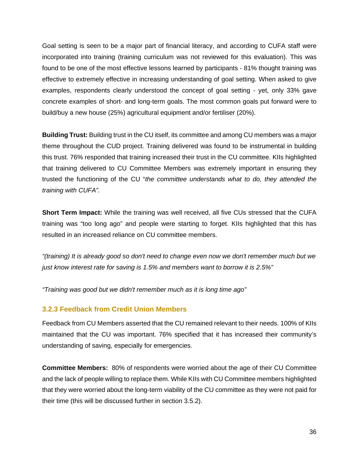Goal setting is seen to be a major part of financial literacy, and according to CUFA staff were incorporated into training (training curriculum was not reviewed for this evaluation). This was found to be one of the most effective lessons learned by participants - 81% thought training was effective to extremely effective in increasing understanding of goal setting. When asked to give examples, respondents clearly understood the concept of goal setting - yet, only 33% gave concrete examples of short- and long-term goals. The most common goals put forward were to build/buy a new house (25%) agricultural equipment and/or fertiliser (20%).

**Building Trust:** Building trust in the CU itself, its committee and among CU members was a major theme throughout the CUD project. Training delivered was found to be instrumental in building this trust. 76% responded that training increased their trust in the CU committee. KIIs highlighted that training delivered to CU Committee Members was extremely important in ensuring they trusted the functioning of the CU "*the committee understands what to do, they attended the training with CUFA".*

**Short Term Impact:** While the training was well received, all five CUs stressed that the CUFA training was "too long ago" and people were starting to forget. KIIs highlighted that this has resulted in an increased reliance on CU committee members.

*"(training) It is already good so don't need to change even now we don't remember much but we just know interest rate for saving is 1.5% and members want to borrow it is 2.5%"* 

*"Training was good but we didn't remember much as it is long time ago"* 

#### <span id="page-35-0"></span>**3.2.3 Feedback from Credit Union Members**

Feedback from CU Members asserted that the CU remained relevant to their needs. 100% of KIIs maintained that the CU was important. 76% specified that it has increased their community's understanding of saving, especially for emergencies.

**Committee Members:** 80% of respondents were worried about the age of their CU Committee and the lack of people willing to replace them. While KIIs with CU Committee members highlighted that they were worried about the long-term viability of the CU committee as they were not paid for their time (this will be discussed further in section 3.5.2).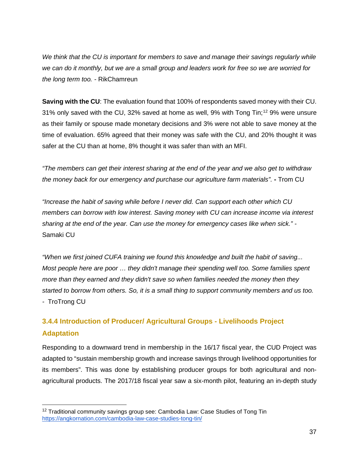*We think that the CU is important for members to save and manage their savings regularly while we can do it monthly, but we are a small group and leaders work for free so we are worried for the long term too. -* RikChamreun

**Saving with the CU**: The evaluation found that 100% of respondents saved money with their CU. 31% only saved with the CU, 32% saved at home as well, 9% with Tong Tin;<sup>[12](#page-36-0)</sup> 9% were unsure as their family or spouse made monetary decisions and 3% were not able to save money at the time of evaluation. 65% agreed that their money was safe with the CU, and 20% thought it was safer at the CU than at home, 8% thought it was safer than with an MFI.

*"The members can get their interest sharing at the end of the year and we also get to withdraw the money back for our emergency and purchase our agriculture farm materials".* **-** Trom CU

*"Increase the habit of saving while before I never did. Can support each other which CU members can borrow with low interest. Saving money with CU can increase income via interest sharing at the end of the year. Can use the money for emergency cases like when sick." -* Samaki CU

*"When we first joined CUFA training we found this knowledge and built the habit of saving... Most people here are poor … they didn't manage their spending well too. Some families spent more than they earned and they didn't save so when families needed the money then they started to borrow from others. So, it is a small thing to support community members and us too. -* TroTrong CU

# **3.4.4 Introduction of Producer/ Agricultural Groups - Livelihoods Project Adaptation**

Responding to a downward trend in membership in the 16/17 fiscal year, the CUD Project was adapted to "sustain membership growth and increase savings through livelihood opportunities for its members". This was done by establishing producer groups for both agricultural and nonagricultural products. The 2017/18 fiscal year saw a six-month pilot, featuring an in-depth study

<span id="page-36-0"></span><sup>&</sup>lt;sup>12</sup> Traditional community savings group see: Cambodia Law: Case Studies of Tong Tin <https://angkornation.com/cambodia-law-case-studies-tong-tin/>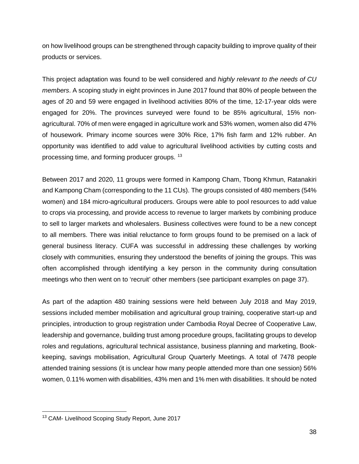on how livelihood groups can be strengthened through capacity building to improve quality of their products or services.

This project adaptation was found to be well considered and *highly relevant to the needs of CU members*. A scoping study in eight provinces in June 2017 found that 80% of people between the ages of 20 and 59 were engaged in livelihood activities 80% of the time, 12-17-year olds were engaged for 20%. The provinces surveyed were found to be 85% agricultural, 15% nonagricultural. 70% of men were engaged in agriculture work and 53% women, women also did 47% of housework. Primary income sources were 30% Rice, 17% fish farm and 12% rubber. An opportunity was identified to add value to agricultural livelihood activities by cutting costs and processing time, and forming producer groups. [13](#page-37-0)

Between 2017 and 2020, 11 groups were formed in Kampong Cham, Tbong Khmun, Ratanakiri and Kampong Cham (corresponding to the 11 CUs). The groups consisted of 480 members (54% women) and 184 micro-agricultural producers. Groups were able to pool resources to add value to crops via processing, and provide access to revenue to larger markets by combining produce to sell to larger markets and wholesalers. Business collectives were found to be a new concept to all members. There was initial reluctance to form groups found to be premised on a lack of general business literacy. CUFA was successful in addressing these challenges by working closely with communities, ensuring they understood the benefits of joining the groups. This was often accomplished through identifying a key person in the community during consultation meetings who then went on to 'recruit' other members (see participant examples on page 37).

As part of the adaption 480 training sessions were held between July 2018 and May 2019, sessions included member mobilisation and agricultural group training, cooperative start-up and principles, introduction to group registration under Cambodia Royal Decree of Cooperative Law, leadership and governance, building trust among procedure groups, facilitating groups to develop roles and regulations, agricultural technical assistance, business planning and marketing, Bookkeeping, savings mobilisation, Agricultural Group Quarterly Meetings. A total of 7478 people attended training sessions (it is unclear how many people attended more than one session) 56% women, 0.11% women with disabilities, 43% men and 1% men with disabilities. It should be noted

<span id="page-37-0"></span><sup>&</sup>lt;sup>13</sup> CAM- Livelihood Scoping Study Report, June 2017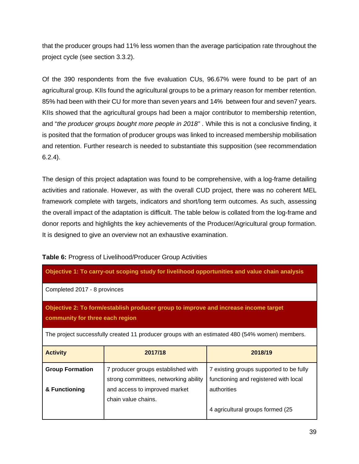that the producer groups had 11% less women than the average participation rate throughout the project cycle (see section 3.3.2).

Of the 390 respondents from the five evaluation CUs, 96.67% were found to be part of an agricultural group. KIIs found the agricultural groups to be a primary reason for member retention. 85% had been with their CU for more than seven years and 14% between four and seven7 years. KIIs showed that the agricultural groups had been a major contributor to membership retention, and "*the producer groups bought more people in 2018"* . While this is not a conclusive finding, it is posited that the formation of producer groups was linked to increased membership mobilisation and retention. Further research is needed to substantiate this supposition (see recommendation 6.2.4).

The design of this project adaptation was found to be comprehensive, with a log-frame detailing activities and rationale. However, as with the overall CUD project, there was no coherent MEL framework complete with targets, indicators and short/long term outcomes. As such, assessing the overall impact of the adaptation is difficult. The table below is collated from the log-frame and donor reports and highlights the key achievements of the Producer/Agricultural group formation. It is designed to give an overview not an exhaustive examination.

| Table 6: Progress of Livelihood/Producer Group Activities |  |
|-----------------------------------------------------------|--|
|-----------------------------------------------------------|--|

| Objective 1: To carry-out scoping study for livelihood opportunities and value chain analysis                          |                                                                                                |                                         |  |  |  |  |
|------------------------------------------------------------------------------------------------------------------------|------------------------------------------------------------------------------------------------|-----------------------------------------|--|--|--|--|
| Completed 2017 - 8 provinces                                                                                           |                                                                                                |                                         |  |  |  |  |
| Objective 2: To form/establish producer group to improve and increase income target<br>community for three each region |                                                                                                |                                         |  |  |  |  |
|                                                                                                                        | The project successfully created 11 producer groups with an estimated 480 (54% women) members. |                                         |  |  |  |  |
| <b>Activity</b>                                                                                                        | 2017/18                                                                                        | 2018/19                                 |  |  |  |  |
| <b>Group Formation</b>                                                                                                 | 7 producer groups established with                                                             | 7 existing groups supported to be fully |  |  |  |  |
| strong committees, networking ability<br>functioning and registered with local                                         |                                                                                                |                                         |  |  |  |  |
| & Functioning                                                                                                          | and access to improved market                                                                  | authorities                             |  |  |  |  |
|                                                                                                                        | chain value chains.                                                                            |                                         |  |  |  |  |
|                                                                                                                        |                                                                                                | 4 agricultural groups formed (25        |  |  |  |  |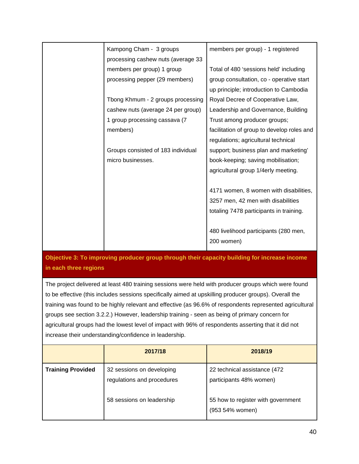| Kampong Cham - 3 groups            | members per group) - 1 registered          |
|------------------------------------|--------------------------------------------|
| processing cashew nuts (average 33 |                                            |
| members per group) 1 group         | Total of 480 'sessions held' including     |
| processing pepper (29 members)     | group consultation, co - operative start   |
|                                    | up principle; introduction to Cambodia     |
| Tbong Khmum - 2 groups processing  | Royal Decree of Cooperative Law,           |
| cashew nuts (average 24 per group) | Leadership and Governance, Building        |
| 1 group processing cassava (7      | Trust among producer groups;               |
| members)                           | facilitation of group to develop roles and |
|                                    | regulations; agricultural technical        |
| Groups consisted of 183 individual | support; business plan and marketing'      |
| micro businesses.                  | book-keeping; saving mobilisation;         |
|                                    | agricultural group 1/4erly meeting.        |
|                                    |                                            |
|                                    | 4171 women, 8 women with disabilities,     |
|                                    | 3257 men, 42 men with disabilities         |
|                                    | totaling 7478 participants in training.    |
|                                    |                                            |
|                                    | 480 livelihood participants (280 men,      |
|                                    | 200 women)                                 |
|                                    |                                            |

# **Objective 3: To improving producer group through their capacity building for increase income in each three regions**

The project delivered at least 480 training sessions were held with producer groups which were found to be effective (this includes sessions specifically aimed at upskilling producer groups). Overall the training was found to be highly relevant and effective (as 96.6% of respondents represented agricultural groups see section 3.2.2.) However, leadership training - seen as being of primary concern for agricultural groups had the lowest level of impact with 96% of respondents asserting that it did not increase their understanding/confidence in leadership.

|                          | 2017/18                                                 | 2018/19                                                 |
|--------------------------|---------------------------------------------------------|---------------------------------------------------------|
| <b>Training Provided</b> | 32 sessions on developing<br>regulations and procedures | 22 technical assistance (472<br>participants 48% women) |
|                          | 58 sessions on leadership                               | 55 how to register with government<br>(953 54% women)   |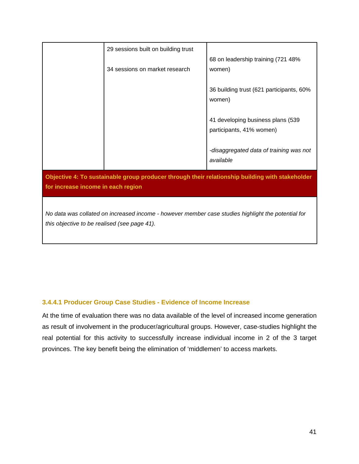|                                                                                                    | 29 sessions built on building trust |                                                                                                 |  |  |  |
|----------------------------------------------------------------------------------------------------|-------------------------------------|-------------------------------------------------------------------------------------------------|--|--|--|
|                                                                                                    |                                     | 68 on leadership training (721 48%                                                              |  |  |  |
|                                                                                                    | 34 sessions on market research      | women)                                                                                          |  |  |  |
|                                                                                                    |                                     |                                                                                                 |  |  |  |
|                                                                                                    |                                     | 36 building trust (621 participants, 60%                                                        |  |  |  |
|                                                                                                    |                                     | women)                                                                                          |  |  |  |
|                                                                                                    |                                     |                                                                                                 |  |  |  |
|                                                                                                    |                                     | 41 developing business plans (539                                                               |  |  |  |
|                                                                                                    |                                     | participants, 41% women)                                                                        |  |  |  |
|                                                                                                    |                                     | -disaggregated data of training was not                                                         |  |  |  |
|                                                                                                    |                                     | available                                                                                       |  |  |  |
|                                                                                                    |                                     |                                                                                                 |  |  |  |
|                                                                                                    |                                     | Objective 4: To sustainable group producer through their relationship building with stakeholder |  |  |  |
| for increase income in each region                                                                 |                                     |                                                                                                 |  |  |  |
|                                                                                                    |                                     |                                                                                                 |  |  |  |
| No data was collated on increased income - however member case studies highlight the potential for |                                     |                                                                                                 |  |  |  |
| this objective to be realised (see page 41).                                                       |                                     |                                                                                                 |  |  |  |
|                                                                                                    |                                     |                                                                                                 |  |  |  |

# **3.4.4.1 Producer Group Case Studies - Evidence of Income Increase**

At the time of evaluation there was no data available of the level of increased income generation as result of involvement in the producer/agricultural groups. However, case-studies highlight the real potential for this activity to successfully increase individual income in 2 of the 3 target provinces. The key benefit being the elimination of 'middlemen' to access markets.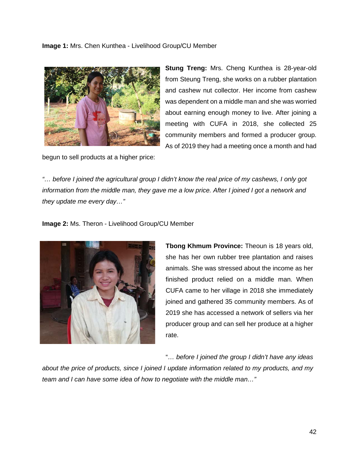**Image 1:** Mrs. Chen Kunthea - Livelihood Group/CU Member



**Stung Treng:** Mrs. Cheng Kunthea is 28-year-old from Steung Treng, she works on a rubber plantation and cashew nut collector. Her income from cashew was dependent on a middle man and she was worried about earning enough money to live. After joining a meeting with CUFA in 2018, she collected 25 community members and formed a producer group. As of 2019 they had a meeting once a month and had

begun to sell products at a higher price:

*"… before I joined the agricultural group I didn't know the real price of my cashews, I only got*  information from the middle man, they gave me a low price. After I joined I got a network and *they update me every day…"* 

**Image 2:** Ms. Theron - Livelihood Group/CU Member



**Tbong Khmum Province:** Theoun is 18 years old, she has her own rubber tree plantation and raises animals. She was stressed about the income as her finished product relied on a middle man. When CUFA came to her village in 2018 she immediately joined and gathered 35 community members. As of 2019 she has accessed a network of sellers via her producer group and can sell her produce at a higher rate.

"*… before I joined the group I didn't have any ideas* 

*about the price of products, since I joined I update information related to my products, and my team and I can have some idea of how to negotiate with the middle man…"*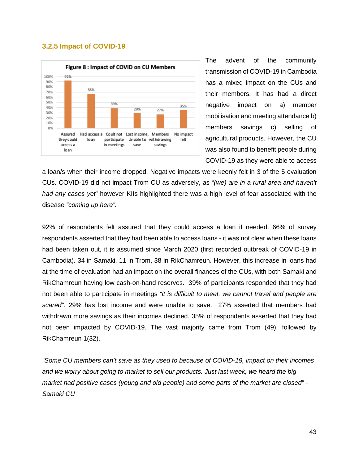#### **3.2.5 Impact of COVID-19**



The advent of the community transmission of COVID-19 in Cambodia has a mixed impact on the CUs and their members. It has had a direct negative impact on a) member mobilisation and meeting attendance b) members savings c) selling of agricultural products. However, the CU was also found to benefit people during COVID-19 as they were able to access

a loan/s when their income dropped. Negative impacts were keenly felt in 3 of the 5 evaluation CUs. COVID-19 did not impact Trom CU as adversely, as "*(we) are in a rural area and haven't had any cases yet*" however KIIs highlighted there was a high level of fear associated with the disease *"coming up here".*

92% of respondents felt assured that they could access a loan if needed. 66% of survey respondents asserted that they had been able to access loans - it was not clear when these loans had been taken out, it is assumed since March 2020 (first recorded outbreak of COVID-19 in Cambodia). 34 in Samaki, 11 in Trom, 38 in RikChamreun. However, this increase in loans had at the time of evaluation had an impact on the overall finances of the CUs, with both Samaki and RikChamreun having low cash-on-hand reserves. 39% of participants responded that they had not been able to participate in meetings *"it is difficult to meet, we cannot travel and people are scared".* 29% has lost income and were unable to save. 27% asserted that members had withdrawn more savings as their incomes declined. 35% of respondents asserted that they had not been impacted by COVID-19. The vast majority came from Trom (49), followed by RikChamreun 1(32).

*"Some CU members can't save as they used to because of COVID-19, impact on their incomes and we worry about going to market to sell our products. Just last week, we heard the big market had positive cases (young and old people) and some parts of the market are closed"* - *Samaki CU*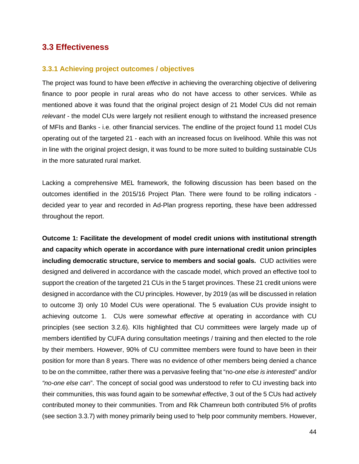# **3.3 Effectiveness**

#### **3.3.1 Achieving project outcomes / objectives**

The project was found to have been *effective* in achieving the overarching objective of delivering finance to poor people in rural areas who do not have access to other services. While as mentioned above it was found that the original project design of 21 Model CUs did not remain *relevant* - the model CUs were largely not resilient enough to withstand the increased presence of MFIs and Banks - i.e. other financial services. The endline of the project found 11 model CUs operating out of the targeted 21 - each with an increased focus on livelihood. While this was not in line with the original project design, it was found to be more suited to building sustainable CUs in the more saturated rural market.

Lacking a comprehensive MEL framework, the following discussion has been based on the outcomes identified in the 2015/16 Project Plan. There were found to be rolling indicators decided year to year and recorded in Ad-Plan progress reporting, these have been addressed throughout the report.

**Outcome 1: Facilitate the development of model credit unions with institutional strength and capacity which operate in accordance with pure international credit union principles including democratic structure, service to members and social goals.** CUD activities were designed and delivered in accordance with the cascade model, which proved an effective tool to support the creation of the targeted 21 CUs in the 5 target provinces. These 21 credit unions were designed in accordance with the CU principles. However, by 2019 (as will be discussed in relation to outcome 3) only 10 Model CUs were operational. The 5 evaluation CUs provide insight to achieving outcome 1. CUs were *somewhat effective* at operating in accordance with CU principles (see section 3.2.6). KIIs highlighted that CU committees were largely made up of members identified by CUFA during consultation meetings / training and then elected to the role by their members. However, 90% of CU committee members were found to have been in their position for more than 8 years. There was no evidence of other members being denied a chance to be on the committee, rather there was a pervasive feeling that "no*-one else is intereste*d" and/or *"no-one else can*". The concept of social good was understood to refer to CU investing back into their communities, this was found again to be *somewhat effective*, 3 out of the 5 CUs had actively contributed money to their communities. Trom and Rik Chamreun both contributed 5% of profits (see section 3.3.7) with money primarily being used to 'help poor community members. However,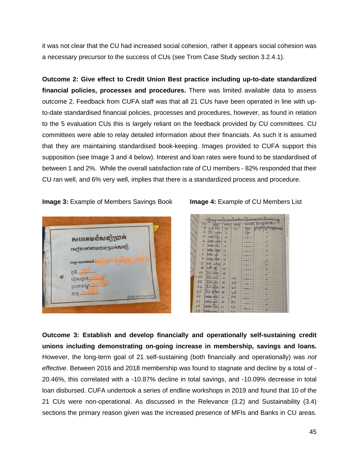it was not clear that the CU had increased social cohesion, rather it appears social cohesion was a necessary precursor to the success of CUs (see Trom Case Study section 3.2.4.1).

**Outcome 2: Give effect to Credit Union Best practice including up-to-date standardized financial policies, processes and procedures.** There was limited available data to assess outcome 2. Feedback from CUFA staff was that all 21 CUs have been operated in line with upto-date standardised financial policies, processes and procedures, however, as found in relation to the 5 evaluation CUs this is largely reliant on the feedback provided by CU committees. CU committees were able to relay detailed information about their financials. As such it is assumed that they are maintaining standardised book-keeping. Images provided to CUFA support this supposition (see Image 3 and 4 below). Interest and loan rates were found to be standardised of between 1 and 2%. While the overall satisfaction rate of CU members - 82% responded that their CU ran well, and 6% very well, implies that there is a standardized process and procedure.

#### **Image 3:** Example of Members Savings Book **Image 4:** Example of CU Members List



| FOUT.<br>602222             |                 |    |     | เงือกการ การนำ ทางเมื่องอันเงิน คุณอาจาร์กเงินทางเทคละ<br>amo weg and Band and |
|-----------------------------|-----------------|----|-----|--------------------------------------------------------------------------------|
|                             |                 |    |     | Sop Sport as most manto                                                        |
| 178588044                   |                 |    |     |                                                                                |
| 86 stor<br>$\overline{2}$   | $\overline{22}$ |    | Sop |                                                                                |
| $9 \text{ m/s}$             | 25              |    |     |                                                                                |
| $4.$ $\n  n$ sto $n$        |                 |    |     |                                                                                |
| $5 - 2000$                  |                 |    |     |                                                                                |
| holes mos 2<br>6            |                 |    |     |                                                                                |
| $\mathcal{F}$<br>ים מתור    | 12              |    |     |                                                                                |
| $\mathcal{Q}$<br>73 125 0   |                 |    |     |                                                                                |
| $\mathbf{g}$<br>ri edbog 27 |                 |    |     |                                                                                |
| 活動<br>16                    |                 |    |     |                                                                                |
| 8550000<br>$\overline{M}$   |                 |    |     |                                                                                |
| $-12$ 85 633 0              |                 | 48 |     |                                                                                |
| 13 86 50 N                  |                 | 28 |     |                                                                                |
| 656<br>14                   | $\overline{M}$  | 78 |     |                                                                                |
| BS KANS<br>15               | $\mathbf{u}$    | 41 |     |                                                                                |
| 72500633<br>16              | $\overline{z}$  | 38 |     |                                                                                |
| 17<br>point and             | 23              | 30 |     |                                                                                |
| 19<br>735732800             |                 |    |     |                                                                                |

**Outcome 3: Establish and develop financially and operationally self-sustaining credit unions including demonstrating on-going increase in membership, savings and loans.**  However, the long-term goal of 21 self-sustaining (both financially and operationally) was *not effective.* Between 2016 and 2018 membership was found to stagnate and decline by a total of - 20.46%, this correlated with a -10.87% decline in total savings, and -10.09% decrease in total loan disbursed. CUFA undertook a series of endline workshops in 2019 and found that 10 of the 21 CUs were non-operational. As discussed in the Relevance (3.2) and Sustainability (3.4) sections the primary reason given was the increased presence of MFIs and Banks in CU areas.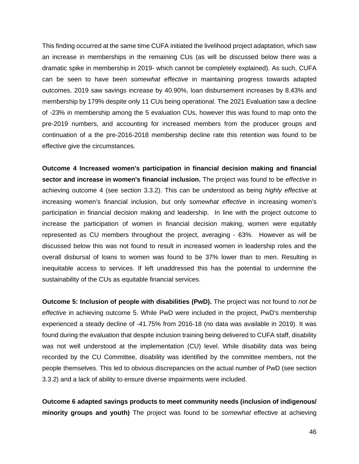This finding occurred at the same time CUFA initiated the livelihood project adaptation, which saw an increase in memberships in the remaining CUs (as will be discussed below there was a dramatic spike in membership in 2019- which cannot be completely explained). As such, CUFA can be seen to have been *somewhat effective* in maintaining progress towards adapted outcomes. 2019 saw savings increase by 40.90%, loan disbursement increases by 8.43% and membership by 179% despite only 11 CUs being operational. The 2021 Evaluation saw a decline of -23% in membership among the 5 evaluation CUs, however this was found to map onto the pre-2019 numbers, and accounting for increased members from the producer groups and continuation of a the pre-2016-2018 membership decline rate this retention was found to be effective give the circumstances.

**Outcome 4 Increased women's participation in financial decision making and financial sector and increase in women's financial inclusion.** The project was found to be *effective* in achieving outcome 4 (see section 3.3.2). This can be understood as being *highly effective* at increasing women's financial inclusion, but only s*omewhat effective* in increasing women's participation in financial decision making and leadership. In line with the project outcome to increase the participation of women in financial decision making, women were equitably represented as CU members throughout the project, averaging - 63%. However as will be discussed below this was not found to result in increased women in leadership roles and the overall disbursal of loans to women was found to be 37% lower than to men. Resulting in inequitable access to services. If left unaddressed this has the potential to undermine the sustainability of the CUs as equitable financial services.

**Outcome 5: Inclusion of people with disabilities (PwD).** The project was not found to *not be effective* in achieving outcome 5. While PwD were included in the project, PwD's membership experienced a steady decline of -41.75% from 2016-18 (no data was available in 2019). It was found during the evaluation that despite inclusion training being delivered to CUFA staff, disability was not well understood at the implementation (CU) level. While disability data was being recorded by the CU Committee, disability was identified by the committee members, not the people themselves. This led to obvious discrepancies on the actual number of PwD (see section 3.3.2) and a lack of ability to ensure diverse impairments were included.

**Outcome 6 adapted savings products to meet community needs (inclusion of indigenous/ minority groups and youth)** The project was found to be *somewhat* effective at achieving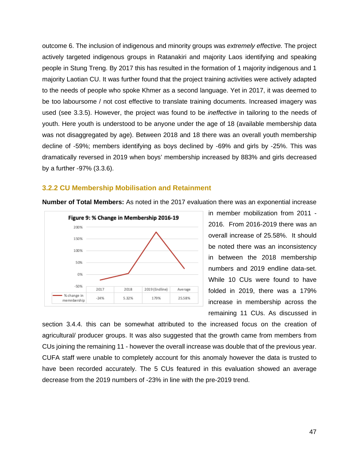outcome 6. The inclusion of indigenous and minority groups was *extremely effective.* The project actively targeted indigenous groups in Ratanakiri and majority Laos identifying and speaking people in Stung Treng. By 2017 this has resulted in the formation of 1 majority indigenous and 1 majority Laotian CU. It was further found that the project training activities were actively adapted to the needs of people who spoke Khmer as a second language. Yet in 2017, it was deemed to be too laboursome / not cost effective to translate training documents. Increased imagery was used (see 3.3.5). However, the project was found to be *ineffective* in tailoring to the needs of youth. Here youth is understood to be anyone under the age of 18 (available membership data was not disaggregated by age). Between 2018 and 18 there was an overall youth membership decline of -59%; members identifying as boys declined by -69% and girls by -25%. This was dramatically reversed in 2019 when boys' membership increased by 883% and girls decreased by a further -97% (3.3.6).

#### **3.2.2 CU Membership Mobilisation and Retainment**



**Number of Total Members:** As noted in the 2017 evaluation there was an exponential increase

in member mobilization from 2011 - 2016. From 2016-2019 there was an overall increase of 25.58%. It should be noted there was an inconsistency in between the 2018 membership numbers and 2019 endline data-set. While 10 CUs were found to have folded in 2019, there was a 179% increase in membership across the remaining 11 CUs. As discussed in

section 3.4.4. this can be somewhat attributed to the increased focus on the creation of agricultural/ producer groups. It was also suggested that the growth came from members from CUs joining the remaining 11 - however the overall increase was double that of the previous year. CUFA staff were unable to completely account for this anomaly however the data is trusted to have been recorded accurately. The 5 CUs featured in this evaluation showed an average decrease from the 2019 numbers of -23% in line with the pre-2019 trend.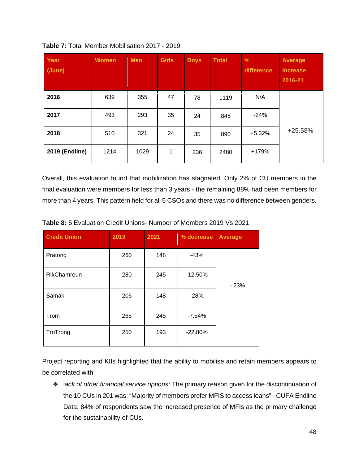| Year<br>(June)        | <b>Women</b> | <b>Men</b> | <b>Girls</b> | <b>Boys</b> | <b>Total</b> | $\%$<br>difference | <b>Average</b><br>increase<br>2016-21 |
|-----------------------|--------------|------------|--------------|-------------|--------------|--------------------|---------------------------------------|
| 2016                  | 639          | 355        | 47           | 78          | 1119         | N/A                |                                       |
| 2017                  | 493          | 293        | 35           | 24          | 845          | $-24%$             |                                       |
| 2018                  | 510          | 321        | 24           | 35          | 890          | $+5.32%$           | $+25.58%$                             |
| <b>2019 (Endline)</b> | 1214         | 1029       | 1            | 236         | 2480         | +179%              |                                       |

**Table 7:** Total Member Mobilisation 2017 - 2019

Overall, this evaluation found that mobilization has stagnated. Only 2% of CU members in the final evaluation were members for less than 3 years - the remaining 88% had been members for more than 4 years. This pattern held for all 5 CSOs and there was no difference between genders.

| <b>Credit Union</b> | 2019 | 2021 | % decrease | <b>Average</b> |
|---------------------|------|------|------------|----------------|
| Pratong             | 260  | 148  | $-43%$     |                |
| <b>RikChamreun</b>  | 280  | 245  | $-12.50%$  | $-23%$         |
| Samaki              | 206  | 148  | $-28%$     |                |
| Trom                | 265  | 245  | $-7.54%$   |                |
| TroTrong            | 250  | 193  | $-22.80%$  |                |

**Table 8:** 5 Evaluation Credit Unions- Number of Members 2019 Vs 2021

Project reporting and KIIs highlighted that the ability to mobilise and retain members appears to be correlated with

❖ l*ack of other financial service options*: The primary reason given for the discontinuation of the 10 CUs in 201 was: "Majority of members prefer MFIS to access loans" - CUFA Endline Data; 84% of respondents saw the increased presence of MFIs as the primary challenge for the sustainability of CUs.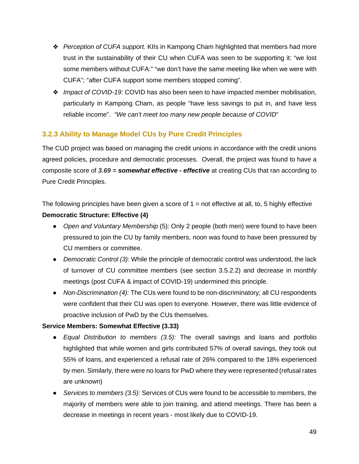- ❖ *Perception of CUFA support.* KIIs in Kampong Cham highlighted that members had more trust in the sustainability of their CU when CUFA was seen to be supporting it: "we lost some members without CUFA:" "we don't have the same meeting like when we were with CUFA"; "after CUFA support some members stopped coming".
- ❖ *Impact of COVID-19:* COVID has also been seen to have impacted member mobilisation, particularly in Kampong Cham, as people "have less savings to put in, and have less reliable income". *"We can't meet too many new people because of COVID*"

# **3.2.3 Ability to Manage Model CUs by Pure Credit Principles**

The CUD project was based on managing the credit unions in accordance with the credit unions agreed policies, procedure and democratic processes. Overall, the project was found to have a composite score of *3.69 = somewhat effective - effective* at creating CUs that ran according to Pure Credit Principles.

The following principles have been given a score of  $1 =$  not effective at all, to, 5 highly effective **Democratic Structure: Effective (4)**

- *Open and Voluntary Membership* (5): Only 2 people (both men) were found to have been pressured to join the CU by family members, noon was found to have been pressured by CU members or committee.
- *Democratic Control (3)*: While the principle of democratic control was understood, the lack of turnover of CU committee members (see section 3.5.2.2) and decrease in monthly meetings (post CUFA & impact of COVID-19) undermined this principle.
- *Non-Discrimination (4):* The CUs were found to be non-discriminatory; all CU respondents were confident that their CU was open to everyone. However, there was little evidence of proactive inclusion of PwD by the CUs themselves.

# **Service Members: Somewhat Effective (3.33)**

- *Equal Distribution to members (3.5):* The overall savings and loans and portfolio highlighted that while women and girls contributed 57% of overall savings, they took out 55% of loans, and experienced a refusal rate of 26% compared to the 18% experienced by men. Similarly, there were no loans for PwD where they were represented (refusal rates are unknown)
- *Services to members (3.5):* Services of CUs were found to be accessible to members, the majority of members were able to join training, and attend meetings. There has been a decrease in meetings in recent years - most likely due to COVID-19.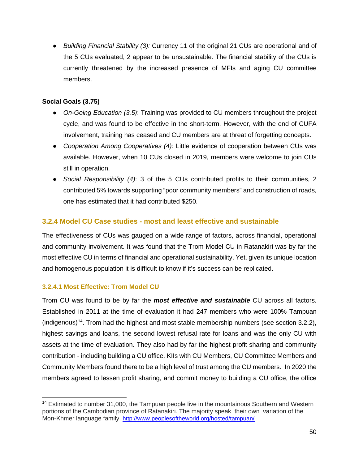● *Building Financial Stability (3):* Currency 11 of the original 21 CUs are operational and of the 5 CUs evaluated, 2 appear to be unsustainable. The financial stability of the CUs is currently threatened by the increased presence of MFIs and aging CU committee members.

# **Social Goals (3.75)**

- *On-Going Education (3.5)*: Training was provided to CU members throughout the project cycle, and was found to be effective in the short-term. However, with the end of CUFA involvement, training has ceased and CU members are at threat of forgetting concepts.
- *Cooperation Among Cooperatives (4)*: Little evidence of cooperation between CUs was available. However, when 10 CUs closed in 2019, members were welcome to join CUs still in operation.
- *Social Responsibility (4)*: 3 of the 5 CUs contributed profits to their communities, 2 contributed 5% towards supporting "poor community members" and construction of roads, one has estimated that it had contributed \$250.

# **3.2.4 Model CU Case studies - most and least effective and sustainable**

The effectiveness of CUs was gauged on a wide range of factors, across financial, operational and community involvement. It was found that the Trom Model CU in Ratanakiri was by far the most effective CU in terms of financial and operational sustainability. Yet, given its unique location and homogenous population it is difficult to know if it's success can be replicated.

# **3.2.4.1 Most Effective: Trom Model CU**

Trom CU was found to be by far the *most effective and sustainable* CU across all factors. Established in 2011 at the time of evaluation it had 247 members who were 100% Tampuan (indigenous)<sup>14</sup>. Trom had the highest and most stable membership numbers (see section 3.2.2), highest savings and loans, the second lowest refusal rate for loans and was the only CU with assets at the time of evaluation. They also had by far the highest profit sharing and community contribution - including building a CU office. KIIs with CU Members, CU Committee Members and Community Members found there to be a high level of trust among the CU members. In 2020 the members agreed to lessen profit sharing, and commit money to building a CU office, the office

<span id="page-49-0"></span><sup>&</sup>lt;sup>14</sup> Estimated to number 31,000, the Tampuan people live in the mountainous Southern and Western portions of the Cambodian province of Ratanakiri. The majority speak their own variation of the Mon-Khmer language family. <http://www.peoplesoftheworld.org/hosted/tampuan/>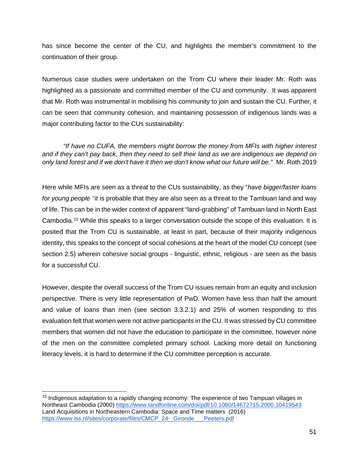has since become the center of the CU, and highlights the member's commitment to the continuation of their group.

Numerous case studies were undertaken on the Trom CU where their leader Mr. Roth was highlighted as a passionate and committed member of the CU and community. It was apparent that Mr. Roth was instrumental in mobilising his community to join and sustain the CU. Further, it can be seen that community cohesion, and maintaining possession of indigenous lands was a major contributing factor to the CUs sustainability:

*"If have no CUFA, the members might borrow the money from MFIs with higher interest and if they can't pay back, then they need to sell their land as we are indigenous we depend on only land forest and if we don't have it then we don't know what our future will be.''* Mr. Roth 2019

Here while MFIs are seen as a threat to the CUs sustainability, as they "*have bigger/faster loans for young people ''it* is probable that they are also seen as a threat to the Tambuan land and way of life. This can be in the wider context of apparent "land-grabbing" of Tambuan land in North East Cambodia.[15](#page-50-0) While this speaks to a larger conversation outside the scope of this evaluation. It is posited that the Trom CU is sustainable, at least in part, because of their majority indigenous identity, this speaks to the concept of social cohesions at the heart of the model CU concept (see section 2.5) wherein cohesive social groups - linguistic, ethnic, religious - are seen as the basis for a successful CU.

However, despite the overall success of the Trom CU issues remain from an equity and inclusion perspective. There is very little representation of PwD. Women have less than half the amount and value of loans than men (see section 3.3.2.1) and 25% of women responding to this evaluation felt that women were not active participants in the CU. It was stressed by CU committee members that women did not have the education to participate in the committee, however none of the men on the committee completed primary school. Lacking more detail on functioning literacy levels, it is hard to determine if the CU committee perception is accurate.

<span id="page-50-0"></span><sup>&</sup>lt;sup>15</sup> Indigenous adaptation to a rapidly changing economy: The experience of two Tampuan villages in Northeast Cambodia (2000)<https://www.tandfonline.com/doi/pdf/10.1080/14672715.2000.10419543> Land Acquisitions in Northeastern Cambodia: Space and Time matters (2016) https://www.iss.nl/sites/corporate/files/CMCP\_24-\_Gironde \_\_\_Peeters.pdf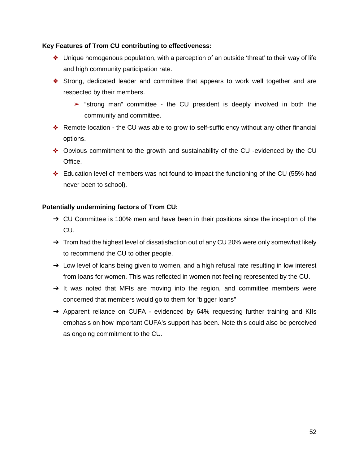### **Key Features of Trom CU contributing to effectiveness:**

- ❖ Unique homogenous population, with a perception of an outside 'threat' to their way of life and high community participation rate.
- ❖ Strong, dedicated leader and committee that appears to work well together and are respected by their members.
	- $\triangleright$  "strong man" committee the CU president is deeply involved in both the community and committee.
- ❖ Remote location the CU was able to grow to self-sufficiency without any other financial options.
- ❖ Obvious commitment to the growth and sustainability of the CU -evidenced by the CU Office.
- ❖ Education level of members was not found to impact the functioning of the CU (55% had never been to school).

### **Potentially undermining factors of Trom CU:**

- → CU Committee is 100% men and have been in their positions since the inception of the CU.
- $\rightarrow$  Trom had the highest level of dissatisfaction out of any CU 20% were only somewhat likely to recommend the CU to other people.
- → Low level of loans being given to women, and a high refusal rate resulting in low interest from loans for women. This was reflected in women not feeling represented by the CU.
- → It was noted that MFIs are moving into the region, and committee members were concerned that members would go to them for "bigger loans"
- → Apparent reliance on CUFA evidenced by 64% requesting further training and KIIs emphasis on how important CUFA's support has been. Note this could also be perceived as ongoing commitment to the CU.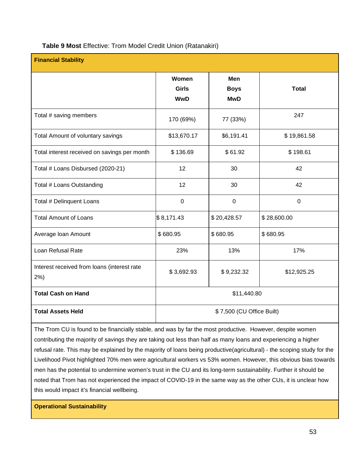| Table 9 Most Effective: Trom Model Credit Union (Ratanakiri) |  |  |  |  |  |  |
|--------------------------------------------------------------|--|--|--|--|--|--|
|--------------------------------------------------------------|--|--|--|--|--|--|

| <b>Financial Stability</b>                            |                              |                                  |              |  |
|-------------------------------------------------------|------------------------------|----------------------------------|--------------|--|
|                                                       | Women<br>Girls<br><b>WwD</b> | Men<br><b>Boys</b><br><b>MwD</b> | <b>Total</b> |  |
| Total # saving members                                | 170 (69%)                    | 77 (33%)                         | 247          |  |
| Total Amount of voluntary savings                     | \$13,670.17                  | \$6,191.41                       | \$19,861.58  |  |
| Total interest received on savings per month          | \$136.69                     | \$61.92                          | \$198.61     |  |
| Total # Loans Disbursed (2020-21)                     | 12                           | 30                               | 42           |  |
| Total # Loans Outstanding                             | 12                           | 30                               | 42           |  |
| Total # Delinquent Loans                              | $\pmb{0}$                    | $\mathbf 0$                      | $\pmb{0}$    |  |
| <b>Total Amount of Loans</b>                          | \$8,171.43                   | \$20,428.57                      | \$28,600.00  |  |
| Average Ioan Amount                                   | \$680.95                     | \$680.95                         | \$680.95     |  |
| Loan Refusal Rate                                     | 23%                          | 13%                              | 17%          |  |
| Interest received from loans (interest rate<br>$2%$ ) | \$3,692.93                   | \$9,232.32                       | \$12,925.25  |  |
| <b>Total Cash on Hand</b>                             | \$11,440.80                  |                                  |              |  |
| <b>Total Assets Held</b>                              | \$7,500 (CU Office Built)    |                                  |              |  |

The Trom CU is found to be financially stable, and was by far the most productive. However, despite women contributing the majority of savings they are taking out less than half as many loans and experiencing a higher refusal rate. This may be explained by the majority of loans being productive(agricultural) - the scoping study for the Livelihood Pivot highlighted 70% men were agricultural workers vs 53% women. However, this obvious bias towards men has the potential to undermine women's trust in the CU and its long-term sustainability. Further it should be noted that Trom has not experienced the impact of COVID-19 in the same way as the other CUs, it is unclear how this would impact it's financial wellbeing.

**Operational Sustainability**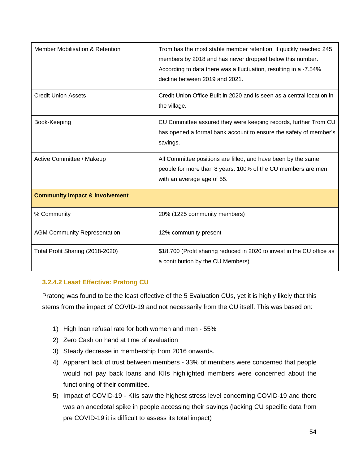| Member Mobilisation & Retention           | Trom has the most stable member retention, it quickly reached 245<br>members by 2018 and has never dropped below this number.<br>According to data there was a fluctuation, resulting in a -7.54%<br>decline between 2019 and 2021. |
|-------------------------------------------|-------------------------------------------------------------------------------------------------------------------------------------------------------------------------------------------------------------------------------------|
| <b>Credit Union Assets</b>                | Credit Union Office Built in 2020 and is seen as a central location in<br>the village.                                                                                                                                              |
| Book-Keeping                              | CU Committee assured they were keeping records, further Trom CU<br>has opened a formal bank account to ensure the safety of member's<br>savings.                                                                                    |
| Active Committee / Makeup                 | All Committee positions are filled, and have been by the same<br>people for more than 8 years. 100% of the CU members are men<br>with an average age of 55.                                                                         |
| <b>Community Impact &amp; Involvement</b> |                                                                                                                                                                                                                                     |
| % Community                               | 20% (1225 community members)                                                                                                                                                                                                        |
| <b>AGM Community Representation</b>       | 12% community present                                                                                                                                                                                                               |
| Total Profit Sharing (2018-2020)          | \$18,700 (Profit sharing reduced in 2020 to invest in the CU office as<br>a contribution by the CU Members)                                                                                                                         |

# **3.2.4.2 Least Effective: Pratong CU**

Pratong was found to be the least effective of the 5 Evaluation CUs, yet it is highly likely that this stems from the impact of COVID-19 and not necessarily from the CU itself. This was based on:

- 1) High loan refusal rate for both women and men 55%
- 2) Zero Cash on hand at time of evaluation
- 3) Steady decrease in membership from 2016 onwards.
- 4) Apparent lack of trust between members 33% of members were concerned that people would not pay back loans and KIIs highlighted members were concerned about the functioning of their committee.
- 5) Impact of COVID-19 KIIs saw the highest stress level concerning COVID-19 and there was an anecdotal spike in people accessing their savings (lacking CU specific data from pre COVID-19 it is difficult to assess its total impact)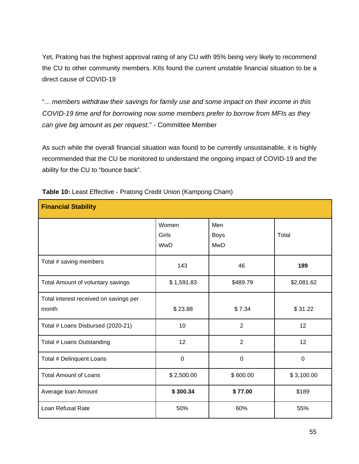Yet, Pratong has the highest approval rating of any CU with 95% being very likely to recommend the CU to other community members. KIIs found the current unstable financial situation to be a direct cause of COVID-19

"... *members withdraw their savings for family use and some impact on their income in this COVID-19 time and for borrowing now some members prefer to borrow from MFIs as they can give big amount as per request.*" - Committee Member

As such while the overall financial situation was found to be currently unsustainable, it is highly recommended that the CU be monitored to understand the ongoing impact of COVID-19 and the ability for the CU to "bounce back".

| <b>Financial Stability</b>                      |                       |                                  |             |
|-------------------------------------------------|-----------------------|----------------------------------|-------------|
|                                                 | Women<br>Girls<br>WwD | Men<br><b>Boys</b><br><b>MwD</b> | Total       |
| Total # saving members                          | 143                   | 46                               | 189         |
| Total Amount of voluntary savings               | \$1,591.83            | \$489.79                         | \$2,081.62  |
| Total interest received on savings per<br>month | \$23.88               | \$7.34                           | \$31.22     |
| Total # Loans Disbursed (2020-21)               | 10                    | $\overline{2}$                   | 12          |
| Total # Loans Outstanding                       | 12                    | $\overline{2}$                   | 12          |
| Total # Delinquent Loans                        | $\mathbf 0$           | $\mathbf 0$                      | $\mathbf 0$ |
| <b>Total Amount of Loans</b>                    | \$2,500.00            | \$600.00                         | \$3,100.00  |
| Average Ioan Amount                             | \$300.34              | \$77.00                          | \$189       |
| Loan Refusal Rate                               | 50%                   | 60%                              | 55%         |

**Table 10:** Least Effective - Pratong Credit Union (Kampong Cham)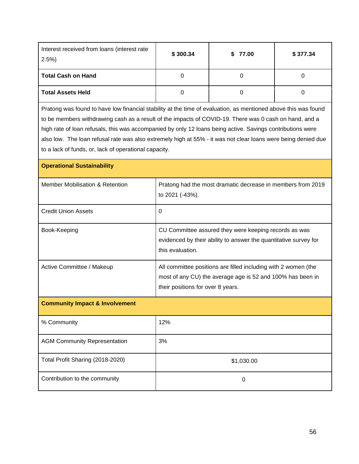| Interest received from loans (interest rate<br>2.5%                                                            | \$300.34 | \$77.00 | \$377.34 |  |  |  |
|----------------------------------------------------------------------------------------------------------------|----------|---------|----------|--|--|--|
| <b>Total Cash on Hand</b>                                                                                      |          |         | O        |  |  |  |
| <b>Total Assets Held</b>                                                                                       |          |         |          |  |  |  |
| Pratong was found to have low financial stability at the time of evaluation, as mentioned above this was found |          |         |          |  |  |  |

to be members withdrawing cash as a result of the impacts of COVID-19. There was 0 cash on hand, and a high rate of loan refusals, this was accompanied by only 12 loans being active. Savings contributions were also low. The loan refusal rate was also extremely high at 55% - it was not clear loans were being denied due to a lack of funds, or, lack of operational capacity.

| <b>Operational Sustainability</b>          |                                                                                                                                                                   |
|--------------------------------------------|-------------------------------------------------------------------------------------------------------------------------------------------------------------------|
| <b>Member Mobilisation &amp; Retention</b> | Pratong had the most dramatic decrease in members from 2019<br>to 2021 (-43%).                                                                                    |
| <b>Credit Union Assets</b>                 | $\Omega$                                                                                                                                                          |
| Book-Keeping                               | CU Committee assured they were keeping records as was<br>evidenced by their ability to answer the quantitative survey for<br>this evaluation.                     |
| Active Committee / Makeup                  | All committee positions are filled including with 2 women (the<br>most of any CU) the average age is 52 and 100% has been in<br>their positions for over 8 years. |
| <b>Community Impact &amp; Involvement</b>  |                                                                                                                                                                   |
| % Community                                | 12%                                                                                                                                                               |
| <b>AGM Community Representation</b>        | 3%                                                                                                                                                                |
| Total Profit Sharing (2018-2020)           | \$1,030.00                                                                                                                                                        |
| Contribution to the community              | $\Omega$                                                                                                                                                          |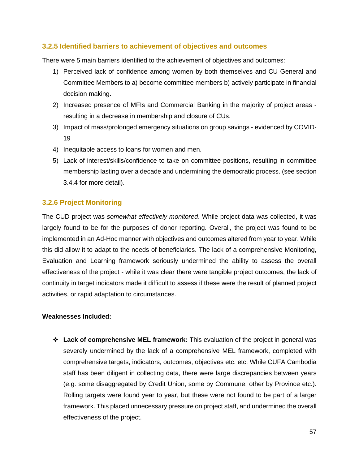# **3.2.5 Identified barriers to achievement of objectives and outcomes**

There were 5 main barriers identified to the achievement of objectives and outcomes:

- 1) Perceived lack of confidence among women by both themselves and CU General and Committee Members to a) become committee members b) actively participate in financial decision making.
- 2) Increased presence of MFIs and Commercial Banking in the majority of project areas resulting in a decrease in membership and closure of CUs.
- 3) Impact of mass/prolonged emergency situations on group savings evidenced by COVID-19
- 4) Inequitable access to loans for women and men.
- 5) Lack of interest/skills/confidence to take on committee positions, resulting in committee membership lasting over a decade and undermining the democratic process. (see section 3.4.4 for more detail).

# **3.2.6 Project Monitoring**

The CUD project was *somewhat effectively monitored*. While project data was collected, it was largely found to be for the purposes of donor reporting. Overall, the project was found to be implemented in an Ad-Hoc manner with objectives and outcomes altered from year to year. While this did allow it to adapt to the needs of beneficiaries. The lack of a comprehensive Monitoring, Evaluation and Learning framework seriously undermined the ability to assess the overall effectiveness of the project - while it was clear there were tangible project outcomes, the lack of continuity in target indicators made it difficult to assess if these were the result of planned project activities, or rapid adaptation to circumstances.

#### **Weaknesses Included:**

❖ **Lack of comprehensive MEL framework:** This evaluation of the project in general was severely undermined by the lack of a comprehensive MEL framework, completed with comprehensive targets, indicators, outcomes, objectives etc. etc. While CUFA Cambodia staff has been diligent in collecting data, there were large discrepancies between years (e.g. some disaggregated by Credit Union, some by Commune, other by Province etc.). Rolling targets were found year to year, but these were not found to be part of a larger framework. This placed unnecessary pressure on project staff, and undermined the overall effectiveness of the project.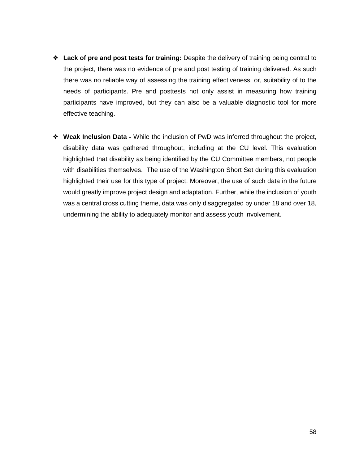- ❖ **Lack of pre and post tests for training:** Despite the delivery of training being central to the project, there was no evidence of pre and post testing of training delivered. As such there was no reliable way of assessing the training effectiveness, or, suitability of to the needs of participants. Pre and posttests not only assist in measuring how training participants have improved, but they can also be a valuable diagnostic tool for more effective teaching.
- ❖ **Weak Inclusion Data -** While the inclusion of PwD was inferred throughout the project, disability data was gathered throughout, including at the CU level. This evaluation highlighted that disability as being identified by the CU Committee members, not people with disabilities themselves. The use of the Washington Short Set during this evaluation highlighted their use for this type of project. Moreover, the use of such data in the future would greatly improve project design and adaptation. Further, while the inclusion of youth was a central cross cutting theme, data was only disaggregated by under 18 and over 18, undermining the ability to adequately monitor and assess youth involvement.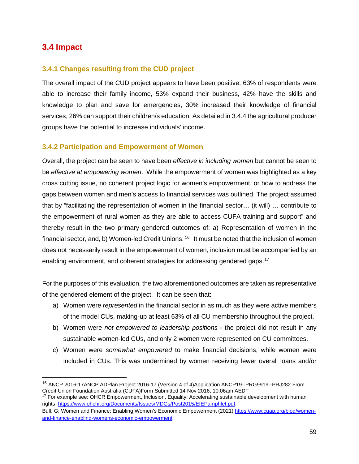# **3.4 Impact**

# **3.4.1 Changes resulting from the CUD project**

The overall impact of the CUD project appears to have been positive. 63% of respondents were able to increase their family income, 53% expand their business, 42% have the skills and knowledge to plan and save for emergencies, 30% increased their knowledge of financial services, 26% can support their children/s education. As detailed in 3.4.4 the agricultural producer groups have the potential to increase individuals' income.

# **3.4.2 Participation and Empowerment of Women**

Overall, the project can be seen to have been *effective in including women* but cannot be seen to be *effective at empowering women*. While the empowerment of women was highlighted as a key cross cutting issue, no coherent project logic for women's empowerment, or how to address the gaps between women and men's access to financial services was outlined. The project assumed that by "facilitating the representation of women in the financial sector… (it will) … contribute to the empowerment of rural women as they are able to access CUFA training and support" and thereby result in the two primary gendered outcomes of: a) Representation of women in the financial sector, and, b) Women-led Credit Unions.  $16$  It must be noted that the inclusion of women does not necessarily result in the empowerment of women, inclusion must be accompanied by an enabling environment, and coherent strategies for addressing gendered gaps.<sup>[17](#page-58-1)</sup>

For the purposes of this evaluation, the two aforementioned outcomes are taken as representative of the gendered element of the project. It can be seen that:

- a) Women were *represented* in the financial sector in as much as they were active members of the model CUs, making-up at least 63% of all CU membership throughout the project.
- b) Women were *not empowered to leadership positions* the project did not result in any sustainable women-led CUs, and only 2 women were represented on CU committees.
- c) Women were *somewhat empowered* to make financial decisions, while women were included in CUs. This was undermined by women receiving fewer overall loans and/or

<span id="page-58-0"></span><sup>&</sup>lt;sup>16</sup> ANCP 2016-17ANCP ADPlan Project 2016-17 (Version 4 of 4)Application ANCP19--PRG9919--PRJ282 From Credit Union Foundation Australia (CUFA)Form Submitted 14 Nov 2016, 10:06am AEDT

<span id="page-58-1"></span><sup>&</sup>lt;sup>17</sup> For example see: OHCR Empowerment, Inclusion, Equality: Accelerating sustainable development with human rights [https://www.ohchr.org/Documents/Issues/MDGs/Post2015/EIEPamphlet.pdf;](https://www.ohchr.org/Documents/Issues/MDGs/Post2015/EIEPamphlet.pdf)

Bull, G: Women and Finance: Enabling Women's Economic Empowerment (2021[\) https://www.cgap.org/blog/women](https://www.cgap.org/blog/women-and-finance-enabling-womens-economic-empowerment)[and-finance-enabling-womens-economic-empowerment](https://www.cgap.org/blog/women-and-finance-enabling-womens-economic-empowerment)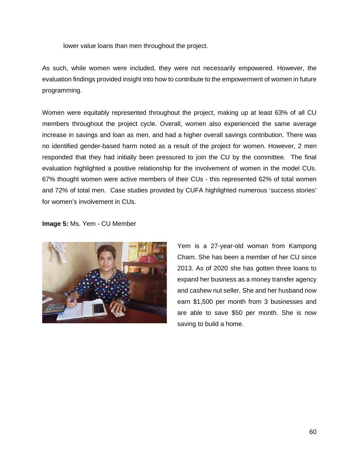lower value loans than men throughout the project.

As such, while women were included, they were not necessarily empowered. However, the evaluation findings provided insight into how to contribute to the empowerment of women in future programming.

Women were equitably represented throughout the project, making up at least 63% of all CU members throughout the project cycle. Overall, women also experienced the same average increase in savings and loan as men, and had a higher overall savings contribution. There was no identified gender-based harm noted as a result of the project for women. However, 2 men responded that they had initially been pressured to join the CU by the committee. The final evaluation highlighted a positive relationship for the involvement of women in the model CUs. 67% thought women were active members of their CUs - this represented 62% of total women and 72% of total men. Case studies provided by CUFA highlighted numerous 'success stories' for women's involvement in CUs.

#### **Image 5:** Ms. Yem - CU Member



Yem is a 27-year-old woman from Kampong Cham. She has been a member of her CU since 2013. As of 2020 she has gotten three loans to expand her business as a money transfer agency and cashew nut seller. She and her husband now earn \$1,500 per month from 3 businesses and are able to save \$50 per month. She is now saving to build a home.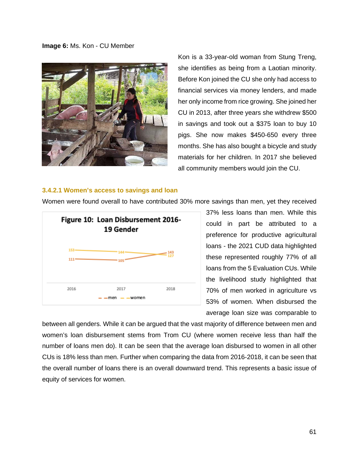#### **Image 6:** Ms. Kon - CU Member



Kon is a 33-year-old woman from Stung Treng, she identifies as being from a Laotian minority. Before Kon joined the CU she only had access to financial services via money lenders, and made her only income from rice growing. She joined her CU in 2013, after three years she withdrew \$500 in savings and took out a \$375 loan to buy 10 pigs. She now makes \$450-650 every three months. She has also bought a bicycle and study materials for her children. In 2017 she believed all community members would join the CU.

#### **3.4.2.1 Women's access to savings and loan**



Women were found overall to have contributed 30% more savings than men, yet they received

37% less loans than men. While this could in part be attributed to a preference for productive agricultural loans - the 2021 CUD data highlighted these represented roughly 77% of all loans from the 5 Evaluation CUs. While the livelihood study highlighted that 70% of men worked in agriculture vs 53% of women. When disbursed the average loan size was comparable to

between all genders. While it can be argued that the vast majority of difference between men and women's loan disbursement stems from Trom CU (where women receive less than half the number of loans men do). It can be seen that the average loan disbursed to women in all other CUs is 18% less than men. Further when comparing the data from 2016-2018, it can be seen that the overall number of loans there is an overall downward trend. This represents a basic issue of equity of services for women.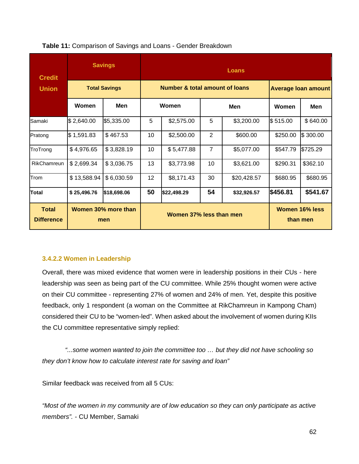| <b>Credit</b><br><b>Union</b>     | <b>Savings</b>             |                      | <b>Loans</b>                              |             |                |             |                                   |          |  |
|-----------------------------------|----------------------------|----------------------|-------------------------------------------|-------------|----------------|-------------|-----------------------------------|----------|--|
|                                   |                            | <b>Total Savings</b> | <b>Number &amp; total amount of loans</b> |             |                |             | <b>Average loan amount</b>        |          |  |
|                                   | Women                      | Men                  | Women                                     |             | Men            |             | <b>Women</b>                      | Men      |  |
| Samaki                            | \$2,640.00                 | \$5,335.00           | 5                                         | \$2,575.00  | 5              | \$3,200.00  | \$515.00                          | \$640.00 |  |
| Pratong                           | \$1,591.83                 | \$467.53             | 10                                        | \$2,500.00  | 2              | \$600.00    | \$250.00                          | \$300.00 |  |
| TroTrong                          | \$4,976.65                 | \$3,828.19           | 10                                        | \$5,477.88  | $\overline{7}$ | \$5,077.00  | \$547.79                          | \$725.29 |  |
| RikChamreun                       | \$2,699.34                 | \$3,036.75           | 13                                        | \$3,773.98  | 10             | \$3,621.00  | \$290.31                          | \$362.10 |  |
| Trom                              | \$13,588.94                | \$6,030.59           | 12 <sup>2</sup>                           | \$8,171.43  | 30             | \$20,428.57 | \$680.95                          | \$680.95 |  |
| Total                             | \$25,496.76                | \$18,698.06          | 50                                        | \$22,498.29 | 54             | \$32,926.57 | \$456.81                          | \$541.67 |  |
| <b>Total</b><br><b>Difference</b> | Women 30% more than<br>men |                      | Women 37% less than men                   |             |                |             | <b>Women 16% less</b><br>than men |          |  |

#### **Table 11:** Comparison of Savings and Loans - Gender Breakdown

#### **3.4.2.2 Women in Leadership**

Overall, there was mixed evidence that women were in leadership positions in their CUs - here leadership was seen as being part of the CU committee. While 25% thought women were active on their CU committee - representing 27% of women and 24% of men. Yet, despite this positive feedback, only 1 respondent (a woman on the Committee at RikChamreun in Kampong Cham) considered their CU to be "women-led". When asked about the involvement of women during KIIs the CU committee representative simply replied:

*"...some women wanted to join the committee too … but they did not have schooling so they don't know how to calculate interest rate for saving and loan"* 

Similar feedback was received from all 5 CUs:

*"Most of the women in my community are of low education so they can only participate as active members".* - CU Member, Samaki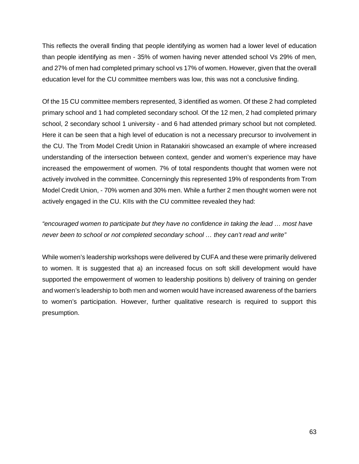This reflects the overall finding that people identifying as women had a lower level of education than people identifying as men - 35% of women having never attended school Vs 29% of men, and 27% of men had completed primary school vs 17% of women. However, given that the overall education level for the CU committee members was low, this was not a conclusive finding.

Of the 15 CU committee members represented, 3 identified as women. Of these 2 had completed primary school and 1 had completed secondary school. Of the 12 men, 2 had completed primary school, 2 secondary school 1 university - and 6 had attended primary school but not completed. Here it can be seen that a high level of education is not a necessary precursor to involvement in the CU. The Trom Model Credit Union in Ratanakiri showcased an example of where increased understanding of the intersection between context, gender and women's experience may have increased the empowerment of women. 7% of total respondents thought that women were not actively involved in the committee. Concerningly this represented 19% of respondents from Trom Model Credit Union, - 70% women and 30% men. While a further 2 men thought women were not actively engaged in the CU. KIIs with the CU committee revealed they had:

*"encouraged women to participate but they have no confidence in taking the lead … most have never been to school or not completed secondary school … they can't read and write"* 

While women's leadership workshops were delivered by CUFA and these were primarily delivered to women. It is suggested that a) an increased focus on soft skill development would have supported the empowerment of women to leadership positions b) delivery of training on gender and women's leadership to both men and women would have increased awareness of the barriers to women's participation. However, further qualitative research is required to support this presumption.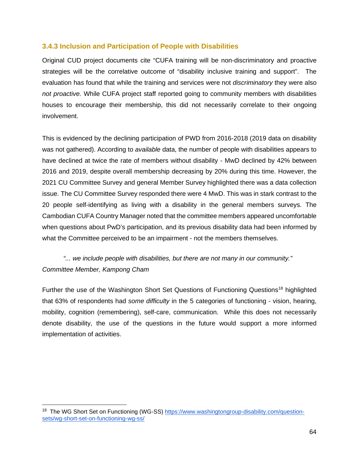# **3.4.3 Inclusion and Participation of People with Disabilities**

Original CUD project documents cite "CUFA training will be non-discriminatory and proactive strategies will be the correlative outcome of "disability inclusive training and support". The evaluation has found that while the training and services were not *discriminatory* they were also *not proactive.* While CUFA project staff reported going to community members with disabilities houses to encourage their membership, this did not necessarily correlate to their ongoing involvement.

This is evidenced by the declining participation of PWD from 2016-2018 (2019 data on disability was not gathered). According to *available* data, the number of people with disabilities appears to have declined at twice the rate of members without disability - MwD declined by 42% between 2016 and 2019, despite overall membership decreasing by 20% during this time. However, the 2021 CU Committee Survey and general Member Survey highlighted there was a data collection issue. The CU Committee Survey responded there were 4 MwD. This was in stark contrast to the 20 people self-identifying as living with a disability in the general members surveys. The Cambodian CUFA Country Manager noted that the committee members appeared uncomfortable when questions about PwD's participation, and its previous disability data had been informed by what the Committee perceived to be an impairment - not the members themselves.

# *"... we include people with disabilities, but there are not many in our community." Committee Member, Kampong Cham*

Further the use of the Washington Short Set Questions of Functioning Questions<sup>[18](#page-63-0)</sup> highlighted that 63% of respondents had *some difficulty* in the 5 categories of functioning - vision, hearing, mobility, cognition (remembering), self-care, communication. While this does not necessarily denote disability, the use of the questions in the future would support a more informed implementation of activities.

<span id="page-63-0"></span><sup>&</sup>lt;sup>18</sup> The WG Short Set on Functioning (WG-SS) [https://www.washingtongroup-disability.com/question](https://www.washingtongroup-disability.com/question-sets/wg-short-set-on-functioning-wg-ss/)[sets/wg-short-set-on-functioning-wg-ss/](https://www.washingtongroup-disability.com/question-sets/wg-short-set-on-functioning-wg-ss/)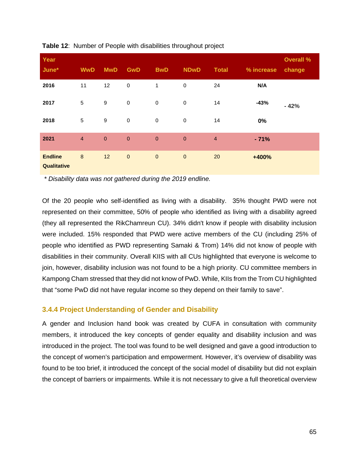| Year<br>June*                 | <b>WwD</b>     | <b>MwD</b>       | <b>GwD</b>   | <b>BwD</b>  | <b>NDwD</b> | <b>Total</b>   | % increase | <b>Overall %</b><br>change |
|-------------------------------|----------------|------------------|--------------|-------------|-------------|----------------|------------|----------------------------|
| 2016                          | 11             | 12               | $\pmb{0}$    | 1           | $\pmb{0}$   | 24             | N/A        |                            |
| 2017                          | 5              | $\boldsymbol{9}$ | $\mathbf 0$  | $\mathbf 0$ | $\pmb{0}$   | 14             | $-43%$     | $-42%$                     |
| 2018                          | 5              | $\boldsymbol{9}$ | $\pmb{0}$    | $\pmb{0}$   | $\pmb{0}$   | 14             | 0%         |                            |
| 2021                          | $\overline{4}$ | $\mathbf{0}$     | $\mathbf{0}$ | $\theta$    | $\bf 0$     | $\overline{4}$ | $-71%$     |                            |
| <b>Endline</b><br>Qualitative | $\bf 8$        | 12               | $\pmb{0}$    | $\pmb{0}$   | $\bf 0$     | 20             | +400%      |                            |

**Table 12**: Number of People with disabilities throughout project

*\* Disability data was not gathered during the 2019 endline.*

Of the 20 people who self-identified as living with a disability. 35% thought PWD were not represented on their committee, 50% of people who identified as living with a disability agreed (they all represented the RikChamreun CU). 34% didn't know if people with disability inclusion were included. 15% responded that PWD were active members of the CU (including 25% of people who identified as PWD representing Samaki & Trom) 14% did not know of people with disabilities in their community. Overall KIIS with all CUs highlighted that everyone is welcome to join, however, disability inclusion was not found to be a high priority. CU committee members in Kampong Cham stressed that they did not know of PwD. While, KIIs from the Trom CU highlighted that "some PwD did not have regular income so they depend on their family to save".

# **3.4.4 Project Understanding of Gender and Disability**

A gender and Inclusion hand book was created by CUFA in consultation with community members, it introduced the key concepts of gender equality and disability inclusion and was introduced in the project. The tool was found to be well designed and gave a good introduction to the concept of women's participation and empowerment. However, it's overview of disability was found to be too brief, it introduced the concept of the social model of disability but did not explain the concept of barriers or impairments. While it is not necessary to give a full theoretical overview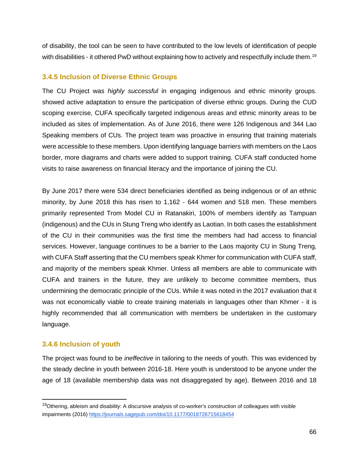of disability, the tool can be seen to have contributed to the low levels of identification of people with disabilities - it othered PwD without explaining how to actively and respectfully include them.<sup>[19](#page-65-0)</sup>

### **3.4.5 Inclusion of Diverse Ethnic Groups**

The CU Project was *highly successful* in engaging indigenous and ethnic minority groups. showed active adaptation to ensure the participation of diverse ethnic groups. During the CUD scoping exercise, CUFA specifically targeted indigenous areas and ethnic minority areas to be included as sites of implementation. As of June 2016, there were 126 Indigenous and 344 Lao Speaking members of CUs. The project team was proactive in ensuring that training materials were accessible to these members. Upon identifying language barriers with members on the Laos border, more diagrams and charts were added to support training. CUFA staff conducted home visits to raise awareness on financial literacy and the importance of joining the CU.

By June 2017 there were 534 direct beneficiaries identified as being indigenous or of an ethnic minority, by June 2018 this has risen to 1,162 - 644 women and 518 men. These members primarily represented Trom Model CU in Ratanakiri, 100% of members identify as Tampuan (indigenous) and the CUs in Stung Treng who identify as Laotian. In both cases the establishment of the CU in their communities was the first time the members had had access to financial services. However, language continues to be a barrier to the Laos majority CU in Stung Treng, with CUFA Staff asserting that the CU members speak Khmer for communication with CUFA staff, and majority of the members speak Khmer. Unless all members are able to communicate with CUFA and trainers in the future, they are unlikely to become committee members, thus undermining the democratic principle of the CUs. While it was noted in the 2017 evaluation that it was not economically viable to create training materials in languages other than Khmer - it is highly recommended that all communication with members be undertaken in the customary language.

# **3.4.6 Inclusion of youth**

The project was found to be *ineffective* in tailoring to the needs of youth. This was evidenced by the steady decline in youth between 2016-18. Here youth is understood to be anyone under the age of 18 (available membership data was not disaggregated by age). Between 2016 and 18

<span id="page-65-0"></span><sup>&</sup>lt;sup>19</sup>Othering, ableism and disability: A discursive analysis of co-worker's construction of colleagues with visible impairments (2016)<https://journals.sagepub.com/doi/10.1177/0018726715618454>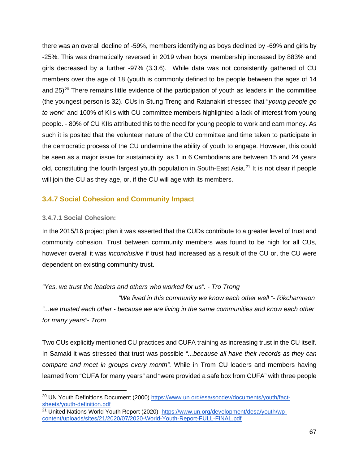there was an overall decline of -59%, members identifying as boys declined by -69% and girls by -25%. This was dramatically reversed in 2019 when boys' membership increased by 883% and girls decreased by a further -97% (3.3.6). While data was not consistently gathered of CU members over the age of 18 (youth is commonly defined to be people between the ages of 14 and  $25<sup>20</sup>$  $25<sup>20</sup>$  $25<sup>20</sup>$  There remains little evidence of the participation of youth as leaders in the committee (the youngest person is 32). CUs in Stung Treng and Ratanakiri stressed that "*young people go to work"* and 100% of KIIs with CU committee members highlighted a lack of interest from young people. - 80% of CU KIIs attributed this to the need for young people to work and earn money. As such it is posited that the volunteer nature of the CU committee and time taken to participate in the democratic process of the CU undermine the ability of youth to engage. However, this could be seen as a major issue for sustainability, as 1 in 6 Cambodians are between 15 and 24 years old, constituting the fourth largest youth population in South-East Asia.<sup>[21](#page-66-1)</sup> It is not clear if people will join the CU as they age, or, if the CU will age with its members.

# **3.4.7 Social Cohesion and Community Impact**

### **3.4.7.1 Social Cohesion:**

In the 2015/16 project plan it was asserted that the CUDs contribute to a greater level of trust and community cohesion. Trust between community members was found to be high for all CUs, however overall it was *inconclusive* if trust had increased as a result of the CU or, the CU were dependent on existing community trust.

*"Yes, we trust the leaders and others who worked for us". - Tro Trong* 

 *"We lived in this community we know each other well "- Rikchamreon "...we trusted each other - because we are living in the same communities and know each other for many years"- Trom* 

Two CUs explicitly mentioned CU practices and CUFA training as increasing trust in the CU itself. In Samaki it was stressed that trust was possible "*...because all have their records as they can compare and meet in groups every month".* While in Trom CU leaders and members having learned from "CUFA for many years" and "were provided a safe box from CUFA" with three people

<span id="page-66-0"></span><sup>&</sup>lt;sup>20</sup> UN Youth Definitions Document (2000) [https://www.un.org/esa/socdev/documents/youth/fact](https://www.un.org/esa/socdev/documents/youth/fact-sheets/youth-definition.pdf)[sheets/youth-definition.pdf](https://www.un.org/esa/socdev/documents/youth/fact-sheets/youth-definition.pdf)

<span id="page-66-1"></span><sup>21</sup> United Nations World Youth Report (2020) [https://www.un.org/development/desa/youth/wp](https://www.un.org/development/desa/youth/wp-content/uploads/sites/21/2020/07/2020-World-Youth-Report-FULL-FINAL.pdf)[content/uploads/sites/21/2020/07/2020-World-Youth-Report-FULL-FINAL.pdf](https://www.un.org/development/desa/youth/wp-content/uploads/sites/21/2020/07/2020-World-Youth-Report-FULL-FINAL.pdf)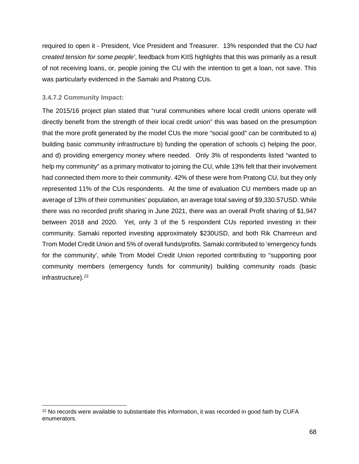required to open it - President, Vice President and Treasurer. 13% responded that the CU *had created tension for some people'*, feedback from KIIS highlights that this was primarily as a result of not receiving loans, or, people joining the CU with the intention to get a loan, not save. This was particularly evidenced in the Samaki and Pratong CUs.

### **3.4.7.2 Community Impact:**

The 2015/16 project plan stated that "rural communities where local credit unions operate will directly benefit from the strength of their local credit union" this was based on the presumption that the more profit generated by the model CUs the more "social good" can be contributed to a) building basic community infrastructure b) funding the operation of schools c) helping the poor, and d) providing emergency money where needed. Only 3% of respondents listed "wanted to help my community" as a primary motivator to joining the CU, while 13% felt that their involvement had connected them more to their community. 42% of these were from Pratong CU, but they only represented 11% of the CUs respondents. At the time of evaluation CU members made up an average of 13% of their communities' population, an average total saving of \$9,330.57USD. While there was no recorded profit sharing in June 2021, there was an overall Profit sharing of \$1,947 between 2018 and 2020. Yet, only 3 of the 5 respondent CUs reported investing in their community. Samaki reported investing approximately \$230USD, and both Rik Chamreun and Trom Model Credit Union and 5% of overall funds/profits. Samaki contributed to 'emergency funds for the community', while Trom Model Credit Union reported contributing to "supporting poor community members (emergency funds for community) building community roads (basic infrastructure).<sup>[22](#page-67-0)</sup>

<span id="page-67-0"></span><sup>&</sup>lt;sup>22</sup> No records were available to substantiate this information, it was recorded in good faith by CUFA enumerators.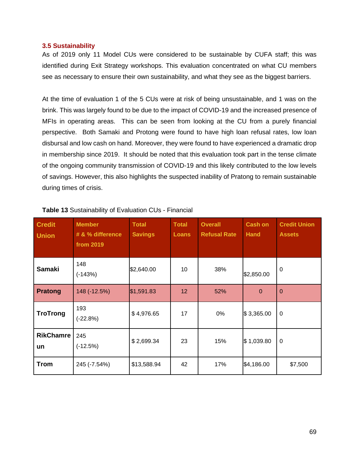#### **3.5 Sustainability**

As of 2019 only 11 Model CUs were considered to be sustainable by CUFA staff; this was identified during Exit Strategy workshops. This evaluation concentrated on what CU members see as necessary to ensure their own sustainability, and what they see as the biggest barriers.

At the time of evaluation 1 of the 5 CUs were at risk of being unsustainable, and 1 was on the brink. This was largely found to be due to the impact of COVID-19 and the increased presence of MFIs in operating areas. This can be seen from looking at the CU from a purely financial perspective. Both Samaki and Protong were found to have high loan refusal rates, low loan disbursal and low cash on hand. Moreover, they were found to have experienced a dramatic drop in membership since 2019. It should be noted that this evaluation took part in the tense climate of the ongoing community transmission of COVID-19 and this likely contributed to the low levels of savings. However, this also highlights the suspected inability of Pratong to remain sustainable during times of crisis.

| <b>Credit</b><br><b>Union</b> | <b>Member</b><br># & % difference<br>from 2019 | <b>Total</b><br><b>Savings</b> | <b>Total</b><br><b>Loans</b> | <b>Overall</b><br><b>Refusal Rate</b> | <b>Cash on</b><br><b>Hand</b> | <b>Credit Union</b><br><b>Assets</b> |
|-------------------------------|------------------------------------------------|--------------------------------|------------------------------|---------------------------------------|-------------------------------|--------------------------------------|
| <b>Samaki</b>                 | 148<br>$(-143%)$                               | \$2,640.00                     | 10                           | 38%                                   | \$2,850.00                    | $\mathbf 0$                          |
| <b>Pratong</b>                | 148 (-12.5%)                                   | \$1,591.83                     | 12                           | 52%                                   | $\Omega$                      | $\overline{0}$                       |
| <b>TroTrong</b>               | 193<br>$(-22.8%)$                              | \$4,976.65                     | 17                           | 0%                                    | \$3,365.00                    | $\mathbf 0$                          |
| <b>RikChamre</b><br>un        | 245<br>$(-12.5%)$                              | \$2,699.34                     | 23                           | 15%                                   | \$1,039.80                    | $\mathbf 0$                          |
| <b>Trom</b>                   | 245 (-7.54%)                                   | \$13,588.94                    | 42                           | 17%                                   | \$4,186.00                    | \$7,500                              |

#### **Table 13** Sustainability of Evaluation CUs - Financial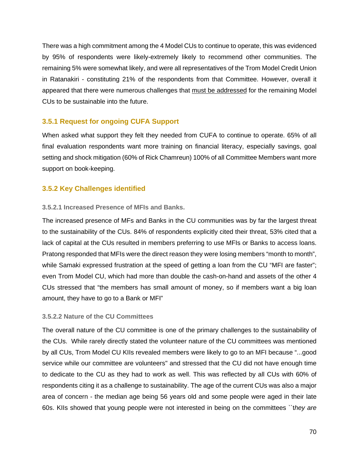There was a high commitment among the 4 Model CUs to continue to operate, this was evidenced by 95% of respondents were likely-extremely likely to recommend other communities. The remaining 5% were somewhat likely, and were all representatives of the Trom Model Credit Union in Ratanakiri - constituting 21% of the respondents from that Committee. However, overall it appeared that there were numerous challenges that must be addressed for the remaining Model CUs to be sustainable into the future.

# **3.5.1 Request for ongoing CUFA Support**

When asked what support they felt they needed from CUFA to continue to operate. 65% of all final evaluation respondents want more training on financial literacy, especially savings, goal setting and shock mitigation (60% of Rick Chamreun) 100% of all Committee Members want more support on book-keeping.

# **3.5.2 Key Challenges identified**

### **3.5.2.1 Increased Presence of MFIs and Banks.**

The increased presence of MFs and Banks in the CU communities was by far the largest threat to the sustainability of the CUs. 84% of respondents explicitly cited their threat, 53% cited that a lack of capital at the CUs resulted in members preferring to use MFIs or Banks to access loans. Pratong responded that MFIs were the direct reason they were losing members "month to month", while Samaki expressed frustration at the speed of getting a loan from the CU "MFI are faster"; even Trom Model CU, which had more than double the cash-on-hand and assets of the other 4 CUs stressed that "the members has small amount of money, so if members want a big loan amount, they have to go to a Bank or MFI"

#### **3.5.2.2 Nature of the CU Committees**

The overall nature of the CU committee is one of the primary challenges to the sustainability of the CUs. While rarely directly stated the volunteer nature of the CU committees was mentioned by all CUs, Trom Model CU KIIs revealed members were likely to go to an MFI because "...good service while our committee are volunteers'' and stressed that the CU did not have enough time to dedicate to the CU as they had to work as well. This was reflected by all CUs with 60% of respondents citing it as a challenge to sustainability. The age of the current CUs was also a major area of concern - the median age being 56 years old and some people were aged in their late 60s. KIIs showed that young people were not interested in being on the committees ``t*hey are*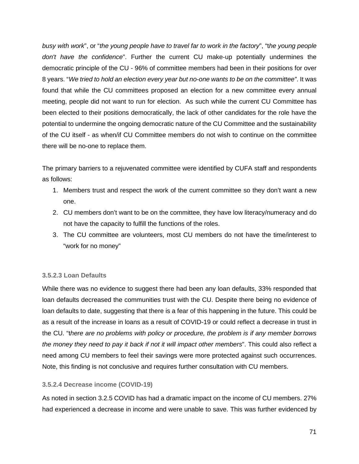*busy with work*", or "*the young people have to travel far to work in the factory*", "t*he young people don't have the confidence*". Further the current CU make-up potentially undermines the democratic principle of the CU - 96% of committee members had been in their positions for over 8 years. "*We tried to hold an election every year but no-one wants to be on the committee"*. It was found that while the CU committees proposed an election for a new committee every annual meeting, people did not want to run for election. As such while the current CU Committee has been elected to their positions democratically, the lack of other candidates for the role have the potential to undermine the ongoing democratic nature of the CU Committee and the sustainability of the CU itself - as when/if CU Committee members do not wish to continue on the committee there will be no-one to replace them.

The primary barriers to a rejuvenated committee were identified by CUFA staff and respondents as follows:

- 1. Members trust and respect the work of the current committee so they don't want a new one.
- 2. CU members don't want to be on the committee, they have low literacy/numeracy and do not have the capacity to fulfill the functions of the roles.
- 3. The CU committee are volunteers, most CU members do not have the time/interest to "work for no money"

# **3.5.2.3 Loan Defaults**

While there was no evidence to suggest there had been any loan defaults, 33% responded that loan defaults decreased the communities trust with the CU. Despite there being no evidence of loan defaults to date, suggesting that there is a fear of this happening in the future. This could be as a result of the increase in loans as a result of COVID-19 or could reflect a decrease in trust in the CU. "t*here are no problems with policy or procedure, the problem is if any member borrows the money they need to pay it back if not it will impact other members*". This could also reflect a need among CU members to feel their savings were more protected against such occurrences. Note, this finding is not conclusive and requires further consultation with CU members.

# **3.5.2.4 Decrease income (COVID-19)**

As noted in section 3.2.5 COVID has had a dramatic impact on the income of CU members. 27% had experienced a decrease in income and were unable to save. This was further evidenced by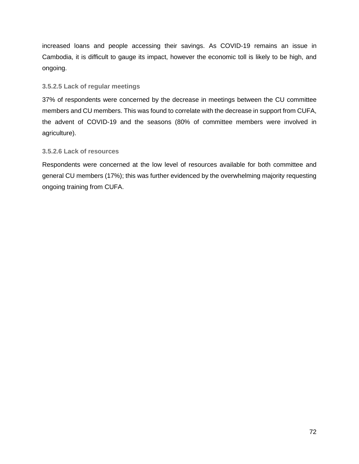increased loans and people accessing their savings. As COVID-19 remains an issue in Cambodia, it is difficult to gauge its impact, however the economic toll is likely to be high, and ongoing.

### **3.5.2.5 Lack of regular meetings**

37% of respondents were concerned by the decrease in meetings between the CU committee members and CU members. This was found to correlate with the decrease in support from CUFA, the advent of COVID-19 and the seasons (80% of committee members were involved in agriculture).

### **3.5.2.6 Lack of resources**

Respondents were concerned at the low level of resources available for both committee and general CU members (17%); this was further evidenced by the overwhelming majority requesting ongoing training from CUFA.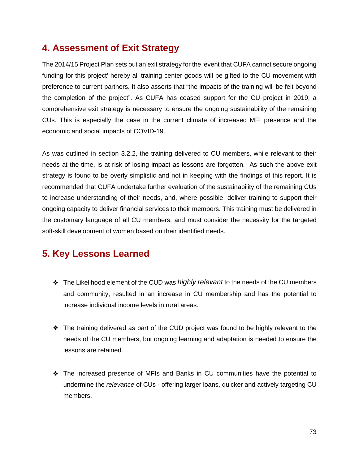### **4. Assessment of Exit Strategy**

The 2014/15 Project Plan sets out an exit strategy for the 'event that CUFA cannot secure ongoing funding for this project' hereby all training center goods will be gifted to the CU movement with preference to current partners. It also asserts that "the impacts of the training will be felt beyond the completion of the project". As CUFA has ceased support for the CU project in 2019, a comprehensive exit strategy is necessary to ensure the ongoing sustainability of the remaining CUs. This is especially the case in the current climate of increased MFI presence and the economic and social impacts of COVID-19.

As was outlined in section 3.2.2, the training delivered to CU members, while relevant to their needs at the time, is at risk of losing impact as lessons are forgotten. As such the above exit strategy is found to be overly simplistic and not in keeping with the findings of this report. It is recommended that CUFA undertake further evaluation of the sustainability of the remaining CUs to increase understanding of their needs, and, where possible, deliver training to support their ongoing capacity to deliver financial services to their members. This training must be delivered in the customary language of all CU members, and must consider the necessity for the targeted soft-skill development of women based on their identified needs.

## **5. Key Lessons Learned**

- ❖ The Likelihood element of the CUD was *highly relevant* to the needs of the CU members and community, resulted in an increase in CU membership and has the potential to increase individual income levels in rural areas.
- ❖ The training delivered as part of the CUD project was found to be highly relevant to the needs of the CU members, but ongoing learning and adaptation is needed to ensure the lessons are retained.
- ❖ The increased presence of MFIs and Banks in CU communities have the potential to undermine the *relevance* of CUs - offering larger loans, quicker and actively targeting CU members.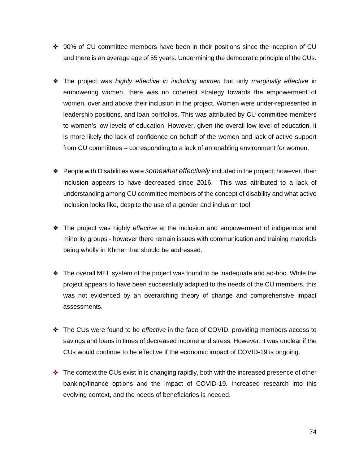- ❖ 90% of CU committee members have been in their positions since the inception of CU and there is an average age of 55 years. Undermining the democratic principle of the CUs.
- ❖ The project was *highly effective in including women* but only *marginally effective* in empowering women. there was no coherent strategy towards the empowerment of women, over and above their inclusion in the project. Women were under-represented in leadership positions, and loan portfolios. This was attributed by CU committee members to women's low levels of education. However, given the overall low level of education, it is more likely the lack of confidence on behalf of the women and lack of active support from CU committees – corresponding to a lack of an enabling environment for women.
- ❖ People with Disabilities were *somewhat effectively* included in the project; however, their inclusion appears to have decreased since 2016. This was attributed to a lack of understanding among CU committee members of the concept of disability and what active inclusion looks like, despite the use of a gender and inclusion tool.
- ❖ The project was highly *effective* at the inclusion and empowerment of indigenous and minority groups - however there remain issues with communication and training materials being wholly in Khmer that should be addressed.
- ❖ The overall MEL system of the project was found to be inadequate and ad-hoc. While the project appears to have been successfully adapted to the needs of the CU members, this was not evidenced by an overarching theory of change and comprehensive impact assessments.
- ❖ The CUs were found to be *effective* in the face of COVID, providing members access to savings and loans in times of decreased income and stress. However, it was unclear if the CUs would continue to be effective if the economic impact of COVID-19 is ongoing.
- ❖ The context the CUs exist in is changing rapidly, both with the increased presence of other banking/finance options and the impact of COVID-19. Increased research into this evolving context, and the needs of beneficiaries is needed.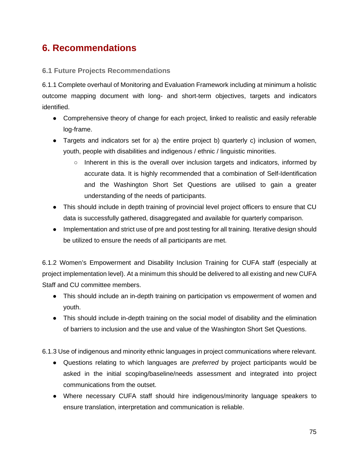## **6. Recommendations**

#### **6.1 Future Projects Recommendations**

6.1.1 Complete overhaul of Monitoring and Evaluation Framework including at minimum a holistic outcome mapping document with long- and short-term objectives, targets and indicators identified.

- Comprehensive theory of change for each project, linked to realistic and easily referable log-frame.
- Targets and indicators set for a) the entire project b) quarterly c) inclusion of women, youth, people with disabilities and indigenous / ethnic / linguistic minorities.
	- Inherent in this is the overall over inclusion targets and indicators, informed by accurate data. It is highly recommended that a combination of Self-Identification and the Washington Short Set Questions are utilised to gain a greater understanding of the needs of participants.
- This should include in depth training of provincial level project officers to ensure that CU data is successfully gathered, disaggregated and available for quarterly comparison.
- Implementation and strict use of pre and post testing for all training. Iterative design should be utilized to ensure the needs of all participants are met.

6.1.2 Women's Empowerment and Disability Inclusion Training for CUFA staff (especially at project implementation level). At a minimum this should be delivered to all existing and new CUFA Staff and CU committee members.

- This should include an in-depth training on participation vs empowerment of women and youth.
- This should include in-depth training on the social model of disability and the elimination of barriers to inclusion and the use and value of the Washington Short Set Questions.

6.1.3 Use of indigenous and minority ethnic languages in project communications where relevant.

- Questions relating to which languages are *preferred* by project participants would be asked in the initial scoping/baseline/needs assessment and integrated into project communications from the outset.
- Where necessary CUFA staff should hire indigenous/minority language speakers to ensure translation, interpretation and communication is reliable.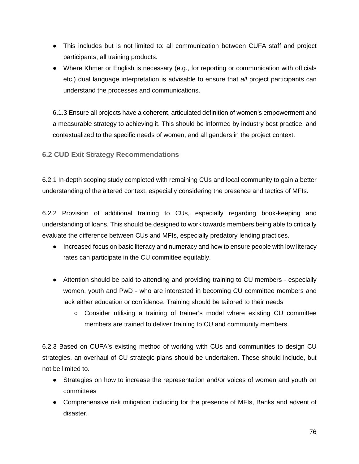- This includes but is not limited to: all communication between CUFA staff and project participants, all training products.
- Where Khmer or English is necessary (e.g., for reporting or communication with officials etc.) dual language interpretation is advisable to ensure that *all* project participants can understand the processes and communications.

6.1.3 Ensure all projects have a coherent, articulated definition of women's empowerment and a measurable strategy to achieving it. This should be informed by industry best practice, and contextualized to the specific needs of women, and all genders in the project context.

#### **6.2 CUD Exit Strategy Recommendations**

6.2.1 In-depth scoping study completed with remaining CUs and local community to gain a better understanding of the altered context, especially considering the presence and tactics of MFIs.

6.2.2 Provision of additional training to CUs, especially regarding book-keeping and understanding of loans. This should be designed to work towards members being able to critically evaluate the difference between CUs and MFIs, especially predatory lending practices.

- Increased focus on basic literacy and numeracy and how to ensure people with low literacy rates can participate in the CU committee equitably.
- Attention should be paid to attending and providing training to CU members especially women, youth and PwD - who are interested in becoming CU committee members and lack either education or confidence. Training should be tailored to their needs
	- Consider utilising a training of trainer's model where existing CU committee members are trained to deliver training to CU and community members.

6.2.3 Based on CUFA's existing method of working with CUs and communities to design CU strategies, an overhaul of CU strategic plans should be undertaken. These should include, but not be limited to.

- Strategies on how to increase the representation and/or voices of women and youth on committees
- Comprehensive risk mitigation including for the presence of MFIs, Banks and advent of disaster.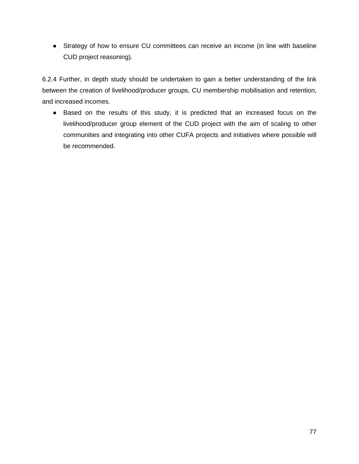● Strategy of how to ensure CU committees can receive an income (in line with baseline CUD project reasoning).

6.2.4 Further, in depth study should be undertaken to gain a better understanding of the link between the creation of livelihood/producer groups, CU membership mobilisation and retention, and increased incomes.

● Based on the results of this study, it is predicted that an increased focus on the livelihood/producer group element of the CUD project with the aim of scaling to other communities and integrating into other CUFA projects and initiatives where possible will be recommended.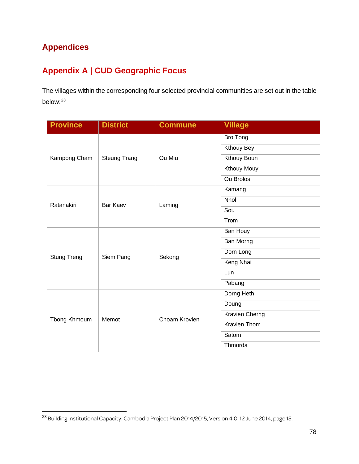### **Appendices**

### **Appendix A | CUD Geographic Focus**

The villages within the corresponding four selected provincial communities are set out in the table below: [23](#page-77-0)

| <b>Province</b>    | <b>District</b>     | <b>Commune</b> | <b>Village</b>      |
|--------------------|---------------------|----------------|---------------------|
| Kampong Cham       | <b>Steung Trang</b> | Ou Miu         | Bro Tong            |
|                    |                     |                | <b>Kthouy Bey</b>   |
|                    |                     |                | <b>Kthouy Boun</b>  |
|                    |                     |                | <b>Kthouy Mouy</b>  |
|                    |                     |                | <b>Ou Brolos</b>    |
|                    |                     | Laming         | Kamang              |
| Ratanakiri         | <b>Bar Kaev</b>     |                | <b>Nhol</b>         |
|                    |                     |                | Sou                 |
|                    |                     |                | Trom                |
|                    | Siem Pang           |                | Ban Houy            |
| <b>Stung Treng</b> |                     | Sekong         | Ban Morng           |
|                    |                     |                | Dorn Long           |
|                    |                     |                | Keng Nhai           |
|                    |                     |                | Lun                 |
|                    |                     |                | Pabang              |
|                    | Memot               | Choam Krovien  | Dorng Heth          |
| Tbong Khmoum       |                     |                | Doung               |
|                    |                     |                | Kravien Cherng      |
|                    |                     |                | <b>Kravien Thom</b> |
|                    |                     |                | Satom               |
|                    |                     |                | Thmorda             |

<span id="page-77-0"></span><sup>23</sup> Building Institutional Capacity: Cambodia Project Plan 2014/2015, Version 4.0, 12 June 2014, page 15.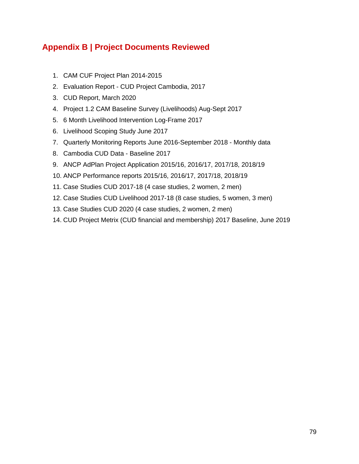### **Appendix B | Project Documents Reviewed**

- 1. CAM CUF Project Plan 2014-2015
- 2. Evaluation Report CUD Project Cambodia, 2017
- 3. CUD Report, March 2020
- 4. Project 1.2 CAM Baseline Survey (Livelihoods) Aug-Sept 2017
- 5. 6 Month Livelihood Intervention Log-Frame 2017
- 6. Livelihood Scoping Study June 2017
- 7. Quarterly Monitoring Reports June 2016-September 2018 Monthly data
- 8. Cambodia CUD Data Baseline 2017
- 9. ANCP AdPlan Project Application 2015/16, 2016/17, 2017/18, 2018/19
- 10. ANCP Performance reports 2015/16, 2016/17, 2017/18, 2018/19
- 11. Case Studies CUD 2017-18 (4 case studies, 2 women, 2 men)
- 12. Case Studies CUD Livelihood 2017-18 (8 case studies, 5 women, 3 men)
- 13. Case Studies CUD 2020 (4 case studies, 2 women, 2 men)
- 14. CUD Project Metrix (CUD financial and membership) 2017 Baseline, June 2019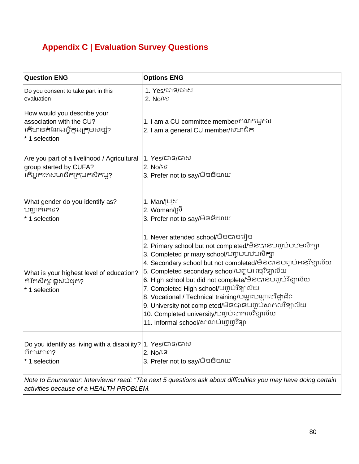# **Appendix C | Evaluation Survey Questions**

| <b>Question ENG</b>                                                                                                                                      | <b>Options ENG</b>                                                                                                                                                                                                                                                                                                                                                                                                                                                                                                                                                                           |  |
|----------------------------------------------------------------------------------------------------------------------------------------------------------|----------------------------------------------------------------------------------------------------------------------------------------------------------------------------------------------------------------------------------------------------------------------------------------------------------------------------------------------------------------------------------------------------------------------------------------------------------------------------------------------------------------------------------------------------------------------------------------------|--|
| Do you consent to take part in this<br>evaluation                                                                                                        | 1. Yes/បាទ/បាស<br>2. No/15                                                                                                                                                                                                                                                                                                                                                                                                                                                                                                                                                                   |  |
| How would you describe your<br>association with the CU?<br>កើមានតំណែងអ្វីក្នុងក្រុមសន្សុំ?<br>* 1 selection                                              | 1. I am a CU committee member/គណកម្មការ<br>2. I am a general CU member/សមាជិក                                                                                                                                                                                                                                                                                                                                                                                                                                                                                                                |  |
| Are you part of a livelihood / Agricultural  1. Yes/C S/G<br>group started by CUFA?<br>កើអ្នកជាសមាជិកក្រុមកសិកម្ម?                                       | 2. No/เร<br>3. Prefer not to say/ <del>ບີ</del> ຣຣີເນາເມ                                                                                                                                                                                                                                                                                                                                                                                                                                                                                                                                     |  |
| What gender do you identify as?<br>បញ្ជាក់កេទ?<br>* 1 selection                                                                                          | 1. Man/ប្រុស<br> 2. Woman/ស្រី<br>3. Prefer not to say/ <del>ບ</del> ີຣຣີເນາເມ                                                                                                                                                                                                                                                                                                                                                                                                                                                                                                               |  |
| What is your highest level of education?<br>កំរិតសិក្សាខ្ពស់បំផុត?<br>* 1 selection                                                                      | 1. Never attended school/មិនបានរៀន<br>2. Primary school but not completed/មិនបានបញ្ចប់បឋមសិក្សា<br>3. Completed primary school/បញ្ចប់បឋមសិក្សា<br> 4. Secondary school but not completed/មិនបានបញ្ចប់អនុវិទ្យាល័យ<br>5. Completed secondary school/បញ្ចប់អនុវិទ្យាល័យ<br>6. High school but did not complete/មិនបានបញ្ចប់វិទ្យាល័យ<br>7. Completed High school/បញ្ចប់វិទ្យាល័យ<br> 8. Vocational / Technical training/បណ្តុះបណ្តាលវិជ្ជាជីវ:<br>9. University not completed/មិនបានបញ្ចប់សាកលវិទ្យាល័យ<br>10. Completed university/បញ្ចប់សាកលវិទ្យាល័យ<br>11. Informal school/សាលាប់ញេញវិទ្យា |  |
| Do you identify as living with a disability? 1. Yes/CTS/CTM<br>ពិការភាព?<br>* 1 selection                                                                | 2. No/ទេ<br>3. Prefer not to say/ <del>ບ</del> ີຣຣີເນາເມ                                                                                                                                                                                                                                                                                                                                                                                                                                                                                                                                     |  |
| Note to Enumerator: Interviewer read: "The next 5 questions ask about difficulties you may have doing certain<br>activities because of a HEALTH PROBLEM. |                                                                                                                                                                                                                                                                                                                                                                                                                                                                                                                                                                                              |  |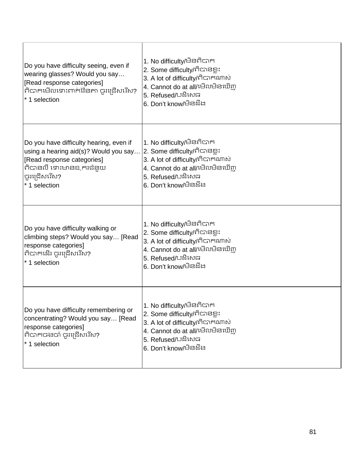| Do you have difficulty seeing, even if<br>wearing glasses? Would you say<br>[Read response categories]<br>ពិបាកមើលទោះពាក់វ៉ែនតា ចូរជ្រើសរើស?<br>* 1 selection              | 1. No difficulty/មិនពិបាក<br>2. Some difficulty/ពិបានខ្លះ<br>3. A lot of difficulty/กิตาศณาญ่<br>4. Cannot do at all/មើលមិនឃើញ<br>5. Refused/បងិសេធ<br>6. Don't know/ਖੰਡੜੈਂਖ਼                                                   |
|----------------------------------------------------------------------------------------------------------------------------------------------------------------------------|---------------------------------------------------------------------------------------------------------------------------------------------------------------------------------------------------------------------------------|
| Do you have difficulty hearing, even if<br>using a hearing aid(s)? Would you say<br>[Read response categories]<br>ពិបានលឺ ទោះមានឧ ករជំនួយ<br>ចូរជ្រើសរើស?<br>* 1 selection | 1. No difficulty/មិនពិបាក<br>2. Some difficulty/ពិបានខ្លះ<br>3. A lot of difficulty/ทิตาศณาญ<br>4. Cannot do at all/មើលមិនឃើញ<br>5. Refused/បដិសេធ<br>6. Don't know/ਚੈਡੜੈਂਖ਼                                                    |
| Do you have difficulty walking or<br>climbing steps? Would you say [Read<br>response categories]<br>ពិបាកដើរ ចូរជ្រើសរើស?<br>* 1 selection                                 | 1. No difficulty/មិនពិបាក<br>2. Some difficulty/ពិបានខ្លះ<br>3. A lot of difficulty/ពិបាកណាស់<br><sup>l</sup> 4. Cannot do at all/ເ <del>ບ</del> ິດບ <sub>ີ</sub> ມີສະໝິ <u>m</u><br>5. Refused/បដិសេធ<br>6. Don't know/ਚੈਡੜੌਖ਼ |
| Do you have difficulty remembering or<br>concentrating? Would you say [Read<br>response categories]<br>កិបាកចងចាំ ចូរជ្រើសរើស?<br>* 1 selection                            | 1. No difficulty/មិនពិបាក<br> 2. Some difficulty/ពិបានខ្លះ<br>3. A lot of difficulty/ពិបាកណាស់<br>4. Cannot do at all/មើលមិនឃើញ<br>5. Refused/បងិសេធ<br><sup>'</sup> 6. Don't know/ਚੈਡਬ਼ੌਖ਼                                     |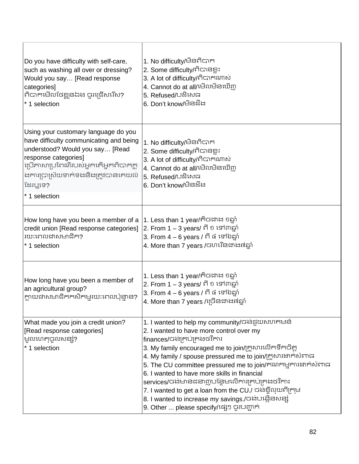| Do you have difficulty with self-care,<br>such as washing all over or dressing?<br>Would you say [Read response<br>categories]<br>ពិបាកមើលថែខ្លួនឯង ចូរជ្រើសរើស?<br>* 1 selection                                                                      | 1. No difficulty/មិនពិបាក<br>2. Some difficulty/ពិបានខ្លះ<br>3. A lot of difficulty/ติดาหนกผ่<br>4. Cannot do at all/មើលមិនឃើញ<br>5. Refused/បដិសេធ<br>6. Don't know/ਚੈੜੜੈਂਖ਼                                                                                                                                                                                                                                                                                                                                                                                                 |
|--------------------------------------------------------------------------------------------------------------------------------------------------------------------------------------------------------------------------------------------------------|-------------------------------------------------------------------------------------------------------------------------------------------------------------------------------------------------------------------------------------------------------------------------------------------------------------------------------------------------------------------------------------------------------------------------------------------------------------------------------------------------------------------------------------------------------------------------------|
| Using your customary language do you<br>have difficulty communicating and being<br>understood? Would you say [Read<br>response categories]<br>ប្រើភាសាប្រពៃណីរបស់អ្នកតើអ្នកពិបាកក្ត<br>ងការប្រាស្រ័យទាក់ទងនិងត្រូវបានគេយល់<br>ងែរឬទេ?<br>* 1 selection | 1. No difficulty/មិនពិបាក<br>2. Some difficulty/ពិបានខ្លះ<br>3. A lot of difficulty/ทิตาศณาญ่<br>4. Cannot do at all/មើលមិនឃើញ<br>5. Refused/បដិសេធ<br>6. Don't know/ਚੈੜੜੈਂਖ਼                                                                                                                                                                                                                                                                                                                                                                                                 |
| How long have you been a member of a<br>credit union [Read response categories]<br>រយៈពេលដាសមាជិក?<br>* 1 selection                                                                                                                                    | 1. Less than 1 year/ຕື້ຜາການ ຄຣູກໍ<br>2. From 1 – 3 years/ ពី ១ ទៅ៣ឆ្នាំ<br>3. From 4 – 6 years / ពី ៤ ទៅ៦ឆ្នាំ<br>4. More than 7 years /ចហរើនដាង៧ឆ្នាំ                                                                                                                                                                                                                                                                                                                                                                                                                       |
| How long have you been a member of<br>an agricultural group?<br>ក្លាយដាសមាជិកកសិកម្មរយៈពេលប៉ុន្មាន?                                                                                                                                                    | 1. Less than 1 year/ຕື້ຜາຫາ ຍຣູກ<br>2. From 1 – 3 years/ ពី ១ ទៅ៣ឆ្នាំ<br>3. From 4 – 6 years / ពី ៤ ទៅ៦ឆ្នាំ<br>4. More than 7 years /ជ្រើនជាង៧ឆ្នាំ                                                                                                                                                                                                                                                                                                                                                                                                                         |
| What made you join a credit union?<br>[Read response categories]<br>មូលហេតុបូលសន្សុំ?<br>*1 selection                                                                                                                                                  | 1. I wanted to help my community/ចង់មួយសហគមន៍<br>2. I wanted to have more control over my<br>finances/បងគ្រប់គ្រងថវិការ<br>3. My family encouraged me to join/ក្រូសារលើកទឹកចិត្ត<br>4. My family / spouse pressured me to join/ក្រូសារដាក់សំពាធ<br>5. The CU committee pressured me to join/គណកម្មការងាក់សំពាធ<br>6. I wanted to have more skills in financial<br>services/ចង់មានដនាញបន្ថែមលើការគ្រប់គ្រងថវិការ<br>7. I wanted to get a loan from the CU./ ចង់ខ្ចីលុយពីក្រុម<br>8. I wanted to increase my savings./ចង់បង្កើនសន្សំ<br>9. Other  please specify/ឡេៗ ចូរបញ្ជាក់ |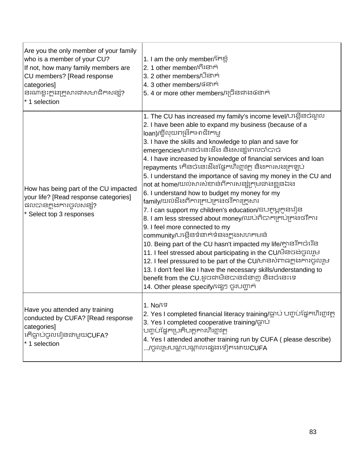| Are you the only member of your family<br>who is a member of your CU?<br>If not, how many family members are<br>CU members? [Read response<br>categories]<br>នរណាខ្លះក្នុងក្រួសារជាសមាជិកសន្សំ?<br>* 1 selection | 1. I am the only member/កែខ្លាំ<br>2. 1 other member/ពីរនាក់<br>3. 2 other members/បីនាក់<br>4. 3 other members/៤នាក់<br>5. 4 or more other members/ប្រើនិងដើរ នៃទាក់                                                                                                                                                                                                                                                                                                                                                                                                                                                                                                                                                                                                                                                                                                                                                                                                                                                                                                                                                                                                                               |
|------------------------------------------------------------------------------------------------------------------------------------------------------------------------------------------------------------------|-----------------------------------------------------------------------------------------------------------------------------------------------------------------------------------------------------------------------------------------------------------------------------------------------------------------------------------------------------------------------------------------------------------------------------------------------------------------------------------------------------------------------------------------------------------------------------------------------------------------------------------------------------------------------------------------------------------------------------------------------------------------------------------------------------------------------------------------------------------------------------------------------------------------------------------------------------------------------------------------------------------------------------------------------------------------------------------------------------------------------------------------------------------------------------------------------------|
| How has being part of the CU impacted<br>your life? [Read response categories]<br>ដលបានក្នុងការចូលសន្សុំ?<br>* Select top 3 responses                                                                            | 1. The CU has increased my family's income level/បង្កើនចំណូល<br>2. I have been able to expand my business (because of a<br>loan)/ខ្ចីលុយពង្រីកអាជីវកម្ម<br>3. I have the skills and knowledge to plan and save for<br>emergencies/មានចំនេះដឹង និងសន្សំពេលចាំបាច់<br>4. I have increased by knowledge of financial services and loan<br>repayments កើនចំនេះដឹងផ្នែកហិរញ្ញវត្ថុ និងការសង្យុកឡប់<br>5. I understand the importance of saving my money in the CU and<br>not at home/យល់សារសំខាន់ពីការសន្សំក្រុមជាងខ្លួនឯង<br>6. I understand how to budget my money for my<br>family/យល់ដឹងពីការគ្រប់គ្រងថវិការក្រួសារ<br>7. I can support my children's education/ឧបត្ថម្ភកូនរៀន<br>8. I am less stressed about money/ឈប់ពិបាកគ្រប់គ្រងថវិការ<br>9. I feel more connected to my<br>community/បង្កើនទំនាក់ទំនងក្នុងសហគមន៍<br>10. Being part of the CU hasn't impacted my life/ក្អានរីកចំរើន<br>11. I feel stressed about participating in the CU/មិនចង់ចូលរួម<br>12. I feel pressured to be part of the CU/មានសំពាធក្លាងការចូលរួម<br>13. I don't feel like I have the necessary skills/understanding to<br>benefit from the CU.ដូចជាមិនបានជំនាញ និងចំនេះទេ<br>14. Other please specify/ង្សេៗ ចូរបញ្ជាក់ |
| Have you attended any training<br>conducted by CUFA? [Read response<br>categories]<br>* 1 selection                                                                                                              | 1. No/19<br>2. Yes I completed financial literacy training/ធ្លាប់ បញ្ចប់ផ្នែកហិរញ្ញវត្ថុ<br>كَ Tes I completed cooperative training/ជ្ឈាប់<br>ប៣្ចប់ផ្នែកប្រតិបត្តការហិរព្ធវត្ថ<br>4. Yes I attended another training run by CUFA (please describe)<br>/ចូលរួមបណ្តុះបណ្តាលដេរុងទៀតដោយCUFA                                                                                                                                                                                                                                                                                                                                                                                                                                                                                                                                                                                                                                                                                                                                                                                                                                                                                                           |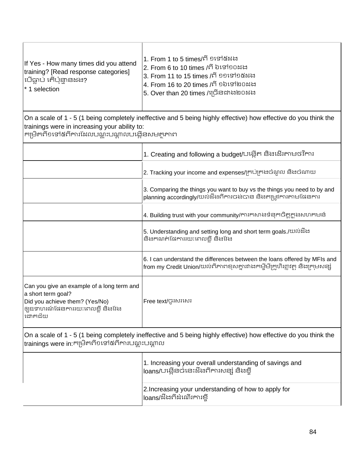| If Yes - How many times did you attend<br>training? [Read response categories]<br> បើធ្លាប់ តើប៉ុន្មានដង?<br>$*$ 1 selection | 1. From 1 to 5 times/ពី ១ទៅ៥ដង<br> 2. From 6 to 10 times /ពី ៦ទៅ១០ដង<br> 3. From 11 to 15 times /ពី ១១ទៅ១៥ដង<br> 4. From 16 to 20 times /ពី ១៦ទៅ២០ដង<br> 5. Over than 20 times /ច្រើនជាង២០ដង |
|------------------------------------------------------------------------------------------------------------------------------|----------------------------------------------------------------------------------------------------------------------------------------------------------------------------------------------|
|------------------------------------------------------------------------------------------------------------------------------|----------------------------------------------------------------------------------------------------------------------------------------------------------------------------------------------|

On a scale of 1 - 5 (1 being completely ineffective and 5 being highly effective) how effective do you think the trainings were in increasing your ability to:<br>កម្រិតពី១ទៅ៥ពីការដែលបណ្តុះបណ្តាលបង្កើនសម<del>ត្ថ</del>ភាព

|                                                                                                                                                   | 1. Creating and following a budget/បង្កើត និងដើរតាមថវិការ                                                                                                 |
|---------------------------------------------------------------------------------------------------------------------------------------------------|-----------------------------------------------------------------------------------------------------------------------------------------------------------|
|                                                                                                                                                   | 2. Tracking your income and expenses/ក្រប់ក្រដប់ណូល និងបំណាយ                                                                                              |
|                                                                                                                                                   | 3. Comparing the things you want to buy vs the things you need to by and<br>planning accordingly/យល់ដឹងពីការចង់បាន និងតម្រូវការតាមជែនការ                  |
|                                                                                                                                                   | 4. Building trust with your community/ការកសាងទំនុកចិត្តក្នុងសហគមន៍                                                                                        |
|                                                                                                                                                   | 5. Understanding and setting long and short term goals./យល់នឹង<br>និងកណត់ផៃការរយ:ពេលខ្លី និងវែង                                                           |
|                                                                                                                                                   | 6. I can understand the differences between the loans offered by MFIs and<br> from my Credit Union/យល់ពីភាពខុសគ្នារវាងកម្មីមីក្រូហិរព្ណវត្ថុ និងក្រមសន្សំ |
| Can you give an example of a long term and<br>a short term goal?<br>Did you achieve them? (Yes/No)<br>ឲ្យឧទាហរណ៍ផែនការរយ:ពេលខ្លី និងវែង<br>ដោកជ័យ | Free text/ប៊ូរសរសេរ                                                                                                                                       |

On a scale of 1 - 5 (1 being completely ineffective and 5 being highly effective) how effective do you think the<br>|trainings were in:កម្រិតពី១ទៅ៥ពីការបណ្តុះបណ្តាល

| 1. Increasing your overall understanding of savings and<br>loans/បង្កើនចំនេះដឹងពីការសន្សំ និងខ្លី |
|---------------------------------------------------------------------------------------------------|
| 2. Increasing your understanding of how to apply for<br> loans/ដឹងពីដំណើរការខ្មី                  |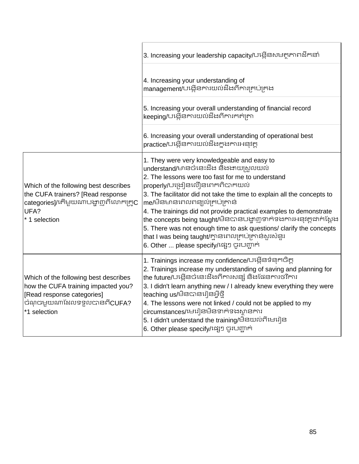|                                                                                                                                                           | 3. Increasing your leadership capacity/បង្កើនសមត្ថភាពដឹកនាំ                                                                                                                                                                                                                                                                                                                                                                                                                                                                                                                                                 |
|-----------------------------------------------------------------------------------------------------------------------------------------------------------|-------------------------------------------------------------------------------------------------------------------------------------------------------------------------------------------------------------------------------------------------------------------------------------------------------------------------------------------------------------------------------------------------------------------------------------------------------------------------------------------------------------------------------------------------------------------------------------------------------------|
|                                                                                                                                                           | 4. Increasing your understanding of<br>management/បង្កើនការយល់ដឹងពីការគ្រប់គ្រង                                                                                                                                                                                                                                                                                                                                                                                                                                                                                                                             |
|                                                                                                                                                           | 5. Increasing your overall understanding of financial record<br>keeping/បង្កើនការយល់ដឹងពីការកត់ត្រា                                                                                                                                                                                                                                                                                                                                                                                                                                                                                                         |
|                                                                                                                                                           | 6. Increasing your overall understanding of operational best<br>practice/បង្កើនការយល់ដឹងក្នុងការអនុវត្ត                                                                                                                                                                                                                                                                                                                                                                                                                                                                                                     |
| Which of the following best describes<br>the CUFA trainers? [Read response<br>categories]/កើមួយណាបង្ហាញពីលោកគ្រូC<br>UFA?<br>* 1 selection                | 1. They were very knowledgeable and easy to<br>understand/មានចំនេះដឹង និងងាយស្រួលយល់<br>2. The lessons were too fast for me to understand<br>properly/បង្រៀនលឿនពេកពិបាកយល់<br>3. The facilitator did not take the time to explain all the concepts to<br>me/មិនមានពេលពន្យល់គ្រប់គ្រាន់<br>4. The trainings did not provide practical examples to demonstrate<br>the concepts being taught/មិនបានបង្ហាញទាក់ទងការអនុវត្តជាក់ស្តែង<br>5. There was not enough time to ask questions/ clarify the concepts<br> that I was being taught/ក្លានពេលគ្រប់គ្រាន់សូរសំនូរ<br>6. Other  please specify/ផ្សេៗ ចូរបញ្ជាក់ |
| Which of the following best describes<br>how the CUFA training impacted you?<br>[Read response categories]<br>ចំណុចមួយណាដែលទទួលបានពីCUFA?<br>*1 selection | 1. Trainings increase my confidence/បង្កើនទំនុកចិត្ត<br>2. Trainings increase my understanding of saving and planning for<br> the future/Uង្កើនចំនេះដឹងពីការសន្សំ និងផែនការថវិការ<br>3. I didn't learn anything new / I already knew everything they were<br>teaching us/មិនបានរៀនអ្វីថ្មី<br>4. The lessons were not linked / could not be applied to my<br>circumstances/មេរៀនមិនទាក់ទងស្ថានការ<br>5. I didn't understand the training/មិនយល់ពីមេរៀន<br>6. Other please specify/ង្សេៗ ចូរបញ្ជាក់                                                                                                          |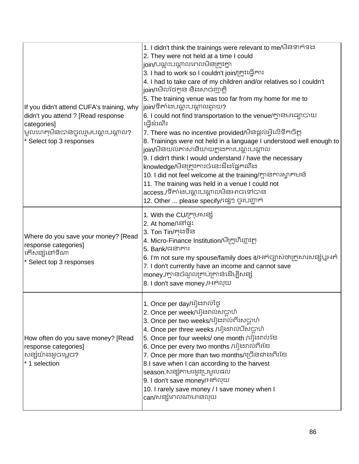| If you didn't attend CUFA's training, why<br>didn't you attend ? [Read response<br>categories]<br>មូលហេតុមិនបានចូលរួមបណ្តុះបណ្តាល?<br>* Select top 3 responses | 1. I didn't think the trainings were relevant to me/មិនទាក់ទង<br>2. They were not held at a time I could<br>join/បណ្តុះបណ្តាលពេលមិនត្រូវគ្នា<br>3. I had to work so I couldn't join/ក្រូវធ្វើការ<br>4. I had to take care of my children and/or relatives so I couldn't<br>join/មើលថែកូន និងសាច់ញាត្តិ<br>5. The training venue was too far from my home for me to<br>join/ទីតាំងបណ្តុះបណ្តាលឆ្ងាយ?<br>6. I could not find transportation to the venue/ក្លានមធ្យោបាយ<br>ជើ្រងណើរ<br>7. There was no incentive provided/មិនផ្តល់អ្វីលើទឹកចិត្ត<br>8. Trainings were not held in a language I understood well enough to<br>join/មិនយល់ភាសានិយាយក្ដុងការបណ្ដុះបណ្ដាល<br>9. I didn't think I would understand / have the necessary<br>knowledge/មិនត្រូវការចំនេះដឹងផ្នែកណឹង<br>10. I did not feel welcome at the training/ក្លានការស្វាគមន៍<br>11. The training was held in a venue I could not<br>access./ទីតាំងបណ្តុះបណ្តាលមិនអាចទៅបាន<br>12. Other  please specify/ង្សេៗ ចូរបញ្ជាក់ |
|----------------------------------------------------------------------------------------------------------------------------------------------------------------|-----------------------------------------------------------------------------------------------------------------------------------------------------------------------------------------------------------------------------------------------------------------------------------------------------------------------------------------------------------------------------------------------------------------------------------------------------------------------------------------------------------------------------------------------------------------------------------------------------------------------------------------------------------------------------------------------------------------------------------------------------------------------------------------------------------------------------------------------------------------------------------------------------------------------------------------------------------------------------------|
| Where do you save your money? [Read<br>response categories]<br>កើសន្សំនៅទីណា<br>* Select top 3 responses                                                       | 1. With the CU/ក្រុមសន្ស៊<br>2. At home/ಟ್ಟಿ:<br>3. Ton Tin/កុងទីន<br>4. Micro-Finance Institution/មីក្រូហិរព្ធាវត្ថា<br>5. Bank/GSIFII<br>6. I'm not sure my spouse/family does it/អត់ច្បាស់ថាក្រួសារសន្សំឬអត់<br>7. I don't currently have an income and cannot save<br>money /ក្លានចំណូលគ្រប់គ្រាន់ដើម្បីសន្សំ<br>8. I don't save money./អត់លុយ                                                                                                                                                                                                                                                                                                                                                                                                                                                                                                                                                                                                                                |
| How often do you save money? [Read<br>response categories]<br> សន្សំយ៉ាងដូចម្តេច?<br>* 1 selection                                                             | 1. Once per day/រៀងរាល់ថ្ងៃ<br>2. Once per week/រៀងរាល់សប្តាហ៍<br>3. Once per two weeks/រៀងរាល់ពីរសប្តាហ៍<br>4. Once per three weeks /រៀងរាល់បីសប្តាហ៍<br>5. Once per four weeks/ one month /រៀងរាល់ខែ<br>6. Once per every two months /វៀងរាល់ពីរខែ<br>7. Once per more than two months/ច្រើនជាងពីរខែ<br>8.I save when I can according to the harvest<br>season សន្សំតាមរដូវប្រមូលផល<br>9. I don't save money/អត់លុយ<br>10. I rarely save money / I save money when I<br>can/សន្សុំពេលណាមានលុយ                                                                                                                                                                                                                                                                                                                                                                                                                                                                                   |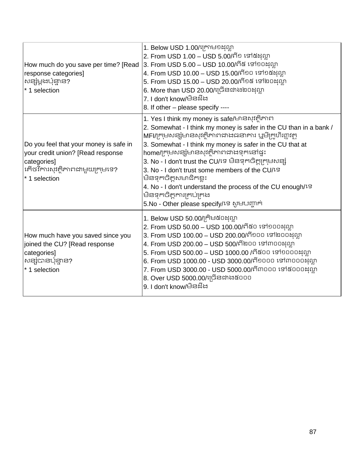| How much do you save per time? [Read<br>response categories]<br>សន្សំម្តងប៉ុន្មាន?<br>* 1 selection                                             | 1. Below USD 1.00/ក្រោម១ដុល្លា<br>2. From USD 1.00 – USD 5.00/ពី១ ទៅ៥ដុល្លា<br>3. From USD 5.00 – USD 10.00/ពី៥ ទៅ១០ដុល្លា<br>4. From USD 10.00 – USD 15.00/ពី១០ ទៅ១៥ដុល្លា<br>5. From USD 15.00 – USD 20.00/ពី១៥ ទៅ២០ដុល្លា<br>6. More than USD 20.00/ច្រើនជាង២០ដុល្លា<br>7. I don't know/ਚੈੜਬੈਂਖ਼<br>8. If other – please specify ----                                                                                                                                                                                                                                                   |
|-------------------------------------------------------------------------------------------------------------------------------------------------|--------------------------------------------------------------------------------------------------------------------------------------------------------------------------------------------------------------------------------------------------------------------------------------------------------------------------------------------------------------------------------------------------------------------------------------------------------------------------------------------------------------------------------------------------------------------------------------------|
| Do you feel that your money is safe in<br>your credit union? [Read response<br>categories]<br> កើថវិការសុវត្ថិភាពជាមួយក្រុមទេ?<br>* 1 selection | 1. Yes I think my money is safe/មានសុវ <del>ត្តិ</del> ភាព<br>2. Somewhat - I think my money is safer in the CU than in a bank /<br>MFI/ក្រុមសន្សំមានសុវត្ថិភាពជាងធនាគារ ឬមីក្រូហិរព្ធវត្ថ<br>3. Somewhat - I think my money is safer in the CU that at<br>home/ក្រុមសន្សំមានសុវត្ថិភាពជាងទុកនៅផ្ទះ<br>3. No - I don't trust the CU/ទេ មិនទុកចិត្តក្រុមសន្សំ<br>3. No - I don't trust some members of the CU/1 <sup>S</sup><br>មិនទុកចិត្តសមាជិកខ្លះ<br>4. No - I don't understand the process of the CU enough/19<br>មិនទុកចិត្តការគ្រប់គ្រង<br>5.No - Other please specify/ទេ សូមបញ្ជាក់ |
| How much have you saved since you<br>joined the CU? [Read response<br>categories]<br>សន្សំបានប៉ុន្មាន?<br>* 1 selection                         | 1. Below USD 50.00/ក្រិម៥០ដុល្លា<br>2. From USD 50.00 – USD 100.00/ពី៥០ ទៅ១០០ដុល្លា<br>3. From USD 100.00 – USD 200.00/ពី១០០ ទៅ២០០ដុល្លា<br>4. From USD 200.00 – USD 500/ពី២០០ ទៅ៣០០ដុល្លា<br>5. From USD 500.00 – USD 1000.00 /ពី៥០០ ទៅ១០០០ដុល្លា<br>6. From USD 1000.00 - USD 3000.00/ពី១០០០ ទៅ៣០០០ដុល្លា<br>7. From USD 3000.00 - USD 5000.00/ពី៣០០០ ទៅ៥០០០ដុល្លា<br>8. Over USD 5000.00/11058chacooo<br>9. I don't know/ਚੈਡਬੈਂਖ਼                                                                                                                                                       |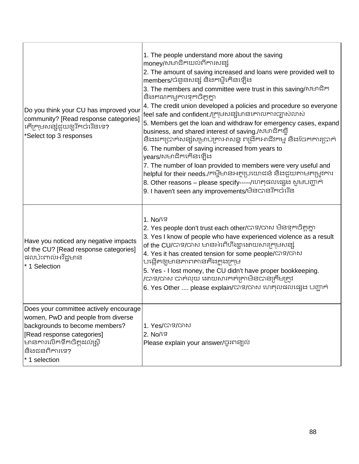| Do you think your CU has improved your<br>community? [Read response categories]<br> កើក្រុមសន្សំជួយឲ្យរីកចំរើនទេ?<br>*Select top 3 responses                                                                 | 1. The people understand more about the saving<br>money/សមាជិកយល់ពីការសន្សំ<br>2. The amount of saving increased and loans were provided well to<br>members/បំនួនសន្សំ និងកម្មីកើនឡើង<br>3. The members and committee were trust in this saving/សមាជិក<br>និងគណកម្មការទុកចិត្តគ្នា<br>4. The credit union developed a policies and procedure so everyone<br>feel safe and confident./ក្រុមសន្សំមានគោលការច្បាស់លាស់<br>5. Members get the loan and withdraw for emergency cases, expand<br>business, and shared interest of saving./សមាជិកខ្ចី<br>និងដកប្រាក់សន្សំសម្រាប់គ្រាអាសន្ន ពង្រីកអាជីវកម្ម និងចែកការប្រាក់<br>6. The number of saving increased from years to<br>years/សមាជិកកើនឡើង<br>7. The number of loan provided to members were very useful and<br>helpful for their needs./កម្ចីមានអត្ថប្រយោជន៍ និងជួយតាមតម្រូវការ<br>8. Other reasons – please specify-----/ហេតុផលផ្សេង សូមបញ្ជាក់<br>9. I haven't seen any improvements/មិនបានរីកចំរើន |
|--------------------------------------------------------------------------------------------------------------------------------------------------------------------------------------------------------------|---------------------------------------------------------------------------------------------------------------------------------------------------------------------------------------------------------------------------------------------------------------------------------------------------------------------------------------------------------------------------------------------------------------------------------------------------------------------------------------------------------------------------------------------------------------------------------------------------------------------------------------------------------------------------------------------------------------------------------------------------------------------------------------------------------------------------------------------------------------------------------------------------------------------------------------------------------|
| Have you noticed any negative impacts<br>of the CU? [Read response categories]<br><b>ដលប៉ះពាល់អវិ</b> ជ្ជមាន<br>* 1 Selection                                                                                | $1.$ No/ $1S$<br>2. Yes people don't trust each other/បាទ/ចាស មិនទុកចិត្តគ្នា<br>3. Yes I know of people who have experienced violence as a result<br>of the CU/បាទ/ចាស មានអំពើហឹង្សាដោយសារក្រុមសន្សំ<br>4. Yes it has created tension for some people/CTS/CTN<br>បង្កើតឲ្យមានភាពតានតឹងក្នុងក្រុម<br>5. Yes - I lost money, the CU didn't have proper bookkeeping.<br>/បាទ/ចាស បាត់លុយ ដោយសារកត់ត្រាមិនបានត្រឹមត្រូវ<br>6. Yes Other  please explain/បាទ/ចាស ហេតុលដលដ្បេង បញ្ជាក់                                                                                                                                                                                                                                                                                                                                                                                                                                                                       |
| Does your committee actively encourage<br>women, PwD and people from diverse<br>backgrounds to become members?<br>[Read response categories]<br>មានការលើកទឹកចិត្តដល់ស្ត្រី<br>និងជនពិការទេ?<br>* 1 selection | 1. Yes/បាទ/ចាស<br>2. No/15<br>Please explain your answer/ចូរពន្យល់                                                                                                                                                                                                                                                                                                                                                                                                                                                                                                                                                                                                                                                                                                                                                                                                                                                                                      |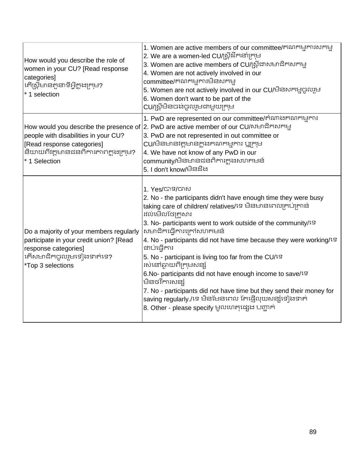| How would you describe the role of<br>women in your CU? [Read response<br>categories]<br> កើស្ត្រីមានតួនាទីអ្វីក្នុងក្រុម?<br>* 1 selection                 | 1. Women are active members of our committee/គណកម្មការសកម្ម<br>2. We are a women-led CU/ស្ត្រីដឹកនាំក្រុម<br>3. Women are active members of CU/ស្ត្រីជាសមាជិកសកម្ម<br>4. Women are not actively involved in our<br>committee/គណកម្មការមិនសកម្ម<br>5. Women are not actively involved in our CU/មិនសកម្មចូលរួម<br>6. Women don't want to be part of the<br>CU/ស្រីមិនចង់ចូលរួមជាមួយក្រុម                                                                                                                                                                                                                                                                                                                 |
|-------------------------------------------------------------------------------------------------------------------------------------------------------------|---------------------------------------------------------------------------------------------------------------------------------------------------------------------------------------------------------------------------------------------------------------------------------------------------------------------------------------------------------------------------------------------------------------------------------------------------------------------------------------------------------------------------------------------------------------------------------------------------------------------------------------------------------------------------------------------------------|
| people with disabilities in your CU?<br>[Read response categories]<br>និយាយពីវត្តមានជនពិការភាពក្នុងក្រុម?<br>* 1 Selection                                  | 1. PwD are represented on our committee/គំណាងគណកម្មការ<br> How would you describe the presence of  2. PwD are active member of our CU/សមាជិកសកម្ម<br>3. PwD are not represented in out committee or<br>CU/មិនមានវត្តមានក្នុងគណកម្មការ ឬក្រុម<br>4. We have not know of any PwD in our<br>community/មិនមានជនពិការក្តុងសហគមន៍<br>5. I don't know/ਚੈੜਬੈਂਖ਼                                                                                                                                                                                                                                                                                                                                                 |
| Do a majority of your members regularly<br>participate in your credit union? [Read<br>response categories]<br>កើសមាជិកចូលរួមទៀងទាត់ទេ?<br>*Top 3 selections | 1. Yes/បាទ/ចាស<br>2. No - the participants didn't have enough time they were busy<br>taking care of children/ relatives/ទេ មិនមានពេលគ្រប់គ្រាន់<br>រវល់មើលថែក្រួសារ<br>3. No- participants went to work outside of the community/1S<br>សមាជិកធ្វើការក្រៅសហគមន៍<br>4. No - participants did not have time because they were working/1S<br>ជាប់ធ្វើការ<br>5. No - participant is living too far from the CU/1S<br>រស់នៅឆ្ងាយពីក្រុមសន្សំ<br>6.No- participants did not have enough income to save/19<br>មិនថវិការសន្សំ<br>7. No - participants did not have time but they send their money for<br>saving regularly /ទេ មិនមែនពេល កែផ្ញើលុយសន្យុំទៀងទាក់<br>8. Other - please specify មូលហេតុផ្សេង បញ្ជាក់ |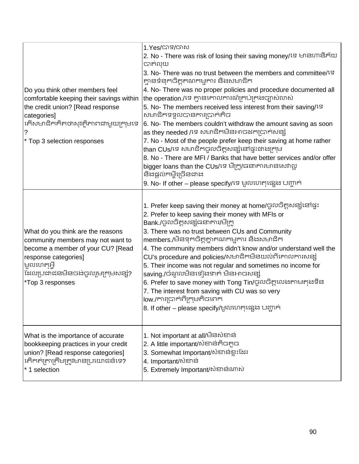| Do you think other members feel<br>comfortable keeping their savings within<br>the credit union? [Read response<br>categories]<br>់កើសមាជិកគិតថាសុវត្ថិភាពជាមួយក្រុមទេ<br>* Top 3 selection responses                  | 1.Yes/បាទ/បាស<br>2. No - There was risk of losing their saving money/ទេ មានហានិភ័យ<br>បាត់លុយ<br>3. No- There was no trust between the members and committee/19<br>គ្មានទំនុកចិត្តគណកម្មការ និងសមាជិក<br>4. No- There was no proper policies and procedure documented all<br>the operation./ទេ គ្មានគោលការណ៍គ្រប់គ្រងច្បាស់លាស់<br>5. No- The members received less interest from their saving/19<br>សមាជិកទទួលបានការប្រាក់តិច<br>6. No- The members couldn't withdraw the amount saving as soon<br>as they needed /ទេ សមាជិកមិនអាចដកប្រាក់សន្សំ<br>7. No - Most of the people prefer keep their saving at home rather<br>than CUs/ទេ សមាជិកចូលចិត្តសន្សំនៅផ្ទះជាងក្រុម<br>8. No - There are MFI / Banks that have better services and/or offer<br>bigger loans than the CUs/ទេ មីក្រូ/ធនាគារមានសេវាល្អ<br>និងផ្តល់កម្ចីច្រើនជាង<br>9. No- If other - please specify/ទេ មូលហេតុផ្សេង បញ្ជាក់ |
|------------------------------------------------------------------------------------------------------------------------------------------------------------------------------------------------------------------------|----------------------------------------------------------------------------------------------------------------------------------------------------------------------------------------------------------------------------------------------------------------------------------------------------------------------------------------------------------------------------------------------------------------------------------------------------------------------------------------------------------------------------------------------------------------------------------------------------------------------------------------------------------------------------------------------------------------------------------------------------------------------------------------------------------------------------------------------------------------------------------------------|
| What do you think are the reasons<br>community members may not want to<br>become a member of your CU? [Read<br>response categories]<br><b>ម្រុលហេ</b> តុអ្វី<br>เ๊ะលប្រដាជនមិនចង់ចូលរួមក្រុមសន្សំ?<br>*Top 3 responses | 1. Prefer keep saving their money at home/ចូលចិត្តសន្សំនៅផ្ទះ<br>2. Prefer to keep saving their money with MFIs or<br>Bank./ចូលចិត្តសន្សំធនាគារ/មីក្រូ<br>3. There was no trust between CUs and Community<br>members./មិនទុកចិត្តគ្នាគណកម្មការ និងសមាជិក<br>4. The community members didn't know and/or understand well the<br>CU's procedure and policies/សមាជិកមិនយល់ពីគោលការសន្សំ<br>5. Their income was not regular and sometimes no income for<br>saving /ចំណូលមិនទៀងទាត់ មិនអាចសន្សំ<br>6. Prefer to save money with Tong Tin/ចូលចិត្តលេងតាមតុងទីន<br>7. The interest from saving with CU was so very<br>low./ការប្រាក់ពីក្រុមគិចពេក<br>8. If other – please specify/មូលហេតុផ្សេង បញ្ជាក់                                                                                                                                                                                              |
| What is the importance of accurate<br>bookkeeping practices in your credit<br>union? [Read response categories]<br>កើកក់ត្រាក្រឹមត្រូវមានប្រយោជន៍ទេ?<br>* 1 selection                                                  | 1. Not important at all/ਚੈਡស៎ខាន់<br>2. A little important/សំខាន់កិចកូច<br>3. Somewhat Important/សំខាន់ខ្លះដែរ<br>4. Important/សំខាន់<br>5. Extremely Important/សំខាន់ណាស់                                                                                                                                                                                                                                                                                                                                                                                                                                                                                                                                                                                                                                                                                                                   |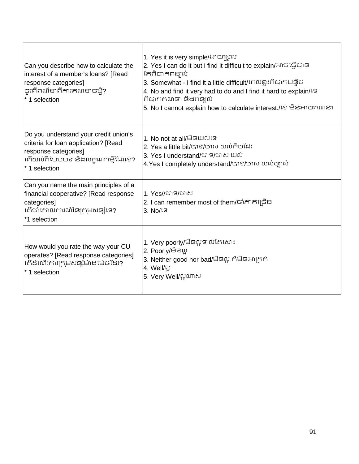| Can you describe how to calculate the<br>interest of a member's loans? [Read<br>response categories]<br>ចូរពីពណ័នាពីការគណនាចម្មី?<br>* 1 selection         | 1. Yes it is very simple/ងាយស្រួល<br>2. Yes I can do it but i find it difficult to explain/អាចធ្វើបាន<br>កែពិបាកពន្យល់<br>3. Somewhat - I find it a little difficult/ពេលខ្លះពិបាកបន្ទិច<br>4. No and find it very had to do and I find it hard to explain/19<br>ពិបាកកណនា និងពន្យល់<br>5. No I cannot explain how to calculate interest./ទេ មិនអាចគណនា |
|------------------------------------------------------------------------------------------------------------------------------------------------------------|--------------------------------------------------------------------------------------------------------------------------------------------------------------------------------------------------------------------------------------------------------------------------------------------------------------------------------------------------------|
| Do you understand your credit union's<br>criteria for loan application? [Read<br>response categories]<br>កើយល់ពីបែបបទ និងលក្កណកម្មីដែរទេ?<br>* 1 selection | 1. No not at all/ <del>ບີ</del> ຣພ໙່ເຮ<br>2. Yes a little bit/បាទ/ចាស យល់គិចដែរ<br>3. Yes I understand/បាទ/ចាស យល់<br>4.Yes I completely understand/បាទ/ចាស យល់ច្បាស់                                                                                                                                                                                  |
| Can you name the main principles of a<br>financial cooperative? [Read response<br>categories]<br>កើចាំគោលការណ៍នៃក្រុមសន្សុំទេ?<br>*1 selection             | 1. Yes//បាទ/ចាស<br>2. I can remember most of them/ចាំភាគច្រើន<br>3. No/IB                                                                                                                                                                                                                                                                              |
| How would you rate the way your CU<br>operates? [Read response categories]<br>កើដំណើរការក្រុមសន្សំម៉ាងម៉េចដែរ?<br>* 1 selection                            | 1. Very poorly/មិនល្អទាល់កែសោះ<br>2. Poorly/ਚੈੜល្អ<br>3. Neither good nor bad/ਚੋਡលੂ ਲੰਬੋਡਸ਼ਜਲਲ<br>4. Well/ល្<br>5. Very Well/ល្អណាស់                                                                                                                                                                                                                   |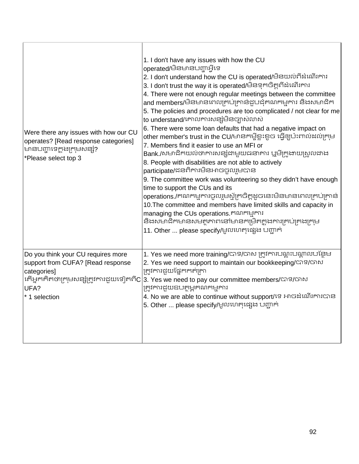| Were there any issues with how our CU<br>operates? [Read response categories]<br>មានបញ្ហាទេក្នុងក្រុមសន្សំ?<br>*Please select top 3 | 1. I don't have any issues with how the CU<br>operated/មិនមានបញ្ហាអ្វីទេ<br>2. I don't understand how the CU is operated/មិនយល់ពីដំណើរការ<br>3. I don't trust the way it is operated/មិនទុកចិត្តពីដំណើរការ<br>4. There were not enough regular meetings between the committee<br>and members/មិនមានពេលគ្រប់គ្រាន់ដួបជុំគណកម្មការ និងសមាជិក<br>5. The policies and procedures are too complicated / not clear for me<br>to understand/គោលការសន្សំមិនច្បាស់លាស់<br>6. There were some loan defaults that had a negative impact on<br>other member's trust in the CU/មានកម្ចីខ្លះខួច ធ្វើឲ្យប៉ះពាល់ដល់ក្រុម<br>7. Members find it easier to use an MFI or<br>Bank /សមាជិកយល់ថាការសន្សំជាមួយធនាគារ ឬមីក្រូងាយស្រួលជាង<br>8. People with disabilities are not able to actively<br>participate/ជនពិការមិនអាចចូលរួមបាន<br>9. The committee work was volunteering so they didn't have enough<br>time to support the CUs and its<br>operations./គណកម្មការចូលរួមស្ម័គ្រចិត្តដូចនេះមិនមានពេលគ្រប់គ្រាន់<br>10. The committee and members have limited skills and capacity in<br>managing the CUs operations. គណកម្មការ<br>និងសមាជិកមានសមត្ថភាពនៅមានកម្រិតក្នុងការគ្រប់គ្រងក្រុម<br>11. Other  please specify/មូលហេតុផ្សេង បញ្ជាក់ |
|-------------------------------------------------------------------------------------------------------------------------------------|------------------------------------------------------------------------------------------------------------------------------------------------------------------------------------------------------------------------------------------------------------------------------------------------------------------------------------------------------------------------------------------------------------------------------------------------------------------------------------------------------------------------------------------------------------------------------------------------------------------------------------------------------------------------------------------------------------------------------------------------------------------------------------------------------------------------------------------------------------------------------------------------------------------------------------------------------------------------------------------------------------------------------------------------------------------------------------------------------------------------------------------------------------------------------------------------------------------------|
| Do you think your CU requires more<br>support from CUFA? [Read response<br>categories]<br>UFA?<br>* 1 selection                     | 1. Yes we need more training/បាទ/បាស ត្រូវការបណ្តុះបណ្តាលបន្ថែម<br>2. Yes we need support to maintain our bookkeeping/C7S/G76J<br>គ្រូវការជួយផ្នែកកត់ត្រា<br> កើអ្នកគិតថាក្រុមសន្សំក្រូវការជួយទៀតពីC 3. Yes we need to pay our committee members/បាទ/ចាស<br><u>ត្រូ</u> វការជួយឧបត្ថម្ភគណកម្មការ<br>4. No we are able to continue without support/ទេ អាចដំណើរការបាន<br>5. Other  please specify/មូលហេតុផ្សេង បញ្ជាក់                                                                                                                                                                                                                                                                                                                                                                                                                                                                                                                                                                                                                                                                                                                                                                                                   |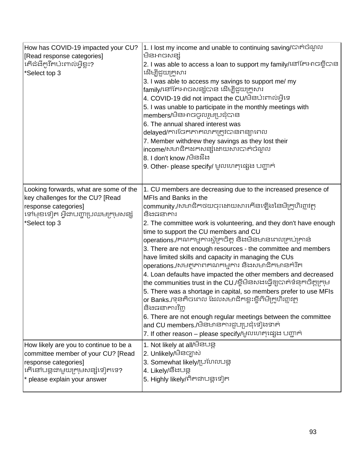| How has COVID-19 impacted your CU?<br>[Read response categories]<br>កើដំដីកូវិតប៉ះពាល់អ្វីខ្លះ?<br>*Select top 3                                                      | 1. I lost my income and unable to continuing saving/បាត់ចំណូល<br>មិនអាចសន្សំ<br>2. I was able to access a loan to support my family/នៅកែអាចខ្ចីបាន<br>ដើម្បីជួយក្រូសារ<br>3. I was able to access my savings to support me/ my<br>family/នៅកែអាចសន្សុំបាន ដើម្បីជួយក្រួសារ<br>4. COVID-19 did not impact the CU/មិនប៉ះពាល់អ្វីទេ<br>5. I was unable to participate in the monthly meetings with<br>members/មិនអាចចូលរួមប្រជុំបាន<br>6. The annual shared interest was<br>delayed/ការចែកភាគលាភក្រូវបានពន្យាពេល<br>7. Member withdrew they savings as they lost their<br>income/សមាជិកដកសន្សំដោយសារបាត់ចំណូល<br>8. I don't know /ਚੈਡਬ਼ੈਂਖ਼<br>9. Other- please specify/ មូលហេតុផ្សេង បញ្ជាក់                                                                                                                                                                                                                                                                                                |
|-----------------------------------------------------------------------------------------------------------------------------------------------------------------------|-------------------------------------------------------------------------------------------------------------------------------------------------------------------------------------------------------------------------------------------------------------------------------------------------------------------------------------------------------------------------------------------------------------------------------------------------------------------------------------------------------------------------------------------------------------------------------------------------------------------------------------------------------------------------------------------------------------------------------------------------------------------------------------------------------------------------------------------------------------------------------------------------------------------------------------------------------------------------------------------|
| Looking forwards, what are some of the<br>key challenges for the CU? [Read<br>response categories]<br>ង្គេមនៃនៀម ម្មិជ្ហាកាយការដែកមូលន់រុ<br>*Select top 3            | 1. CU members are decreasing due to the increased presence of<br>MFIs and Banks in the<br>community /សមាជិកថយចុះដោយសារកើនឡើងនៃមីក្រូហិរព្ណវត្ថុ<br>និងជនាគារ<br>2. The committee work is volunteering, and they don't have enough<br>time to support the CU members and CU<br>operations./គណកម្មការស្ម័គ្រចិត្ត និងមិនមានពេលគ្រប់គ្រាន់<br>3. There are not enough resources - the committee and members<br>have limited skills and capacity in managing the CUs<br>operations./សមត្ថភាពគណកម្មការ និងសមាជិកមានកំរិត<br>4. Loan defaults have impacted the other members and decreased<br>the communities trust in the CU./ខ្ចីមិនសងធ្វើឲ្យបាត់ទំនុកចិត្តក្រុម<br>5. There was a shortage in capital, so members prefer to use MFIs<br>or Banks./ទុនតិចពេល ដែលសមាជិកខ្លះខ្ចីពីមីក្រូហិរព្ធាវត្ថ<br>និងជនាគារវិញ<br>6. There are not enough regular meetings between the committee<br>and CU members./មិនមានការជួបប្រជុំទៀងទាត់<br>7. If other reason – please specify/មូលហេតុផ្សេង បញ្ជាក់ |
| How likely are you to continue to be a<br>committee member of your CU? [Read<br>response categories]<br>កើនៅបន្តដាមួយក្រុមសន្យំទៀតទេ?<br>* please explain your answer | 1. Not likely at all/ਪੰਤਪੜ੍ਹ<br>2. Unlikely/មិនច្បាស់<br>3. Somewhat likely/ប្រហែលបន្ត<br>4. Likely/នឹងបន្ត<br>5. Highly likely/ពិតជាបន្តទៀត                                                                                                                                                                                                                                                                                                                                                                                                                                                                                                                                                                                                                                                                                                                                                                                                                                              |